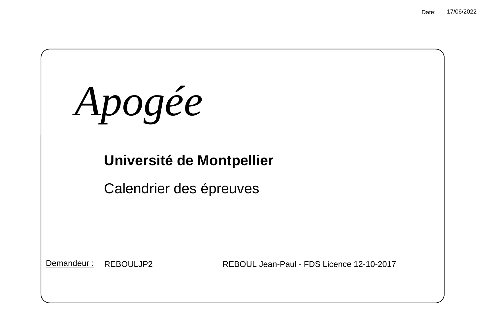*Apogée*

# **Université de Montpellier**

Calendrier des épreuves

Demandeur :

REBOULJP2 REBOUL Jean-Paul - FDS Licence 12-10-2017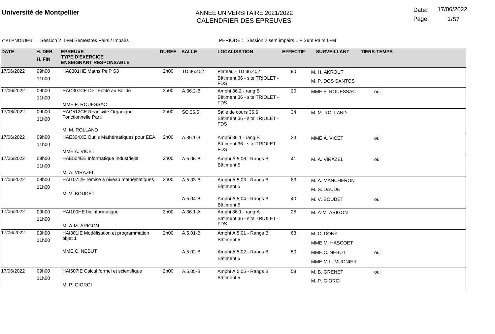Date: 17/06/2022

Page: 1/57

CALENDRIER : Session 2 L+M Semestres Pairs / Impairs **PERIODE** : Session 2 sem impairs L + Sem Pairs L+M

| <b>DATE</b> | H. DEB<br>H. FIN | <b>EPREUVE</b><br><b>TYPE D'EXERCICE</b><br><b>ENSEIGNANT RESPONSABLE</b> | <b>DUREE SALLE</b> |              | <b>LOCALISATION</b>                        | <b>EFFECTIF</b> | <b>SURVEILLANT</b> | <b>TIERS-TEMPS</b> |
|-------------|------------------|---------------------------------------------------------------------------|--------------------|--------------|--------------------------------------------|-----------------|--------------------|--------------------|
| 17/06/2022  | 09h00            | HA8301HE Maths PeiP S3                                                    | 2h00               | TD.36.402    | Plateau - TD 36.402                        | 90              | M. H. AKROUT       |                    |
|             | 11h00            |                                                                           |                    |              | Bâtiment 36 - site TRIOLET -<br><b>FDS</b> |                 | M. P. DOS SANTOS   |                    |
| 17/06/2022  | 09h00            | HAC307CE De l'Entité au Solide                                            | 2h00               | A.36.2-B     | Amphi 36.2 - rang B                        | 20              | MME F. ROUESSAC    | oui                |
|             | 11h00            |                                                                           |                    |              | Bâtiment 36 - site TRIOLET -<br><b>FDS</b> |                 |                    |                    |
|             |                  | MME F. ROUESSAC                                                           |                    |              |                                            |                 |                    |                    |
| 17/06/2022  | 09h00            | HAC512CE Réactivité Organique                                             | 2h00               | SC.36.6      | Salle de cours 36.6                        | 34              | M. M. ROLLAND      |                    |
|             | 11h00            | Fonctionnelle Parti                                                       |                    |              | Bâtiment 36 - site TRIOLET -<br><b>FDS</b> |                 |                    |                    |
|             |                  | M. M. ROLLAND                                                             |                    |              |                                            |                 |                    |                    |
| 17/06/2022  | 09h00            | HAE304XE Outils Mathématiques pour EEA                                    | 2h00               | $A.36.1 - B$ | Amphi 36.1 - rang B                        | 23              | MME A. VICET       | oui                |
|             | 11h00            |                                                                           |                    |              | Bâtiment 36 - site TRIOLET -<br><b>FDS</b> |                 |                    |                    |
|             |                  | MME A. VICET                                                              |                    |              |                                            |                 |                    |                    |
| 17/06/2022  | 09h00            | HAE504EE Informatique Industrielle                                        | 2h00               | A.5.06-B     | Amphi A.5.06 - Rangs B                     | 41              | M. A. VIRAZEL      | oui                |
|             | 11h00            |                                                                           |                    |              | Bâtiment 5                                 |                 |                    |                    |
|             |                  | M. A. VIRAZEL                                                             |                    |              |                                            |                 |                    |                    |
| 17/06/2022  | 09h00            | HAI107I2E remise a niveau mathématiques                                   | 2h00               | $A.5.03 - B$ | Amphi A.5.03 - Rangs B                     | 63              | M. A. MANCHERON    |                    |
|             | 11h00            |                                                                           |                    |              | Bâtiment 5                                 |                 | M. S. DAUDE        |                    |
|             |                  | M. V. BOUDET                                                              |                    | $A.5.04 - B$ | Amphi A.5.04 - Rangs B                     | 40              | M. V. BOUDET       | oui                |
|             |                  |                                                                           |                    |              | Bâtiment 5                                 |                 |                    |                    |
| 17/06/2022  | 09h00            | HAI109HE bioinformatique                                                  | 2h00               | $A.36.1 - A$ | Amphi 36.1 - rang A                        | 25              | M. A-M. ARIGON     |                    |
|             | 11h00            |                                                                           |                    |              | Bâtiment 36 - site TRIOLET -               |                 |                    |                    |
|             |                  | M. A-M. ARIGON                                                            |                    |              | <b>FDS</b>                                 |                 |                    |                    |
| 17/06/2022  | 09h00            | HAI301IE Modélisation et programmation                                    | 2h00               | A.5.01-B     | Amphi A.5.01 - Rangs B                     | 63              | M. C. DONY         |                    |
|             | 11h00            | objet 1                                                                   |                    |              | Bâtiment 5                                 |                 | MME M. HASCOET     |                    |
|             |                  | MME C. NEBUT                                                              |                    | A.5.02-B     | Amphi A.5.02 - Rangs B                     | 50              | MME C. NEBUT       | oui                |
|             |                  |                                                                           |                    |              | Bâtiment 5                                 |                 | MME M-L. MUGNIER   |                    |
| 17/06/2022  | 09h00            | HAI507IE Calcul formel et scientifique                                    | 2h00               | A.5.05-B     | Amphi A.5.05 - Rangs B                     | 58              | M. B. GRENET       | oui                |
|             | 11h00            |                                                                           |                    | Bâtiment 5   |                                            |                 | M. P. GIORGI       |                    |
|             |                  | M. P. GIORGI                                                              |                    |              |                                            |                 |                    |                    |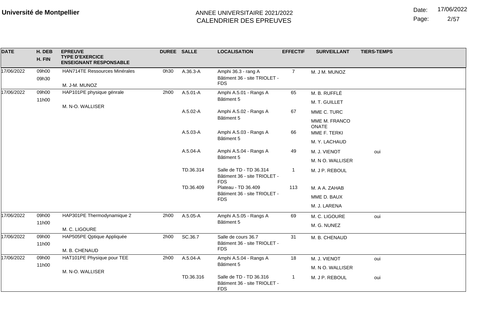Date: 17/06/2022

Page: 2/57

| <b>DATE</b> | H. DEB<br>H. FIN | <b>EPREUVE</b><br><b>TYPE D'EXERCICE</b><br><b>ENSEIGNANT RESPONSABLE</b> | <b>DUREE SALLE</b> |              | <b>LOCALISATION</b>                                                                                                                        | <b>EFFECTIF</b> | <b>SURVEILLANT</b>     | <b>TIERS-TEMPS</b> |
|-------------|------------------|---------------------------------------------------------------------------|--------------------|--------------|--------------------------------------------------------------------------------------------------------------------------------------------|-----------------|------------------------|--------------------|
| 17/06/2022  | 09h00            | HAN714TE Ressources Minérales                                             | 0h30               | A.36.3-A     | Amphi 36.3 - rang A                                                                                                                        | $\overline{7}$  | M. J M. MUNOZ          |                    |
|             | 09h30            |                                                                           |                    |              | Bâtiment 36 - site TRIOLET -<br><b>FDS</b>                                                                                                 |                 |                        |                    |
|             |                  | M. J-M. MUNOZ                                                             |                    |              |                                                                                                                                            |                 |                        |                    |
| 17/06/2022  | 09h00            | HAP101PE physique génrale                                                 | 2h00               | A.5.01-A     | Amphi A.5.01 - Rangs A                                                                                                                     | 65              | M. B. RUFFLÉ           |                    |
|             | 11h00            | M. N-O. WALLISER                                                          |                    |              | Bâtiment 5                                                                                                                                 |                 | M. T. GUILLET          |                    |
|             |                  |                                                                           |                    | A.5.02-A     | Amphi A.5.02 - Rangs A                                                                                                                     | 67              | MME C. TURC            |                    |
|             |                  |                                                                           |                    |              | Bâtiment 5                                                                                                                                 |                 | MME M. FRANCO<br>ONATE |                    |
|             |                  |                                                                           |                    | A.5.03-A     | Amphi A.5.03 - Rangs A                                                                                                                     | 66              | MME F. TERKI           |                    |
|             |                  |                                                                           |                    | Bâtiment 5   |                                                                                                                                            | M. Y. LACHAUD   |                        |                    |
|             |                  |                                                                           |                    | $A.5.04 - A$ | Amphi A.5.04 - Rangs A                                                                                                                     | 49              | M. J. VIENOT           | oui                |
|             |                  |                                                                           |                    |              | Bâtiment 5                                                                                                                                 |                 | M. N O. WALLISER       |                    |
|             |                  |                                                                           |                    | TD.36.314    | Salle de TD - TD 36.314<br>Bâtiment 36 - site TRIOLET -<br><b>FDS</b><br>Plateau - TD 36.409<br>Bâtiment 36 - site TRIOLET -<br><b>FDS</b> |                 | M. J P. REBOUL         |                    |
|             |                  |                                                                           |                    | TD.36.409    |                                                                                                                                            | 113             | M. A A. ZAHAB          |                    |
|             |                  |                                                                           |                    |              |                                                                                                                                            |                 | MME D. BAUX            |                    |
|             |                  |                                                                           |                    |              |                                                                                                                                            |                 | M. J. LARENA           |                    |
| 17/06/2022  | 09h00            | HAP301PE Thermodynamique 2                                                | 2h00               | A.5.05-A     | Amphi A.5.05 - Rangs A                                                                                                                     | 69              | M. C. LIGOURE          | oui                |
|             | 11h00            |                                                                           |                    |              | Bâtiment 5                                                                                                                                 |                 | M. G. NUNEZ            |                    |
|             |                  | M. C. LIGOURE                                                             |                    |              |                                                                                                                                            |                 |                        |                    |
| 17/06/2022  | 09h00            | HAP505PE Qptique Appliquée                                                | 2h00               | SC.36.7      | Salle de cours 36.7<br>Bâtiment 36 - site TRIOLET -                                                                                        | 31              | M. B. CHENAUD          |                    |
|             | 11h00            | M. B. CHENAUD                                                             |                    |              | <b>FDS</b>                                                                                                                                 |                 |                        |                    |
| 17/06/2022  | 09h00            | HAT101PE Physique pour TEE                                                | 2h00               | A.5.04-A     | Amphi A.5.04 - Rangs A                                                                                                                     | 18              |                        |                    |
|             | 11h00            |                                                                           |                    |              | Bâtiment 5                                                                                                                                 |                 | M. J. VIENOT           | oui                |
|             |                  | M. N-O. WALLISER                                                          |                    |              |                                                                                                                                            |                 | M. N O. WALLISER       |                    |
|             |                  |                                                                           |                    | TD.36.316    | Salle de TD - TD 36.316<br>Bâtiment 36 - site TRIOLET -<br><b>FDS</b>                                                                      |                 | M. J P. REBOUL         | oui                |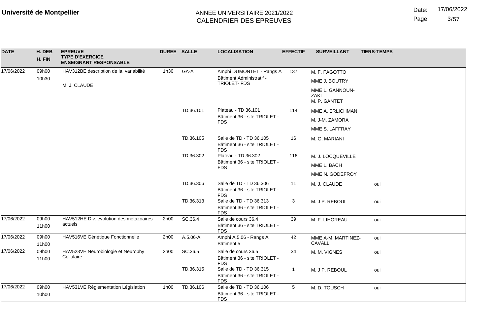Page:  $3/57$ 

| <b>DATE</b> | H. DEB         | <b>EPREUVE</b>                                          | <b>DUREE SALLE</b> |           | <b>LOCALISATION</b>                                                   | <b>EFFECTIF</b> | <b>SURVEILLANT</b>                      | <b>TIERS-TEMPS</b> |
|-------------|----------------|---------------------------------------------------------|--------------------|-----------|-----------------------------------------------------------------------|-----------------|-----------------------------------------|--------------------|
|             | H. FIN         | <b>TYPE D'EXERCICE</b><br><b>ENSEIGNANT RESPONSABLE</b> |                    |           |                                                                       |                 |                                         |                    |
| 17/06/2022  | 09h00          | HAV312BE description de la variabilité                  | 1h30               | GA-A      | Amphi DUMONTET - Rangs A                                              | 137             | M. F. FAGOTTO                           |                    |
|             | 10h30          |                                                         |                    |           | Bâtiment Administratif -<br>TRIOLET-FDS                               |                 | MME J. BOUTRY                           |                    |
|             |                | M. J. CLAUDE                                            |                    |           |                                                                       |                 | MME L. GANNOUN-<br>ZAKI<br>M. P. GANTET |                    |
|             |                |                                                         |                    | TD.36.101 | Plateau - TD 36.101                                                   | 114             | MME A. ERLICHMAN                        |                    |
|             |                |                                                         |                    |           | Bâtiment 36 - site TRIOLET -<br><b>FDS</b>                            |                 | M. J-M. ZAMORA                          |                    |
|             |                |                                                         |                    |           |                                                                       |                 | MME S. LAFFRAY                          |                    |
|             |                |                                                         |                    | TD.36.105 | Salle de TD - TD 36.105<br>Bâtiment 36 - site TRIOLET -<br><b>FDS</b> | 16              | M. G. MARIANI                           |                    |
|             |                |                                                         |                    | TD.36.302 | Plateau - TD 36.302                                                   | 116             | M. J. LOCQUEVILLE                       |                    |
|             |                |                                                         |                    |           | Bâtiment 36 - site TRIOLET -<br><b>FDS</b>                            |                 | MME L. BACH                             |                    |
|             |                |                                                         |                    |           |                                                                       | MME N. GODEFROY |                                         |                    |
|             |                |                                                         |                    | TD.36.306 | Salle de TD - TD 36.306<br>Bâtiment 36 - site TRIOLET -<br><b>FDS</b> | 11              | M. J. CLAUDE                            | oui                |
|             |                |                                                         |                    | TD.36.313 | Salle de TD - TD 36.313<br>Bâtiment 36 - site TRIOLET -<br><b>FDS</b> | 3               | M. J P. REBOUL                          | oui                |
| 17/06/2022  | 09h00<br>11h00 | HAV512HE Div. evolution des métazoaires<br>actuels      | 2h00               | SC.36.4   | Salle de cours 36.4<br>Bâtiment 36 - site TRIOLET -<br><b>FDS</b>     | 39              | M. F. LIHOREAU                          | oui                |
| 17/06/2022  | 09h00          | HAV516VE Génétique Fonctionnelle                        | 2h00               | A.5.06-A  | Amphi A.5.06 - Rangs A                                                | 42              | MME A-M. MARTINEZ-                      | oui                |
|             | 11h00          |                                                         |                    |           | Bâtiment 5                                                            |                 | <b>CAVALLI</b>                          |                    |
| 17/06/2022  | 09h00<br>11h00 | HAV523VE Neurobiologie et Neurophy<br>Cellulaire        | 2h00               | SC.36.5   | Salle de cours 36.5<br>Bâtiment 36 - site TRIOLET -<br><b>FDS</b>     | 34              | M. M. VIGNES                            | oui                |
|             |                |                                                         |                    | TD.36.315 | Salle de TD - TD 36.315<br>Bâtiment 36 - site TRIOLET -<br><b>FDS</b> | $\mathbf{1}$    | M. J P. REBOUL                          | oui                |
| 17/06/2022  | 09h00<br>10h00 | HAV531VE Réglementation Législation                     | 1h00               | TD.36.106 | Salle de TD - TD 36.106<br>Bâtiment 36 - site TRIOLET -<br><b>FDS</b> | 5               | M. D. TOUSCH                            | oui                |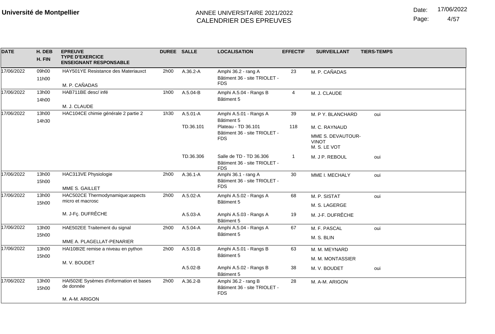Date: 17/06/2022

Page: 4/57

| <b>DATE</b> | H. DEB<br>H. FIN | <b>EPREUVE</b><br><b>TYPE D'EXERCICE</b><br><b>ENSEIGNANT RESPONSABLE</b> | <b>DUREE SALLE</b> |              | <b>LOCALISATION</b>                                                   | <b>EFFECTIF</b> | <b>SURVEILLANT</b>                                                 | <b>TIERS-TEMPS</b> |
|-------------|------------------|---------------------------------------------------------------------------|--------------------|--------------|-----------------------------------------------------------------------|-----------------|--------------------------------------------------------------------|--------------------|
| 17/06/2022  | 09h00<br>11h00   | HAY501YE Resistance des Materiauxct<br>M. P. CAÑADAS                      | 2h00               | A.36.2-A     | Amphi 36.2 - rang A<br>Bâtiment 36 - site TRIOLET -<br><b>FDS</b>     | 23              | M. P. CAÑADAS                                                      |                    |
| 17/06/2022  | 13h00<br>14h00   | HAB711BE desc/ infé<br>M. J. CLAUDE                                       | 1h00               | A.5.04-B     | Amphi A.5.04 - Rangs B<br>Bâtiment 5                                  | 4               | M. J. CLAUDE                                                       |                    |
| 17/06/2022  | 13h00<br>14h30   | HAC104CE chimie générale 2 partie 2                                       | 1h30               | A.5.01-A     | Amphi A.5.01 - Rangs A<br>Bâtiment 5<br>Plateau - TD 36.101           | 39              | M. P Y. BLANCHARD                                                  | oui                |
|             |                  |                                                                           |                    | TD.36.101    | Bâtiment 36 - site TRIOLET -<br><b>FDS</b>                            | 118             | M. C. RAYNAUD<br>MME S. DEVAUTOUR-<br><b>VINOT</b><br>M. S. LE VOT |                    |
|             |                  |                                                                           |                    | TD.36.306    | Salle de TD - TD 36.306<br>Bâtiment 36 - site TRIOLET -<br><b>FDS</b> | 1               | M. J P. REBOUL                                                     | oui                |
| 17/06/2022  | 13h00<br>15h00   | HAC313VE Physiologie<br>MME S. GAILLET                                    | 2h00               | A.36.1-A     | Amphi 36.1 - rang A<br>Bâtiment 36 - site TRIOLET -<br><b>FDS</b>     | 30              | MME I. MECHALY                                                     | oui                |
| 17/06/2022  | 13h00<br>15h00   | HAC502CE Thermodynamique:aspects<br>micro et macrosc                      | 2h00               | A.5.02-A     | Amphi A.5.02 - Rangs A<br>Bâtiment 5                                  | 68              | M. P. SISTAT<br>M. S. LAGERGE                                      | oui                |
|             |                  | M. J-Fç. DUFRÊCHE                                                         |                    | $A.5.03 - A$ | Amphi A.5.03 - Rangs A<br>Bâtiment 5                                  | 19              | M. J-F. DUFRÊCHE                                                   |                    |
| 17/06/2022  | 13h00<br>15h00   | HAE502EE Traitement du signal<br>MME A. PLAGELLAT-PENARIER                | 2h00               | A.5.04-A     | Amphi A.5.04 - Rangs A<br>Bâtiment 5                                  | 67              | M. F. PASCAL<br>M. S. BLIN                                         | oui                |
| 17/06/2022  | 13h00<br>15h00   | HAI108I2E remise a niveau en python<br>M. V. BOUDET                       | 2h00               | A.5.01-B     | Amphi A.5.01 - Rangs B<br>Bâtiment 5                                  | 63              | M. M. MEYNARD<br>M. M. MONTASSIER                                  |                    |
|             |                  |                                                                           |                    | A.5.02-B     | Amphi A.5.02 - Rangs B<br>Bâtiment 5                                  | 38              | M. V. BOUDET                                                       | oui                |
| 17/06/2022  | 13h00<br>15h00   | HAI502IE Sysèmes d'information et bases<br>de donnée                      | 2h00               | A.36.2-B     | Amphi 36.2 - rang B<br>Bâtiment 36 - site TRIOLET -<br><b>FDS</b>     | 28              | M. A-M. ARIGON                                                     |                    |
|             |                  | M. A-M. ARIGON                                                            |                    |              |                                                                       |                 |                                                                    |                    |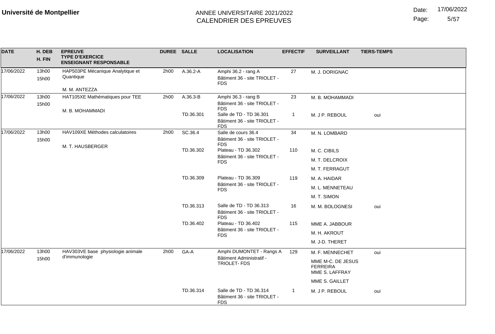Date: 17/06/2022

Page: 5/57

| <b>DATE</b> | H. DEB<br>H. FIN | <b>EPREUVE</b><br><b>TYPE D'EXERCICE</b><br><b>ENSEIGNANT RESPONSABLE</b> | DUREE SALLE |           | <b>LOCALISATION</b>                                                   | <b>EFFECTIF</b> | <b>SURVEILLANT</b>                                     | <b>TIERS-TEMPS</b> |  |
|-------------|------------------|---------------------------------------------------------------------------|-------------|-----------|-----------------------------------------------------------------------|-----------------|--------------------------------------------------------|--------------------|--|
| 17/06/2022  | 13h00<br>15h00   | HAP503PE Mécanique Analytique et<br>Quantique                             | 2h00        | A.36.2-A  | Amphi 36.2 - rang A<br>Bâtiment 36 - site TRIOLET -<br><b>FDS</b>     | 27              | M. J. DORIGNAC                                         |                    |  |
|             |                  | M. M. ANTEZZA                                                             |             |           |                                                                       |                 |                                                        |                    |  |
| 17/06/2022  | 13h00<br>15h00   | HAT105XE Mathématiques pour TEE<br>M. B. MOHAMMADI                        | 2h00        | A.36.3-B  | Amphi 36.3 - rang B<br>Bâtiment 36 - site TRIOLET -<br><b>FDS</b>     | 23              | M. B. MOHAMMADI                                        |                    |  |
|             |                  |                                                                           |             | TD.36.301 | Salle de TD - TD 36.301<br>Bâtiment 36 - site TRIOLET -<br><b>FDS</b> | $\mathbf{1}$    | M. J P. REBOUL                                         | oui                |  |
| 17/06/2022  | 13h00<br>15h00   | HAV109XE Méthodes calculatoires                                           | 2h00        | SC.36.4   | Salle de cours 36.4<br>Bâtiment 36 - site TRIOLET -<br><b>FDS</b>     | 34              | M. N. LOMBARD                                          |                    |  |
|             |                  | M. T. HAUSBERGER                                                          |             | TD.36.302 | Plateau - TD 36.302                                                   | 110             | M. C. CIBILS                                           |                    |  |
|             |                  |                                                                           |             |           | Bâtiment 36 - site TRIOLET -<br><b>FDS</b>                            |                 | M. T. DELCROIX                                         |                    |  |
|             |                  |                                                                           |             |           |                                                                       |                 | M. T. FERRAGUT                                         |                    |  |
|             |                  |                                                                           |             | TD.36.309 | Plateau - TD 36.309                                                   | 119             | M. A. HAIDAR                                           |                    |  |
|             |                  |                                                                           |             |           | Bâtiment 36 - site TRIOLET -<br><b>FDS</b>                            |                 | M. L. MENNETEAU                                        |                    |  |
|             |                  |                                                                           |             |           |                                                                       |                 |                                                        | M. T. SIMON        |  |
|             |                  |                                                                           |             | TD.36.313 | Salle de TD - TD 36.313<br>Bâtiment 36 - site TRIOLET -<br><b>FDS</b> | 16              | M. M. BOLOGNESI                                        | oui                |  |
|             |                  |                                                                           |             | TD.36.402 | Plateau - TD 36.402                                                   | 115             | MME A. JABBOUR                                         |                    |  |
|             |                  |                                                                           |             |           | Bâtiment 36 - site TRIOLET -<br><b>FDS</b>                            |                 | M. H. AKROUT                                           |                    |  |
|             |                  |                                                                           |             |           |                                                                       |                 | M. J-D. THERET                                         |                    |  |
| 17/06/2022  | 13h00            | HAV303VE base physiologie animale                                         | 2h00        | GA-A      | Amphi DUMONTET - Rangs A                                              | 129             | M. F. MENNECHET                                        | oui                |  |
|             | 15h00            | d'immunologie                                                             |             |           | Bâtiment Administratif -<br><b>TRIOLET-FDS</b>                        |                 | MME M-C. DE JESUS<br><b>FERREIRA</b><br>MME S. LAFFRAY |                    |  |
|             |                  |                                                                           |             |           |                                                                       |                 | MME S. GAILLET                                         |                    |  |
|             |                  |                                                                           |             | TD.36.314 | Salle de TD - TD 36.314<br>Bâtiment 36 - site TRIOLET -<br><b>FDS</b> | $\mathbf{1}$    | M. J P. REBOUL                                         | oui                |  |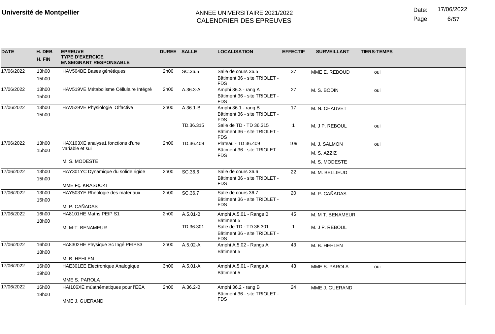Date: 17/06/2022

Page: 6/57

| <b>DATE</b> | H. DEB | <b>EPREUVE</b>                                          | DUREE SALLE |              | <b>LOCALISATION</b>                        | <b>EFFECTIF</b> | <b>SURVEILLANT</b> | <b>TIERS-TEMPS</b> |
|-------------|--------|---------------------------------------------------------|-------------|--------------|--------------------------------------------|-----------------|--------------------|--------------------|
|             | H. FIN | <b>TYPE D'EXERCICE</b><br><b>ENSEIGNANT RESPONSABLE</b> |             |              |                                            |                 |                    |                    |
| 17/06/2022  | 13h00  | HAV504BE Bases génétiques                               | 2h00        | SC.36.5      | Salle de cours 36.5                        | 37              | MME E. REBOUD      | oui                |
|             | 15h00  |                                                         |             |              | Bâtiment 36 - site TRIOLET -<br><b>FDS</b> |                 |                    |                    |
| 17/06/2022  | 13h00  | HAV519VE Métabolisme Céllulaire Intégré                 | 2h00        | $A.36.3 - A$ | Amphi 36.3 - rang A                        | 27              | M. S. BODIN        | oui                |
|             | 15h00  |                                                         |             |              | Bâtiment 36 - site TRIOLET -<br><b>FDS</b> |                 |                    |                    |
| 17/06/2022  | 13h00  | HAV529VE Physiologie Olfactive                          | 2h00        | A.36.1-B     | Amphi 36.1 - rang B                        | 17              | M. N. CHAUVET      |                    |
|             | 15h00  |                                                         |             |              | Bâtiment 36 - site TRIOLET -<br><b>FDS</b> |                 |                    |                    |
|             |        |                                                         |             | TD.36.315    | Salle de TD - TD 36.315                    | $\mathbf{1}$    | M. J P. REBOUL     | oui                |
|             |        |                                                         |             |              | Bâtiment 36 - site TRIOLET -<br><b>FDS</b> |                 |                    |                    |
| 17/06/2022  | 13h00  | HAX103XE analyse1 fonctions d'une                       | 2h00        | TD.36.409    | Plateau - TD 36.409                        | 109             | M. J. SALMON       | oui                |
|             | 15h00  | variable et sui                                         |             |              | Bâtiment 36 - site TRIOLET -<br><b>FDS</b> |                 | M. S. AZZIZ        |                    |
|             |        | M. S. MODESTE                                           |             |              |                                            |                 | M. S. MODESTE      |                    |
| 17/06/2022  | 13h00  | HAY301YC Dynamique du solide rigide                     | 2h00        | SC.36.6      | Salle de cours 36.6                        | 22              | M. M. BELLIEUD     |                    |
|             | 15h00  |                                                         |             |              | Bâtiment 36 - site TRIOLET -               |                 |                    |                    |
|             |        | MME Fç. KRASUCKI                                        |             |              | <b>FDS</b>                                 |                 |                    |                    |
| 17/06/2022  | 13h00  | HAY503YE Rheologie des materiaux                        | 2h00        | SC.36.7      | Salle de cours 36.7                        | 20              | M. P. CAÑADAS      |                    |
|             | 15h00  |                                                         |             |              | Bâtiment 36 - site TRIOLET -<br><b>FDS</b> |                 |                    |                    |
|             |        | M. P. CAÑADAS                                           |             |              |                                            |                 |                    |                    |
| 17/06/2022  | 16h00  | HA8101HE Maths PEIP S1                                  | 2h00        | A.5.01-B     | Amphi A.5.01 - Rangs B                     | 45              | M. M T. BENAMEUR   |                    |
|             | 18h00  |                                                         |             | TD.36.301    | Bâtiment 5<br>Salle de TD - TD 36.301      | $\mathbf{1}$    |                    |                    |
|             |        | M. M-T. BENAMEUR                                        |             |              | Bâtiment 36 - site TRIOLET -               |                 | M. J P. REBOUL     |                    |
|             |        |                                                         |             |              | <b>FDS</b>                                 |                 |                    |                    |
| 17/06/2022  | 16h00  | HA8302HE Physique Sc Ingé PEIPS3                        | 2h00        | A.5.02-A     | Amphi A.5.02 - Rangs A                     | 43              | M. B. HEHLEN       |                    |
|             | 18h00  |                                                         |             |              | Bâtiment 5                                 |                 |                    |                    |
|             |        | M. B. HEHLEN                                            |             |              |                                            |                 |                    |                    |
| 17/06/2022  | 16h00  | HAE301EE Electronique Analogique                        | 3h00        | $A.5.01 - A$ | Amphi A.5.01 - Rangs A                     | 43              | MME S. PAROLA      | oui                |
|             | 19h00  |                                                         |             |              | Bâtiment 5                                 |                 |                    |                    |
|             |        | MME S. PAROLA                                           |             |              |                                            |                 |                    |                    |
| 17/06/2022  | 16h00  | HAI106XE mùathématiques pour l'EEA                      | 2h00        | A.36.2-B     | Amphi 36.2 - rang B                        | 24              | MME J. GUERAND     |                    |
|             | 18h00  |                                                         |             |              | Bâtiment 36 - site TRIOLET -<br><b>FDS</b> |                 |                    |                    |
|             |        | MME J. GUERAND                                          |             |              |                                            |                 |                    |                    |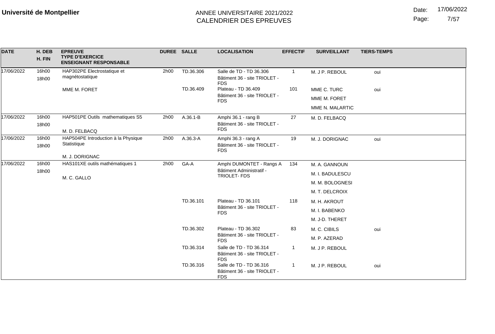Date: 17/06/2022

Page: 7/57

| <b>DATE</b> | H. DEB<br>H. FIN | <b>EPREUVE</b><br><b>TYPE D'EXERCICE</b><br><b>ENSEIGNANT RESPONSABLE</b> | DUREE SALLE |           | <b>LOCALISATION</b>                                                   | <b>EFFECTIF</b> | <b>SURVEILLANT</b> | <b>TIERS-TEMPS</b> |
|-------------|------------------|---------------------------------------------------------------------------|-------------|-----------|-----------------------------------------------------------------------|-----------------|--------------------|--------------------|
| 17/06/2022  | 16h00<br>18h00   | HAP302PE Electrostatique et<br>magnétostatique                            | 2h00        | TD.36.306 | Salle de TD - TD 36.306<br>Bâtiment 36 - site TRIOLET -<br><b>FDS</b> | $\overline{1}$  | M. J P. REBOUL     | oui                |
|             |                  | MME M. FORET                                                              |             | TD.36.409 | Plateau - TD 36.409                                                   | 101             | MME C. TURC        | oui                |
|             |                  |                                                                           |             |           | Bâtiment 36 - site TRIOLET -<br><b>FDS</b>                            |                 | MME M. FORET       |                    |
|             |                  |                                                                           |             |           |                                                                       |                 | MME N. MALARTIC    |                    |
| 17/06/2022  | 16h00            | HAP501PE Outils mathematiques S5                                          | 2h00        | A.36.1-B  | Amphi 36.1 - rang B                                                   | 27              | M. D. FELBACQ      |                    |
|             | 18h00            |                                                                           |             |           | Bâtiment 36 - site TRIOLET -<br><b>FDS</b>                            |                 |                    |                    |
| 17/06/2022  | 16h00            | M. D. FELBACQ<br>HAP504PE Introduction à la Physique                      | 2h00        | A.36.3-A  | Amphi 36.3 - rang A                                                   | 19              | M. J. DORIGNAC     | oui                |
|             | 18h00            | Statistique                                                               |             |           | Bâtiment 36 - site TRIOLET -<br><b>FDS</b>                            |                 |                    |                    |
|             |                  | M. J. DORIGNAC                                                            |             |           |                                                                       |                 |                    |                    |
| 17/06/2022  | 16h00            | HAS101XE outils mathématiques 1                                           | 2h00        | GA-A      | Amphi DUMONTET - Rangs A                                              | 134             | M. A. GANNOUN      |                    |
|             | 18h00            | M. C. GALLO                                                               |             |           | Bâtiment Administratif -<br>TRIOLET-FDS                               |                 | M. I. BADULESCU    |                    |
|             |                  |                                                                           |             |           |                                                                       |                 | M. M. BOLOGNESI    |                    |
|             |                  |                                                                           |             |           |                                                                       |                 | M. T. DELCROIX     |                    |
|             |                  |                                                                           |             | TD.36.101 | Plateau - TD 36.101                                                   | 118             | M. H. AKROUT       |                    |
|             |                  |                                                                           |             |           | Bâtiment 36 - site TRIOLET -<br><b>FDS</b>                            |                 | M. I. BABENKO      |                    |
|             |                  |                                                                           |             |           |                                                                       |                 | M. J-D. THERET     |                    |
|             |                  |                                                                           |             | TD.36.302 | Plateau - TD 36.302                                                   | 83              | M. C. CIBILS       | oui                |
|             |                  |                                                                           |             |           | Bâtiment 36 - site TRIOLET -<br><b>FDS</b>                            |                 | M. P. AZERAD       |                    |
|             |                  |                                                                           |             | TD.36.314 | Salle de TD - TD 36.314<br>Bâtiment 36 - site TRIOLET -<br><b>FDS</b> |                 | M. J P. REBOUL     |                    |
|             |                  |                                                                           |             | TD.36.316 | Salle de TD - TD 36.316<br>Bâtiment 36 - site TRIOLET -<br><b>FDS</b> | -1              | M. J P. REBOUL     | oui                |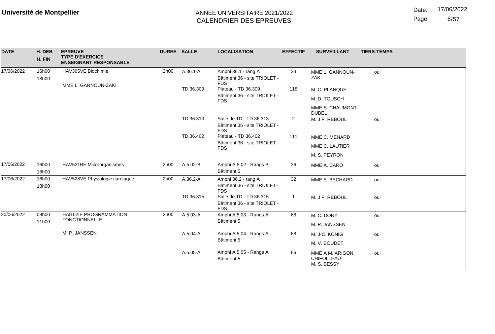Date: 17/06/2022

Page: 8/57

| <b>DATE</b> | H. DEB<br>H. FIN | <b>EPREUVE</b><br><b>TYPE D'EXERCICE</b><br><b>ENSEIGNANT RESPONSABLE</b> | <b>DUREE SALLE</b> |                                  | <b>LOCALISATION</b>                                                   | <b>EFFECTIF</b> | <b>SURVEILLANT</b>                           | <b>TIERS-TEMPS</b> |  |
|-------------|------------------|---------------------------------------------------------------------------|--------------------|----------------------------------|-----------------------------------------------------------------------|-----------------|----------------------------------------------|--------------------|--|
| 17/06/2022  | 16h00<br>18h00   | HAV305VE Biochimie                                                        | 2h00               | $A.36.1 - A$                     | Amphi 36.1 - rang A<br>Bâtiment 36 - site TRIOLET -<br><b>FDS</b>     | 33              | MME L. GANNOUN-<br>ZAKI                      | oui                |  |
|             |                  | MME L. GANNOUN-ZAKI                                                       |                    | TD.36.309                        | Plateau - TD 36.309                                                   | 118             | M. C. PLANQUE                                |                    |  |
|             |                  |                                                                           |                    |                                  | Bâtiment 36 - site TRIOLET -<br><b>FDS</b>                            |                 | M. D. TOUSCH                                 |                    |  |
|             |                  |                                                                           |                    | MME S. CHAUMONT-<br><b>DUBEL</b> |                                                                       |                 |                                              |                    |  |
|             |                  |                                                                           |                    | TD.36.313                        | Salle de TD - TD 36.313<br>Bâtiment 36 - site TRIOLET -<br><b>FDS</b> | $\overline{2}$  | M. J P. REBOUL                               | oui                |  |
|             |                  |                                                                           |                    | TD.36.402                        | Plateau - TD 36.402                                                   | 111             | MME C. MENARD                                |                    |  |
|             |                  |                                                                           |                    |                                  | Bâtiment 36 - site TRIOLET -<br><b>FDS</b>                            |                 | MME C. LAUTIER                               |                    |  |
|             |                  |                                                                           |                    |                                  |                                                                       | M. S. PEYRON    |                                              |                    |  |
| 17/06/2022  | 16h00<br>18h00   | HAV521BE Microorganismes                                                  | 2h00               | A.5.02-B                         | Amphi A.5.02 - Rangs B<br>Bâtiment 5                                  | 36              | MME A. CARO                                  | oui                |  |
| 17/06/2022  | 16h00<br>18h00   | HAV528VE Physiologie cardiaque                                            | 2h00               | A.36.2-A                         | Amphi 36.2 - rang A<br>Bâtiment 36 - site TRIOLET -<br><b>FDS</b>     | 32              | MME E. BECHARD                               | oui                |  |
|             |                  |                                                                           |                    | TD.36.315                        | Salle de TD - TD 36.315<br>Bâtiment 36 - site TRIOLET -<br><b>FDS</b> | -1              | M. J P. REBOUL                               | oui                |  |
| 20/06/2022  | 09h00            | <b>HAI102IE PROGRAMMATION</b>                                             | 2h00               | A.5.03-A                         | Amphi A.5.03 - Rangs A                                                | 68              | M. C. DONY                                   | oui                |  |
|             | 11h00            | <b>FONCTIONNELLE</b>                                                      |                    |                                  | Bâtiment 5                                                            |                 | M. P. JANSSEN                                |                    |  |
|             |                  | M. P. JANSSEN                                                             |                    | A.5.04-A                         | Amphi A.5.04 - Rangs A                                                | 68              | M. J-C. KONIG                                | oui                |  |
|             |                  |                                                                           |                    | Bâtiment 5                       |                                                                       | M. V. BOUDET    |                                              |                    |  |
|             |                  |                                                                           |                    | A.5.05-A                         | Amphi A.5.05 - Rangs A<br>Bâtiment 5                                  | 66              | MME A M. ARIGON<br>CHIFOLLEAU<br>M. S. BESSY | oui                |  |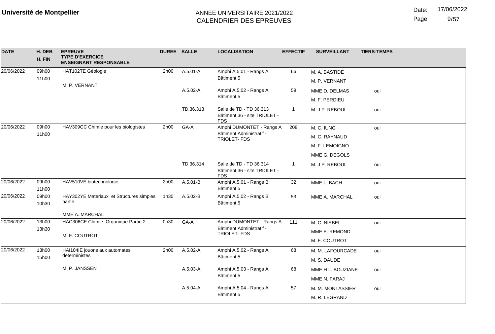Page: /57

| <b>DATE</b> | H. DEB | <b>EPREUVE</b>                                          | <b>DUREE SALLE</b> |                        | <b>LOCALISATION</b>                                                   | <b>EFFECTIF</b>  | <b>SURVEILLANT</b> | <b>TIERS-TEMPS</b> |
|-------------|--------|---------------------------------------------------------|--------------------|------------------------|-----------------------------------------------------------------------|------------------|--------------------|--------------------|
|             | H. FIN | <b>TYPE D'EXERCICE</b><br><b>ENSEIGNANT RESPONSABLE</b> |                    |                        |                                                                       |                  |                    |                    |
| 20/06/2022  | 09h00  | HAT102TE Géologie                                       | 2h00               | A.5.01-A               | Amphi A.5.01 - Rangs A                                                | 66               | M. A. BASTIDE      |                    |
|             | 11h00  |                                                         |                    |                        | Bâtiment 5                                                            |                  | M. P. VERNANT      |                    |
|             |        | M. P. VERNANT                                           |                    | A.5.02-A               | Amphi A.5.02 - Rangs A                                                | 59               | MME D. DELMAS      | oui                |
|             |        |                                                         |                    |                        | Bâtiment 5                                                            |                  | M. F. PERDIEU      |                    |
|             |        |                                                         |                    | TD.36.313              | Salle de TD - TD 36.313<br>Bâtiment 36 - site TRIOLET -<br><b>FDS</b> | $\mathbf{1}$     | M. J P. REBOUL     | oui                |
| 20/06/2022  | 09h00  | HAV309CC Chimie pour les biologistes                    | 2h00               | GA-A                   | Amphi DUMONTET - Rangs A                                              | 208              | M. C. IUNG         | oui                |
|             | 11h00  |                                                         |                    |                        | Bâtiment Administratif -<br>TRIOLET-FDS                               |                  | M. C. RAYNAUD      |                    |
|             |        |                                                         |                    |                        |                                                                       |                  | M. F. LEMOIGNO     |                    |
|             |        |                                                         |                    |                        |                                                                       |                  | MME G. DEGOLS      |                    |
|             |        |                                                         |                    | TD.36.314              | Salle de TD - TD 36.314<br>Bâtiment 36 - site TRIOLET -<br><b>FDS</b> | $\mathbf{1}$     | M. J P. REBOUL     | oui                |
| 20/06/2022  | 09h00  | HAV510VE biotechnologie                                 | 2h00               | A.5.01-B               | Amphi A.5.01 - Rangs B                                                | 32               | MME L. BACH        | oui                |
|             | 11h00  |                                                         |                    |                        | Bâtiment 5                                                            |                  |                    |                    |
| 20/06/2022  | 09h00  | HAY302YE Materiaux et Structures simples<br>partie      | 1h30               | A.5.02-B               | Amphi A.5.02 - Rangs B<br>Bâtiment 5                                  | 53               | MME A. MARCHAL     | oui                |
|             | 10h30  |                                                         |                    |                        |                                                                       |                  |                    |                    |
|             |        | MME A. MARCHAL                                          |                    |                        |                                                                       |                  |                    |                    |
| 20/06/2022  | 13h00  | HAC306CE Chimie Organique Partie 2                      | 0h30               | GA-A                   | Amphi DUMONTET - Rangs A                                              | 111              | M. C. NIEBEL       | oui                |
|             | 13h30  | M. F. COUTROT                                           |                    |                        | Bâtiment Administratif -<br>TRIOLET-FDS                               |                  | MME E. REMOND      |                    |
|             |        |                                                         |                    |                        |                                                                       |                  | M. F. COUTROT      |                    |
| 20/06/2022  | 13h00  | HAI104IE jouons aux automates                           | 2h00               | A.5.02-A               | Amphi A.5.02 - Rangs A                                                | 68               | M. M. LAFOURCADE   | oui                |
|             | 15h00  | deterministes                                           |                    |                        | Bâtiment 5                                                            |                  | M. S. DAUDE        |                    |
|             |        | M. P. JANSSEN                                           |                    | A.5.03-A               | Amphi A.5.03 - Rangs A                                                | 68               | MME H L. BOUZIANE  | oui                |
|             |        |                                                         |                    |                        | Bâtiment 5                                                            |                  | MME N. FARAJ       |                    |
|             |        |                                                         | A.5.04-A           | Amphi A.5.04 - Rangs A | 57                                                                    | M. M. MONTASSIER | oui                |                    |
|             |        |                                                         |                    |                        | Bâtiment 5                                                            |                  | M. R. LEGRAND      |                    |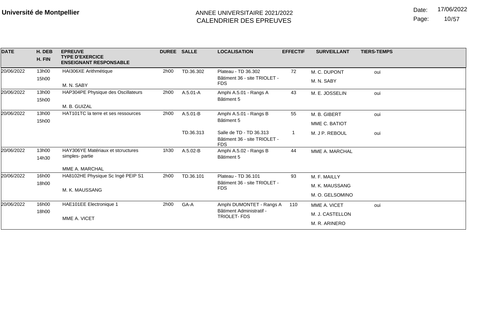Date: 17/06/2022

Page: 10/57

| <b>DATE</b> | H. DEB<br>H. FIN | <b>EPREUVE</b><br><b>TYPE D'EXERCICE</b><br><b>ENSEIGNANT RESPONSABLE</b> | <b>DUREE SALLE</b> |              | <b>LOCALISATION</b>                                                   | <b>EFFECTIF</b> | <b>SURVEILLANT</b> | <b>TIERS-TEMPS</b> |
|-------------|------------------|---------------------------------------------------------------------------|--------------------|--------------|-----------------------------------------------------------------------|-----------------|--------------------|--------------------|
| 20/06/2022  | 13h00            | HAI306XE Arithmétique                                                     | 2h00               | TD.36.302    | Plateau - TD 36.302                                                   | 72              | M. C. DUPONT       | oui                |
|             | 15h00            | M. N. SABY                                                                |                    |              | Bâtiment 36 - site TRIOLET -<br><b>FDS</b>                            |                 | M. N. SABY         |                    |
| 20/06/2022  | 13h00            | HAP304PE Physique des Oscillateurs                                        | 2h00               | $A.5.01 - A$ | Amphi A.5.01 - Rangs A                                                | 43              | M. E. JOSSELIN     | oui                |
|             | 15h00            | M. B. GUIZAL                                                              |                    |              | Bâtiment 5                                                            |                 |                    |                    |
| 20/06/2022  | 13h00            | HAT101TC la terre et ses ressources                                       | 2h00               | $A.5.01 - B$ | Amphi A.5.01 - Rangs B                                                | 55              | M. B. GIBERT       | oui                |
|             | 15h00            |                                                                           |                    |              | Bâtiment 5                                                            |                 | MME C. BATIOT      |                    |
|             |                  |                                                                           |                    | TD.36.313    | Salle de TD - TD 36.313<br>Bâtiment 36 - site TRIOLET -<br><b>FDS</b> |                 | M. J P. REBOUL     | oui                |
| 20/06/2022  | 13h00            | HAY306YE Matériaux et stcructures<br>simples-partie                       | 1h30               | $A.5.02-B$   | Amphi A.5.02 - Rangs B                                                | 44              | MME A. MARCHAL     |                    |
|             | 14h30            |                                                                           |                    |              | Bâtiment 5                                                            |                 |                    |                    |
|             |                  | MME A. MARCHAL                                                            |                    |              |                                                                       |                 |                    |                    |
| 20/06/2022  | 16h00            | HA8102HE Physique Sc Ingé PEIP S1                                         | 2h00               | TD.36.101    | Plateau - TD 36.101                                                   | 93              | M. F. MAILLY       |                    |
|             | 18h00            | M. K. MAUSSANG                                                            |                    |              | Bâtiment 36 - site TRIOLET -<br><b>FDS</b>                            |                 | M. K. MAUSSANG     |                    |
|             |                  |                                                                           |                    |              |                                                                       |                 | M. O. GELSOMINO    |                    |
| 20/06/2022  | 16h00            | HAE101EE Electronique 1                                                   | 2h00               | GA-A         | Amphi DUMONTET - Rangs A                                              | 110             | MME A. VICET       | oui                |
|             | 18h00            |                                                                           |                    |              | Bâtiment Administratif -<br><b>TRIOLET-FDS</b>                        |                 | M. J. CASTELLON    |                    |
|             |                  | MME A. VICET                                                              |                    |              |                                                                       |                 | M. R. ARINERO      |                    |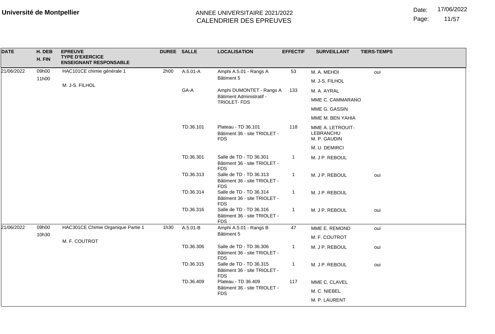Date: 17/06/2022

Page: 11/57

| <b>DATE</b> | H. DEB<br>H. FIN | <b>EPREUVE</b><br><b>TYPE D'EXERCICE</b><br><b>ENSEIGNANT RESPONSABLE</b> | <b>DUREE SALLE</b> |                                                                       | <b>LOCALISATION</b>                                                   | <b>EFFECTIF</b> | <b>SURVEILLANT</b>                            | <b>TIERS-TEMPS</b> |
|-------------|------------------|---------------------------------------------------------------------------|--------------------|-----------------------------------------------------------------------|-----------------------------------------------------------------------|-----------------|-----------------------------------------------|--------------------|
| 21/06/2022  | 09h00            | HAC101CE chimie générale 1                                                | 2h00               | A.5.01-A                                                              | Amphi A.5.01 - Rangs A                                                | 53              | M. A. MEHDI                                   | oui                |
|             | 11h00            |                                                                           |                    |                                                                       | Bâtiment 5                                                            |                 | M. J-S. FILHOL                                |                    |
|             |                  | M. J-S. FILHOL                                                            |                    | GA-A                                                                  | Amphi DUMONTET - Rangs A                                              | 133             | M. A. AYRAL                                   |                    |
|             |                  |                                                                           |                    |                                                                       | Bâtiment Administratif -<br>TRIOLET- FDS                              |                 | MME C. CAMMARANO                              |                    |
|             |                  |                                                                           |                    |                                                                       |                                                                       |                 | MME G. GASSIN                                 |                    |
|             |                  |                                                                           |                    |                                                                       |                                                                       |                 | MME M. BEN YAHIA                              |                    |
|             |                  |                                                                           |                    | TD.36.101                                                             | Plateau - TD 36.101<br>Bâtiment 36 - site TRIOLET -<br><b>FDS</b>     | 118             | MME A. LETROUIT-<br>LEBRANCHU<br>M. P. GAUDIN |                    |
|             |                  |                                                                           |                    |                                                                       |                                                                       |                 | M. U. DEMIRCI                                 |                    |
|             |                  |                                                                           | TD.36.301          | Salle de TD - TD 36.301<br>Bâtiment 36 - site TRIOLET -<br><b>FDS</b> | 1                                                                     | M. J P. REBOUL  |                                               |                    |
|             |                  |                                                                           |                    | TD.36.313                                                             | Salle de TD - TD 36.313<br>Bâtiment 36 - site TRIOLET -<br><b>FDS</b> | $\mathbf{1}$    | M. J P. REBOUL                                | oui                |
|             |                  |                                                                           |                    | TD.36.314                                                             | Salle de TD - TD 36.314<br>Bâtiment 36 - site TRIOLET -<br><b>FDS</b> | 1               | M. J P. REBOUL                                |                    |
|             |                  |                                                                           |                    | TD.36.316                                                             | Salle de TD - TD 36.316<br>Bâtiment 36 - site TRIOLET -<br><b>FDS</b> | $\mathbf{1}$    | M. J P. REBOUL                                | oui                |
| 21/06/2022  | 09h00            | HAC301CE Chimie Organique Partie 1                                        | 1h30               | A.5.01-B                                                              | Amphi A.5.01 - Rangs B                                                | 47              | MME E. REMOND                                 | oui                |
|             | 10h30            |                                                                           |                    |                                                                       | Bâtiment 5                                                            |                 | M. F. COUTROT                                 |                    |
|             |                  | M. F. COUTROT                                                             |                    | TD.36.306                                                             | Salle de TD - TD 36.306<br>Bâtiment 36 - site TRIOLET -<br><b>FDS</b> | $\mathbf{1}$    | M. J P. REBOUL                                | oui                |
|             |                  |                                                                           | TD.36.315          | Salle de TD - TD 36.315<br>Bâtiment 36 - site TRIOLET -<br><b>FDS</b> | $\mathbf{1}$                                                          | M. J P. REBOUL  | oui                                           |                    |
|             |                  |                                                                           | TD.36.409          | Plateau - TD 36.409                                                   | 117                                                                   | MME C. CLAVEL   |                                               |                    |
|             |                  |                                                                           |                    | Bâtiment 36 - site TRIOLET -<br><b>FDS</b>                            |                                                                       | M. C. NIEBEL    |                                               |                    |
|             |                  |                                                                           |                    |                                                                       |                                                                       |                 | M. P. LAURENT                                 |                    |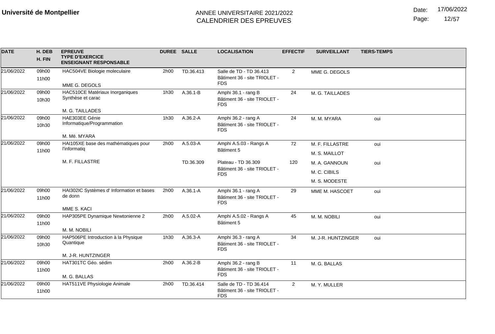Date: 17/06/2022

Page: 12/57

| <b>DATE</b> | H. DEB<br>H. FIN | <b>EPREUVE</b><br><b>TYPE D'EXERCICE</b><br><b>ENSEIGNANT RESPONSABLE</b> | DUREE SALLE |           | <b>LOCALISATION</b>                                                   | <b>EFFECTIF</b> | <b>SURVEILLANT</b> | <b>TIERS-TEMPS</b> |
|-------------|------------------|---------------------------------------------------------------------------|-------------|-----------|-----------------------------------------------------------------------|-----------------|--------------------|--------------------|
| 21/06/2022  | 09h00<br>11h00   | HAC504VE Biologie moleculaire                                             | 2h00        | TD.36.413 | Salle de TD - TD 36.413<br>Bâtiment 36 - site TRIOLET -               | 2               | MME G. DEGOLS      |                    |
|             |                  | MME G. DEGOLS                                                             |             |           | <b>FDS</b>                                                            |                 |                    |                    |
| 21/06/2022  | 09h00<br>10h30   | HAC510CE Matériaux Inorganiques<br>Synthèse et carac                      | 1h30        | A.36.1-B  | Amphi 36.1 - rang B<br>Bâtiment 36 - site TRIOLET -<br><b>FDS</b>     | 24              | M. G. TAILLADES    |                    |
|             |                  | M. G. TAILLADES                                                           |             |           |                                                                       |                 |                    |                    |
| 21/06/2022  | 09h00<br>10h30   | HAE303EE Génie<br>Informatique/Programmation                              | 1h30        | A.36.2-A  | Amphi 36.2 - rang A<br>Bâtiment 36 - site TRIOLET -<br><b>FDS</b>     | 24              | M. M. MYARA        | oui                |
|             |                  | M. Më. MYARA                                                              |             |           |                                                                       |                 |                    |                    |
| 21/06/2022  | 09h00            | HAI105XE base des mathématiques pour                                      | 2h00        | A.5.03-A  | Amphi A.5.03 - Rangs A                                                | 72              | M. F. FILLASTRE    | oui                |
|             | 11h00            | l'informatiq                                                              |             |           | Bâtiment 5                                                            |                 | M. S. MAILLOT      |                    |
|             |                  | M. F. FILLASTRE                                                           |             | TD.36.309 | Plateau - TD 36.309                                                   | 120             | M. A. GANNOUN      | oui                |
|             |                  |                                                                           |             |           | Bâtiment 36 - site TRIOLET -<br><b>FDS</b>                            |                 | M. C. CIBILS       |                    |
|             |                  |                                                                           |             |           |                                                                       |                 | M. S. MODESTE      |                    |
| 21/06/2022  | 09h00<br>11h00   | HAI302IC Systèmes d' Information et bases<br>de donn                      | 2h00        | A.36.1-A  | Amphi 36.1 - rang A<br>Bâtiment 36 - site TRIOLET -<br><b>FDS</b>     | 29              | MME M. HASCOET     | oui                |
|             |                  | MME S. KACI                                                               |             |           |                                                                       |                 |                    |                    |
| 21/06/2022  | 09h00            | HAP305PE Dynamique Newtonienne 2                                          | 2h00        | A.5.02-A  | Amphi A.5.02 - Rangs A                                                | 45              | M. M. NOBILI       | oui                |
|             | 11h00            |                                                                           |             |           | Bâtiment 5                                                            |                 |                    |                    |
|             |                  | M. M. NOBILI                                                              |             |           |                                                                       |                 |                    |                    |
| 21/06/2022  | 09h00            | HAP506PE Introduction à la Physique<br>Quantique                          | 1h30        | A.36.3-A  | Amphi 36.3 - rang A<br>Bâtiment 36 - site TRIOLET -                   | 34              | M. J-R. HUNTZINGER | oui                |
|             | 10h30            |                                                                           |             |           | <b>FDS</b>                                                            |                 |                    |                    |
|             |                  | M. J-R. HUNTZINGER                                                        |             |           |                                                                       |                 |                    |                    |
| 21/06/2022  | 09h00            | HAT301TC Géo. sédim                                                       | 2h00        | A.36.2-B  | Amphi 36.2 - rang B                                                   | 11              | M. G. BALLAS       |                    |
|             | 11h00            |                                                                           |             |           | Bâtiment 36 - site TRIOLET -                                          |                 |                    |                    |
|             |                  | M. G. BALLAS                                                              |             |           | <b>FDS</b>                                                            |                 |                    |                    |
| 21/06/2022  | 09h00<br>11h00   | HAT511VE Physiologie Animale                                              | 2h00        | TD.36.414 | Salle de TD - TD 36.414<br>Bâtiment 36 - site TRIOLET -<br><b>FDS</b> | $\overline{2}$  | M. Y. MULLER       |                    |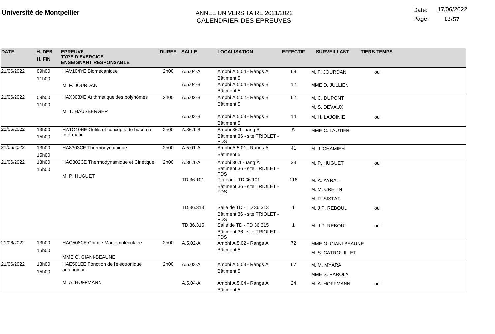Date: 17/06/2022

Page: 13/57

| <b>DATE</b> | H. DEB<br>H. FIN | <b>EPREUVE</b><br><b>TYPE D'EXERCICE</b><br><b>ENSEIGNANT RESPONSABLE</b> | <b>DUREE SALLE</b> |              | <b>LOCALISATION</b>                                                   | <b>EFFECTIF</b> | <b>SURVEILLANT</b>  | <b>TIERS-TEMPS</b> |
|-------------|------------------|---------------------------------------------------------------------------|--------------------|--------------|-----------------------------------------------------------------------|-----------------|---------------------|--------------------|
| 21/06/2022  | 09h00            | HAV104YE Biomécanique                                                     | 2h00               | $A.5.04 - A$ | Amphi A.5.04 - Rangs A<br>Bâtiment 5                                  | 68              | M. F. JOURDAN       | oui                |
|             | 11h00            | M. F. JOURDAN                                                             |                    | A.5.04-B     | Amphi A.5.04 - Rangs B<br>Bâtiment 5                                  | 12              | MME D. JULLIEN      |                    |
| 21/06/2022  | 09h00            | HAX303XE Arithmétique des polynômes                                       | 2h00               | A.5.02-B     | Amphi A.5.02 - Rangs B                                                | 62              | M. C. DUPONT        |                    |
|             | 11h00            |                                                                           |                    |              | Bâtiment 5                                                            |                 | M. S. DEVAUX        |                    |
|             |                  | M. T. HAUSBERGER                                                          |                    | A.5.03-B     | Amphi A.5.03 - Rangs B<br>Bâtiment 5                                  | 14              | M. H. LAJOINIE      | oui                |
| 21/06/2022  | 13h00<br>15h00   | HA1G10HE Outils et concepts de base en<br>Informatiq                      | 2h00               | $A.36.1 - B$ | Amphi 36.1 - rang B<br>Bâtiment 36 - site TRIOLET -<br><b>FDS</b>     | 5               | MME C. LAUTIER      |                    |
| 21/06/2022  | 13h00            | HA8303CE Thermodynamique                                                  | 2h00               | $A.5.01 - A$ | Amphi A.5.01 - Rangs A                                                | 41              | M. J. CHAMIEH       |                    |
|             | 15h00            |                                                                           |                    |              | Bâtiment 5                                                            |                 |                     |                    |
| 21/06/2022  | 13h00<br>15h00   | HAC302CE Thermodynamique et Cinétique<br>M. P. HUGUET                     | 2h00               | A.36.1-A     | Amphi 36.1 - rang A<br>Bâtiment 36 - site TRIOLET -<br><b>FDS</b>     | 33              | M. P. HUGUET        | oui                |
|             |                  |                                                                           |                    | TD.36.101    | Plateau - TD 36.101                                                   | 116             | M. A. AYRAL         |                    |
|             |                  |                                                                           |                    |              | Bâtiment 36 - site TRIOLET -<br><b>FDS</b>                            |                 | M. M. CRETIN        |                    |
|             |                  |                                                                           |                    |              |                                                                       |                 | M. P. SISTAT        |                    |
|             |                  |                                                                           |                    | TD.36.313    | Salle de TD - TD 36.313<br>Bâtiment 36 - site TRIOLET -<br><b>FDS</b> | 1               | M. J P. REBOUL      | oui                |
|             |                  |                                                                           |                    | TD.36.315    | Salle de TD - TD 36.315<br>Bâtiment 36 - site TRIOLET -<br><b>FDS</b> | $\mathbf 1$     | M. J P. REBOUL      | oui                |
| 21/06/2022  | 13h00            | HAC508CE Chimie Macromoléculaire                                          | 2h00               | A.5.02-A     | Amphi A.5.02 - Rangs A                                                | 72              | MME O. GIANI-BEAUNE |                    |
|             | 15h00            | MME O. GIANI-BEAUNE                                                       |                    |              | Bâtiment 5                                                            |                 | M. S. CATROUILLET   |                    |
| 21/06/2022  | 13h00            | HAE501EE Fonction de l'electronique                                       | 2h00               | A.5.03-A     | Amphi A.5.03 - Rangs A                                                | 67              | M. M. MYARA         |                    |
|             | 15h00            | analogique                                                                |                    |              | Bâtiment 5                                                            |                 | MME S. PAROLA       |                    |
|             |                  | M. A. HOFFMANN                                                            |                    | A.5.04-A     | Amphi A.5.04 - Rangs A<br>Bâtiment 5                                  | 24              | M. A. HOFFMANN      | oui                |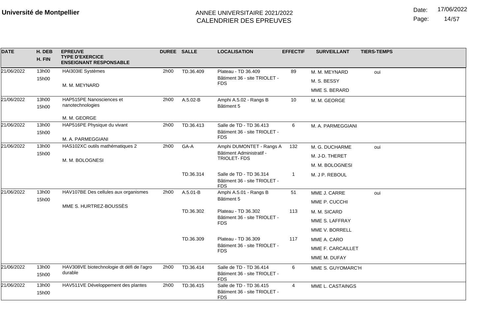Date: 17/06/2022

Page: 14/57

| <b>DATE</b> | H. DEB<br>H. FIN | <b>EPREUVE</b><br><b>TYPE D'EXERCICE</b><br><b>ENSEIGNANT RESPONSABLE</b> |      | <b>DUREE SALLE</b> | <b>LOCALISATION</b>                                     | <b>EFFECTIF</b> | <b>SURVEILLANT</b> | <b>TIERS-TEMPS</b> |
|-------------|------------------|---------------------------------------------------------------------------|------|--------------------|---------------------------------------------------------|-----------------|--------------------|--------------------|
| 21/06/2022  | 13h00            | HAI303IE Systèmes                                                         | 2h00 | TD.36.409          | Plateau - TD 36.409                                     | 89              | M. M. MEYNARD      | oui                |
|             | 15h00            | M. M. MEYNARD                                                             |      |                    | Bâtiment 36 - site TRIOLET -<br><b>FDS</b>              |                 | M. S. BESSY        |                    |
|             |                  |                                                                           |      |                    |                                                         |                 | MME S. BERARD      |                    |
| 21/06/2022  | 13h00            | HAP515PE Nanosciences et                                                  | 2h00 | A.5.02-B           | Amphi A.5.02 - Rangs B                                  | 10              | M. M. GEORGE       |                    |
|             | 15h00            | nanotechnologies                                                          |      |                    | Bâtiment 5                                              |                 |                    |                    |
|             |                  | M. M. GEORGE                                                              |      |                    |                                                         |                 |                    |                    |
| 21/06/2022  | 13h00            | HAP516PE Physique du vivant                                               | 2h00 | TD.36.413          | Salle de TD - TD 36.413                                 | 6               | M. A. PARMEGGIANI  |                    |
|             | 15h00            | M. A. PARMEGGIANI                                                         |      |                    | Bâtiment 36 - site TRIOLET -<br><b>FDS</b>              |                 |                    |                    |
| 21/06/2022  | 13h00            | HAS102XC outils mathématiques 2                                           | 2h00 | GA-A               | Amphi DUMONTET - Rangs A                                | 132             | M. G. DUCHARME     | oui                |
|             | 15h00            |                                                                           |      |                    | Bâtiment Administratif -<br><b>TRIOLET-FDS</b>          |                 | M. J-D. THERET     |                    |
|             |                  | M. M. BOLOGNESI                                                           |      |                    |                                                         |                 | M. M. BOLOGNESI    |                    |
|             |                  |                                                                           |      | TD.36.314          | Salle de TD - TD 36.314<br>Bâtiment 36 - site TRIOLET - | 1               | M. J P. REBOUL     |                    |
| 21/06/2022  | 13h00            |                                                                           | 2h00 | A.5.01-B           | <b>FDS</b>                                              |                 |                    |                    |
|             | 15h00            | HAV107BE Des cellules aux organismes                                      |      |                    | Amphi A.5.01 - Rangs B<br>Bâtiment 5                    | 51              | MME J. CARRE       | oui                |
|             |                  | MME S. HURTREZ-BOUSSÈS                                                    |      |                    |                                                         |                 | MME P. CUCCHI      |                    |
|             |                  |                                                                           |      | TD.36.302          | Plateau - TD 36.302<br>Bâtiment 36 - site TRIOLET -     | 113             | M. M. SICARD       |                    |
|             |                  |                                                                           |      |                    | <b>FDS</b>                                              |                 | MME S. LAFFRAY     |                    |
|             |                  |                                                                           |      |                    |                                                         |                 | MME V. BORRELL     |                    |
|             |                  |                                                                           |      | TD.36.309          | Plateau - TD 36.309<br>Bâtiment 36 - site TRIOLET -     | 117             | MME A. CARO        |                    |
|             |                  |                                                                           |      |                    | <b>FDS</b>                                              |                 | MME F. CARCAILLET  |                    |
|             |                  |                                                                           |      |                    |                                                         |                 | MME M. DUFAY       |                    |
| 21/06/2022  | 13h00            | HAV308VE biotechnologie dt défi de l'agro                                 | 2h00 | TD.36.414          | Salle de TD - TD 36.414                                 | 6               | MME S. GUYOMARC'H  |                    |
|             | 15h00            | durable                                                                   |      |                    | Bâtiment 36 - site TRIOLET -<br><b>FDS</b>              |                 |                    |                    |
| 21/06/2022  | 13h00            | HAV511VE Développement des plantes                                        | 2h00 | TD.36.415          | Salle de TD - TD 36.415                                 | 4               | MME L. CASTAINGS   |                    |
|             | 15h00            |                                                                           |      |                    | Bâtiment 36 - site TRIOLET -<br><b>FDS</b>              |                 |                    |                    |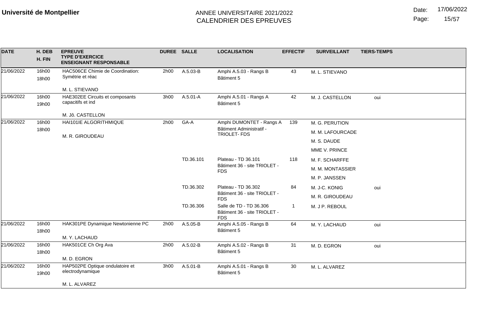Date: 17/06/2022

Page: 15/57

| <b>DATE</b> | H. DEB<br>H. FIN | <b>EPREUVE</b><br><b>TYPE D'EXERCICE</b><br><b>ENSEIGNANT RESPONSABLE</b> | DUREE SALLE                  |           | <b>LOCALISATION</b>                            | <b>EFFECTIF</b> | <b>SURVEILLANT</b> | <b>TIERS-TEMPS</b> |
|-------------|------------------|---------------------------------------------------------------------------|------------------------------|-----------|------------------------------------------------|-----------------|--------------------|--------------------|
| 21/06/2022  | 16h00            | HAC506CE Chimie de Coordination:                                          | 2h00                         | A.5.03-B  | Amphi A.5.03 - Rangs B                         | 43              | M. L. STIEVANO     |                    |
|             | 18h00            | Symétrie et réac                                                          |                              |           | Bâtiment 5                                     |                 |                    |                    |
|             |                  | M. L. STIEVANO                                                            |                              |           |                                                |                 |                    |                    |
| 21/06/2022  | 16h00            | HAE302EE Circuits et composants<br>capacitifs et ind                      | 3h00                         | A.5.01-A  | Amphi A.5.01 - Rangs A                         | 42              | M. J. CASTELLON    | oui                |
|             | 19h00            |                                                                           |                              |           | Bâtiment 5                                     |                 |                    |                    |
|             |                  | M. Jô. CASTELLON                                                          |                              |           |                                                |                 |                    |                    |
| 21/06/2022  | 16h00            | HAI101IE ALGORITHMIQUE                                                    | 2h00                         | GA-A      | Amphi DUMONTET - Rangs A                       | 139             | M. G. PERUTION     |                    |
|             | 18h00            | M. R. GIROUDEAU                                                           |                              |           | Bâtiment Administratif -<br><b>TRIOLET-FDS</b> |                 | M. M. LAFOURCADE   |                    |
|             |                  |                                                                           |                              |           |                                                |                 | M. S. DAUDE        |                    |
|             |                  |                                                                           |                              |           |                                                |                 | MME V. PRINCE      |                    |
|             |                  |                                                                           |                              | TD.36.101 | Plateau - TD 36.101                            | 118             | M. F. SCHARFFE     |                    |
|             |                  | <b>FDS</b>                                                                | Bâtiment 36 - site TRIOLET - |           | M. M. MONTASSIER                               |                 |                    |                    |
|             |                  |                                                                           |                              |           |                                                |                 | M. P. JANSSEN      |                    |
|             |                  |                                                                           |                              | TD.36.302 | Plateau - TD 36.302                            | 84              | M. J-C. KONIG      | oui                |
|             |                  |                                                                           |                              |           | Bâtiment 36 - site TRIOLET -<br><b>FDS</b>     |                 | M. R. GIROUDEAU    |                    |
|             |                  |                                                                           |                              | TD.36.306 | Salle de TD - TD 36.306                        | -1              | M. J P. REBOUL     |                    |
|             |                  |                                                                           |                              |           | Bâtiment 36 - site TRIOLET -<br><b>FDS</b>     |                 |                    |                    |
| 21/06/2022  | 16h00            | HAK301PE Dynamique Newtonienne PC                                         | 2h00                         | A.5.05-B  | Amphi A.5.05 - Rangs B                         | 64              | M. Y. LACHAUD      | oui                |
|             | 18h00            |                                                                           |                              |           | Bâtiment 5                                     |                 |                    |                    |
| 21/06/2022  | 16h00            | M. Y. LACHAUD<br>HAK501CE Ch Org Ava                                      | 2h00                         | A.5.02-B  |                                                | 31              |                    |                    |
|             | 18h00            |                                                                           |                              |           | Amphi A.5.02 - Rangs B<br>Bâtiment 5           |                 | M. D. EGRON        | oui                |
|             |                  | M. D. EGRON                                                               |                              |           |                                                |                 |                    |                    |
| 21/06/2022  | 16h00<br>19h00   | HAP502PE Optique ondulatoire et<br>electrodynamique                       | 3h00                         | A.5.01-B  | Amphi A.5.01 - Rangs B<br>Bâtiment 5           | 30              | M. L. ALVAREZ      |                    |
|             |                  | M. L. ALVAREZ                                                             |                              |           |                                                |                 |                    |                    |
|             |                  |                                                                           |                              |           |                                                |                 |                    |                    |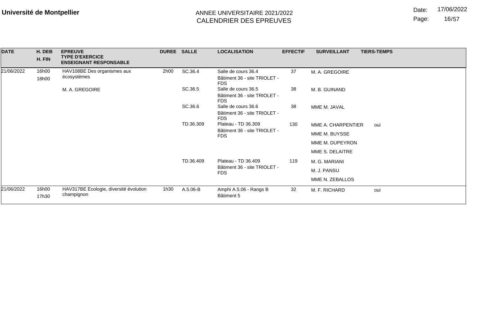Date: 17/06/2022

Page: 16/57

| <b>DATE</b> | H. DEB<br>H. FIN | <b>EPREUVE</b><br><b>TYPE D'EXERCICE</b><br><b>ENSEIGNANT RESPONSABLE</b> |      | DUREE SALLE | <b>LOCALISATION</b>                                                             | <b>EFFECTIF</b> | <b>SURVEILLANT</b> | <b>TIERS-TEMPS</b> |
|-------------|------------------|---------------------------------------------------------------------------|------|-------------|---------------------------------------------------------------------------------|-----------------|--------------------|--------------------|
| 21/06/2022  | 16h00<br>18h00   | HAV108BE Des organismes aux<br>écosystèmes                                | 2h00 | SC.36.4     | Salle de cours 36.4<br>Bâtiment 36 - site TRIOLET -                             | 37              | M. A. GREGOIRE     |                    |
|             |                  | M. A. GREGOIRE                                                            |      | SC.36.5     | <b>FDS</b><br>Salle de cours 36.5<br>Bâtiment 36 - site TRIOLET -<br><b>FDS</b> | 38              | M. B. GUINAND      |                    |
|             |                  |                                                                           |      | SC.36.6     | Salle de cours 36.6<br>Bâtiment 36 - site TRIOLET -<br><b>FDS</b>               | 38              | MME M. JAVAL       |                    |
|             |                  |                                                                           |      | TD.36.309   | Plateau - TD 36.309                                                             | 130             | MME A. CHARPENTIER | oui                |
|             |                  |                                                                           |      |             | Bâtiment 36 - site TRIOLET -<br><b>FDS</b>                                      |                 | MME M. BUYSSE      |                    |
|             |                  |                                                                           |      |             |                                                                                 |                 | MME M. DUPEYRON    |                    |
|             |                  |                                                                           |      |             |                                                                                 |                 | MME S. DELAITRE    |                    |
|             |                  |                                                                           |      | TD.36.409   | Plateau - TD 36.409                                                             | 119             | M. G. MARIANI      |                    |
|             |                  |                                                                           |      |             | Bâtiment 36 - site TRIOLET -<br><b>FDS</b>                                      |                 | M. J. PANSU        |                    |
|             |                  |                                                                           |      |             |                                                                                 |                 | MME N. ZEBALLOS    |                    |
| 21/06/2022  | 16h00<br>17h30   | HAV317BE Ecologie, diversité évolution<br>champignon                      | 1h30 | A.5.06-B    | Amphi A.5.06 - Rangs B<br>Bâtiment 5                                            | 32              | M. F. RICHARD      | oui                |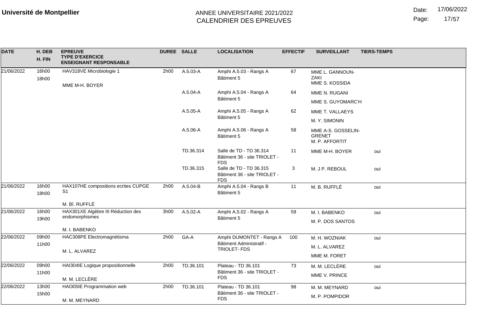Page: 17/57

| <b>DATE</b> | H. DEB<br>H. FIN | <b>EPREUVE</b><br><b>TYPE D'EXERCICE</b><br><b>ENSEIGNANT RESPONSABLE</b> | <b>DUREE SALLE</b> |           | <b>LOCALISATION</b>                                                   | <b>EFFECTIF</b> | <b>TIERS-TEMPS</b><br><b>SURVEILLANT</b>              |
|-------------|------------------|---------------------------------------------------------------------------|--------------------|-----------|-----------------------------------------------------------------------|-----------------|-------------------------------------------------------|
| 21/06/2022  | 16h00<br>18h00   | HAV318VE Microbiologie 1<br>MME M-H. BOYER                                | 2h00               | A.5.03-A  | Amphi A.5.03 - Rangs A<br>Bâtiment 5                                  | 67              | MME L. GANNOUN-<br>ZAKI<br>MME S. KOSSIDA             |
|             |                  |                                                                           |                    | A.5.04-A  | Amphi A.5.04 - Rangs A<br>Bâtiment 5                                  | 64              | MME N. RUGANI<br>MME S. GUYOMARC'H                    |
|             |                  |                                                                           |                    | A.5.05-A  | Amphi A.5.05 - Rangs A<br>Bâtiment 5                                  | 62              | MME T. VALLAEYS<br>M. Y. SIMONIN                      |
|             |                  |                                                                           |                    | A.5.06-A  | Amphi A.5.06 - Rangs A<br>Bâtiment 5                                  | 58              | MME A-S. GOSSELIN-<br><b>GRENET</b><br>M. P. AFFORTIT |
|             |                  |                                                                           |                    | TD.36.314 | Salle de TD - TD 36.314<br>Bâtiment 36 - site TRIOLET -<br><b>FDS</b> | 11              | MME M-H. BOYER<br>oui                                 |
|             |                  |                                                                           |                    | TD.36.315 | Salle de TD - TD 36.315<br>Bâtiment 36 - site TRIOLET -<br><b>FDS</b> | 3               | M. J P. REBOUL<br>oui                                 |
| 21/06/2022  | 16h00<br>18h00   | HAX107HE compositions ecrites CUPGE<br>S <sub>1</sub>                     | 2h00               | A.5.04-B  | Amphi A.5.04 - Rangs B<br>Bâtiment 5                                  | 11              | M. B. RUFFLÉ<br>oui                                   |
|             |                  | M. Bî. RUFFLÉ                                                             |                    |           |                                                                       |                 |                                                       |
| 21/06/2022  | 16h00            | HAX301XE Algèbre III Réduction des                                        | 3h00               | A.5.02-A  | Amphi A.5.02 - Rangs A                                                | 59              | M. I. BABENKO<br>oui                                  |
|             | 19h00            | endomorphismes                                                            |                    |           | Bâtiment 5                                                            |                 | M. P. DOS SANTOS                                      |
|             |                  | M. I. BABENKO                                                             |                    |           |                                                                       |                 |                                                       |
| 22/06/2022  | 09h00            | HAC308PE Electromagnétisma                                                | 2h00               | GA-A      | Amphi DUMONTET - Rangs A                                              | 100             | M. H. WOZNIAK<br>oui                                  |
|             | 11h00            |                                                                           |                    |           | Bâtiment Administratif -<br>TRIOLET-FDS                               |                 | M. L. ALVAREZ                                         |
|             |                  | M. L. ALVAREZ                                                             |                    |           |                                                                       |                 | MME M. FORET                                          |
| 22/06/2022  | 09h00            | HAI304IE Logique propositionnelle                                         | 2h00               | TD.36.101 | Plateau - TD 36.101                                                   | 73              | M. M. LECLÈRE<br>oui                                  |
|             | 11h00            | M. M. LECLÈRE                                                             |                    |           | Bâtiment 36 - site TRIOLET -<br><b>FDS</b>                            |                 | MME V. PRINCE                                         |
| 22/06/2022  | 13h00            | HAI305IE Programmation web                                                | 2h00               | TD.36.101 | Plateau - TD 36.101                                                   | 98              |                                                       |
|             | 15h00            |                                                                           |                    |           | Bâtiment 36 - site TRIOLET -                                          |                 | M. M. MEYNARD<br>oui                                  |
|             |                  | M. M. MEYNARD                                                             |                    |           | <b>FDS</b>                                                            |                 | M. P. POMPIDOR                                        |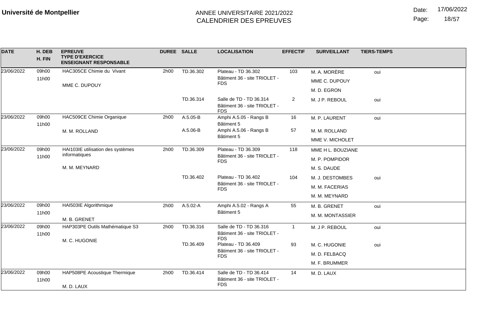Date: 17/06/2022

Page: 18/57

| <b>DATE</b> | H. DEB<br>H. FIN | <b>EPREUVE</b><br><b>TYPE D'EXERCICE</b><br><b>ENSEIGNANT RESPONSABLE</b> | DUREE SALLE |            | <b>LOCALISATION</b>                                                   | <b>EFFECTIF</b> | <b>SURVEILLANT</b> | <b>TIERS-TEMPS</b> |
|-------------|------------------|---------------------------------------------------------------------------|-------------|------------|-----------------------------------------------------------------------|-----------------|--------------------|--------------------|
| 23/06/2022  | 09h00            | HAC305CE Chimie du Vivant                                                 | 2h00        | TD.36.302  | Plateau - TD 36.302                                                   | 103             | M. A. MORÈRE       | oui                |
|             | 11h00            | MME C. DUPOUY                                                             |             |            | Bâtiment 36 - site TRIOLET -<br><b>FDS</b>                            |                 | MME C. DUPOUY      |                    |
|             |                  |                                                                           |             |            |                                                                       |                 | M. D. EGRON        |                    |
|             |                  |                                                                           |             | TD.36.314  | Salle de TD - TD 36.314<br>Bâtiment 36 - site TRIOLET -<br><b>FDS</b> | $\overline{2}$  | M. J P. REBOUL     | oui                |
| 23/06/2022  | 09h00            | HAC509CE Chimie Organique                                                 | 2h00        | A.5.05-B   | Amphi A.5.05 - Rangs B                                                | 16              | M. P. LAURENT      | oui                |
|             | 11h00            | M. M. ROLLAND                                                             |             | A.5.06-B   | Bâtiment 5<br>Amphi A.5.06 - Rangs B                                  | 57              | M. M. ROLLAND      |                    |
|             |                  |                                                                           |             |            | Bâtiment 5                                                            |                 | MME V. MICHOLET    |                    |
| 23/06/2022  | 09h00            | HAI103IE utilisation des systèmes                                         | 2h00        | TD.36.309  | Plateau - TD 36.309                                                   | 118             |                    |                    |
|             | 11h00            | informatiques                                                             |             |            | Bâtiment 36 - site TRIOLET -                                          |                 | MME H L. BOUZIANE  |                    |
|             |                  | M. M. MEYNARD                                                             |             |            | <b>FDS</b>                                                            |                 | M. P. POMPIDOR     |                    |
|             |                  |                                                                           |             |            |                                                                       |                 | M. S. DAUDE        |                    |
|             |                  |                                                                           |             | TD.36.402  | Plateau - TD 36.402<br>Bâtiment 36 - site TRIOLET -                   | 104             | M. J. DESTOMBES    | oui                |
|             |                  |                                                                           |             | <b>FDS</b> |                                                                       | M. M. FACERIAS  |                    |                    |
|             |                  |                                                                           |             |            |                                                                       |                 | M. M. MEYNARD      |                    |
| 23/06/2022  | 09h00            | HAI503IE Algorithmique                                                    | 2h00        | A.5.02-A   | Amphi A.5.02 - Rangs A                                                | 55              | M. B. GRENET       | oui                |
|             | 11h00            |                                                                           |             |            | Bâtiment 5                                                            |                 | M. M. MONTASSIER   |                    |
| 23/06/2022  | 09h00            | M. B. GRENET<br>HAP303PE Outils Mathématique S3                           | 2h00        | TD.36.316  | Salle de TD - TD 36.316                                               | $\overline{1}$  | M. J P. REBOUL     |                    |
|             | 11h00            |                                                                           |             |            | Bâtiment 36 - site TRIOLET -                                          |                 |                    | oui                |
|             |                  | M. C. HUGONIE                                                             |             | TD.36.409  | <b>FDS</b><br>Plateau - TD 36.409                                     | 93              |                    |                    |
|             |                  |                                                                           |             |            | Bâtiment 36 - site TRIOLET -                                          |                 | M. C. HUGONIE      | oui                |
|             |                  |                                                                           |             |            | <b>FDS</b>                                                            |                 | M. D. FELBACQ      |                    |
|             |                  |                                                                           |             |            |                                                                       |                 | M. F. BRUMMER      |                    |
| 23/06/2022  | 09h00            | HAP508PE Acoustique Thermique                                             | 2h00        | TD.36.414  | Salle de TD - TD 36.414                                               | 14              | M. D. LAUX         |                    |
|             | 11h00            | M. D. LAUX                                                                |             |            | Bâtiment 36 - site TRIOLET -<br><b>FDS</b>                            |                 |                    |                    |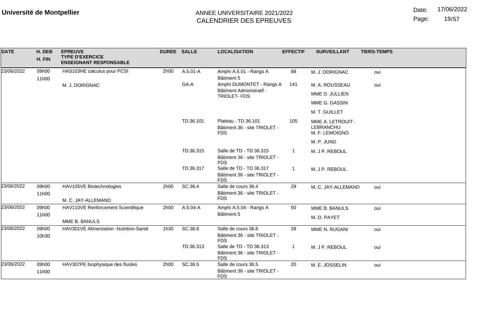Date: 17/06/2022

Page: 19/57

| <b>DATE</b> | H. DEB<br>H. FIN | <b>EPREUVE</b><br><b>TYPE D'EXERCICE</b><br><b>ENSEIGNANT RESPONSABLE</b> | DUREE SALLE |           | <b>LOCALISATION</b>                                                   | <b>EFFECTIF</b> | <b>SURVEILLANT</b>                              | <b>TIERS-TEMPS</b> |
|-------------|------------------|---------------------------------------------------------------------------|-------------|-----------|-----------------------------------------------------------------------|-----------------|-------------------------------------------------|--------------------|
| 23/06/2022  | 09h00<br>11h00   | HAS103HE calculus pour PCSI                                               | 2h00        | A.5.01-A  | Amphi A.5.01 - Rangs A<br>Bâtiment 5                                  | 68              | M. J. DORIGNAC                                  | oui                |
|             |                  | M. J. DORIGNAC                                                            |             | GA-A      | Amphi DUMONTET - Rangs A                                              | 141             | M. A. ROUSSEAU                                  | oui                |
|             |                  |                                                                           |             |           | Bâtiment Administratif -<br>TRIOLET-FDS                               |                 | MME D. JULLIEN                                  |                    |
|             |                  |                                                                           |             |           |                                                                       |                 | MME G. GASSIN                                   |                    |
|             |                  |                                                                           |             |           |                                                                       |                 | M. T. GUILLET                                   |                    |
|             |                  |                                                                           |             | TD.36.101 | Plateau - TD 36.101<br>Bâtiment 36 - site TRIOLET -<br><b>FDS</b>     | 105             | MME A. LETROUIT-<br>LEBRANCHU<br>M. F. LEMOIGNO |                    |
|             |                  |                                                                           |             |           |                                                                       |                 | M. P. JUND                                      |                    |
|             |                  |                                                                           |             | TD.36.315 | Salle de TD - TD 36.315<br>Bâtiment 36 - site TRIOLET -<br><b>FDS</b> |                 | M. J P. REBOUL                                  |                    |
|             |                  |                                                                           |             | TD.36.317 | Salle de TD - TD 36.317<br>Bâtiment 36 - site TRIOLET -<br><b>FDS</b> |                 | M. J P. REBOUL                                  |                    |
| 23/06/2022  | 09h00            | HAV105VE Biotechnologies                                                  | 2h00        | SC.36.4   | Salle de cours 36.4                                                   | 29              | M. C. JAY-ALLEMAND                              | oui                |
|             | 11h00            | M. C. JAY-ALLEMAND                                                        |             |           | Bâtiment 36 - site TRIOLET -<br><b>FDS</b>                            |                 |                                                 |                    |
| 23/06/2022  | 09h00            | HAV110VE Renforcement Scientifique                                        | 2h00        | A.5.04-A  | Amphi A.5.04 - Rangs A                                                | 50              | MME B. BANULS                                   | oui                |
|             | 11h00            | MME B. BANULS                                                             |             |           | Bâtiment 5                                                            |                 | M. O. PAYET                                     |                    |
| 23/06/2022  | 09h00            | HAV301VE Alimentation -Nutrition-Santé                                    | 1h30        | SC.36.6   | Salle de cours 36.6                                                   | 28              | MME N. RUGANI                                   | oui                |
|             | 10h30            |                                                                           |             |           | Bâtiment 36 - site TRIOLET -<br><b>FDS</b>                            |                 |                                                 |                    |
|             |                  |                                                                           |             | TD.36.313 | Salle de TD - TD 36.313<br>Bâtiment 36 - site TRIOLET -<br><b>FDS</b> |                 | M. J P. REBOUL                                  | oui                |
| 23/06/2022  | 09h00            | HAV307PE biophysique des fluides                                          | 2h00        | SC.36.5   | Salle de cours 36.5                                                   | 20              | M. E. JOSSELIN                                  | oui                |
|             | 11h00            |                                                                           |             |           | Bâtiment 36 - site TRIOLET -<br><b>FDS</b>                            |                 |                                                 |                    |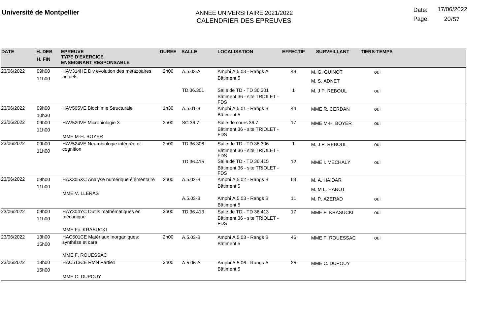Date: 17/06/2022

Page: 20/57

| M. G. GUINOT<br>oui<br>M. S. ADNET |
|------------------------------------|
|                                    |
| M. J P. REBOUL<br>oui              |
| MME R. CERDAN<br>oui               |
| MME M-H. BOYER<br>oui              |
| M. J P. REBOUL<br>oui              |
| MME I. MECHALY<br>oui              |
| M. A. HAIDAR<br>M. M L. HANOT      |
| M. P. AZERAD<br>oui                |
| MME F. KRASUCKI<br>oui             |
| MME F. ROUESSAC<br>oui             |
| MME C. DUPOUY                      |
|                                    |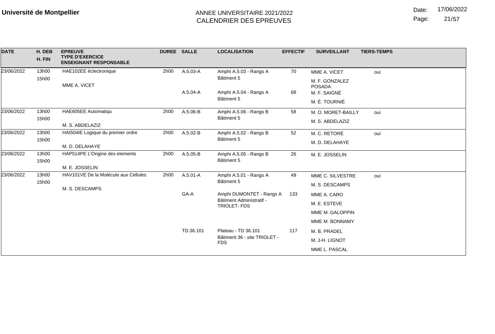Date: 17/06/2022

Page: 21/57

| <b>DATE</b> | H. DEB<br>H. FIN                                  | <b>EPREUVE</b><br><b>TYPE D'EXERCICE</b><br><b>ENSEIGNANT RESPONSABLE</b> | <b>DUREE SALLE</b> |                                      | <b>LOCALISATION</b>                        | <b>EFFECTIF</b> | <b>SURVEILLANT</b>              | <b>TIERS-TEMPS</b> |
|-------------|---------------------------------------------------|---------------------------------------------------------------------------|--------------------|--------------------------------------|--------------------------------------------|-----------------|---------------------------------|--------------------|
| 23/06/2022  | 13h00                                             | HAE102EE éclectronique                                                    | 2h00               | A.5.03-A                             | Amphi A.5.03 - Rangs A                     | 70              | MME A. VICET                    | oui                |
|             | 15h00                                             | MME A. VICET                                                              |                    |                                      | Bâtiment 5                                 |                 | M. F. GONZALEZ<br><b>POSADA</b> |                    |
|             |                                                   |                                                                           |                    | A.5.04-A                             | Amphi A.5.04 - Rangs A                     | 68              | M. F. SAIGNÉ                    |                    |
|             |                                                   |                                                                           |                    |                                      | Bâtiment 5                                 |                 | M. É. TOURNIÉ                   |                    |
| 23/06/2022  | 13h00                                             | HAE605EE Automatiqu                                                       | 2h00               | A.5.06-B                             | Amphi A.5.06 - Rangs B                     | 58              | M. O. MORET-BAILLY              | oui                |
|             | 15h00                                             | M. S. ABDELAZIZ                                                           |                    |                                      | Bâtiment 5                                 |                 | M. S. ABDELAZIZ                 |                    |
| 23/06/2022  | 13h00                                             | HAI504IE Logique du premier ordre                                         | 2h00               | A.5.02-B                             | Amphi A.5.02 - Rangs B                     | 52              | M. C. RETORÉ                    | oui                |
|             | 15h00                                             | Bâtiment 5                                                                |                    | M. D. DELAHAYE                       |                                            |                 |                                 |                    |
|             |                                                   | M. D. DELAHAYE                                                            |                    |                                      |                                            |                 |                                 |                    |
| 23/06/2022  | 13h00<br>HAP514PE L'Origine des elements<br>15h00 | 2h00                                                                      | A.5.05-B           | Amphi A.5.05 - Rangs B<br>Bâtiment 5 | 26                                         | M. E. JOSSELIN  |                                 |                    |
|             |                                                   | M. E. JOSSELIN                                                            |                    |                                      |                                            |                 |                                 |                    |
| 23/06/2022  | 13h00                                             | HAV101VE De la Molécule aux Cellules                                      | 2h00               | $A.5.01 - A$                         | Amphi A.5.01 - Rangs A                     | 49              | MME C. SILVESTRE                | oui                |
|             | 15h00                                             | M. S. DESCAMPS                                                            |                    |                                      | Bâtiment 5                                 |                 | M. S. DESCAMPS                  |                    |
|             |                                                   |                                                                           |                    | GA-A                                 | Amphi DUMONTET - Rangs A                   | 133             | MME A. CARO                     |                    |
|             |                                                   |                                                                           |                    |                                      | Bâtiment Administratif -<br>TRIOLET-FDS    |                 | M. E. ESTEVE                    |                    |
|             |                                                   |                                                                           |                    |                                      |                                            |                 | MME M. GALOPPIN                 |                    |
|             |                                                   |                                                                           |                    |                                      |                                            |                 | MME M. BONNAMY                  |                    |
|             |                                                   |                                                                           |                    | TD.36.101                            | Plateau - TD 36.101                        | 117             | M. B. PRADEL                    |                    |
|             |                                                   |                                                                           |                    |                                      | Bâtiment 36 - site TRIOLET -<br><b>FDS</b> |                 | M. J-H. LIGNOT                  |                    |
|             |                                                   |                                                                           |                    |                                      |                                            |                 | MME L. PASCAL                   |                    |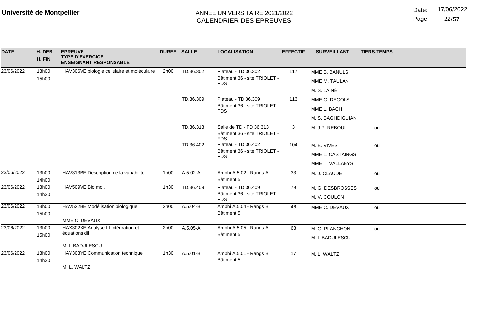Page: 22/57

| <b>DATE</b> | H. DEB<br>H. FIN | <b>EPREUVE</b><br><b>TYPE D'EXERCICE</b><br><b>ENSEIGNANT RESPONSABLE</b> | <b>DUREE SALLE</b> |                        | <b>LOCALISATION</b>                                                   | <b>EFFECTIF</b> | <b>SURVEILLANT</b> | <b>TIERS-TEMPS</b> |
|-------------|------------------|---------------------------------------------------------------------------|--------------------|------------------------|-----------------------------------------------------------------------|-----------------|--------------------|--------------------|
| 23/06/2022  | 13h00            | HAV306VE biologie cellulaire et moléculaire                               | 2h00               | TD.36.302              | Plateau - TD 36.302<br>Bâtiment 36 - site TRIOLET -                   | 117             | MME B. BANULS      |                    |
|             | 15h00            |                                                                           |                    |                        | <b>FDS</b>                                                            |                 | MME M. TAULAN      |                    |
|             |                  |                                                                           |                    |                        |                                                                       |                 | M. S. LAINÉ        |                    |
|             |                  |                                                                           |                    | TD.36.309              | Plateau - TD 36.309                                                   | 113             | MME G. DEGOLS      |                    |
|             |                  |                                                                           |                    |                        | Bâtiment 36 - site TRIOLET -<br><b>FDS</b>                            |                 | MME L. BACH        |                    |
|             |                  |                                                                           |                    |                        |                                                                       |                 | M. S. BAGHDIGUIAN  |                    |
|             |                  |                                                                           |                    | TD.36.313              | Salle de TD - TD 36.313<br>Bâtiment 36 - site TRIOLET -<br><b>FDS</b> | 3               | M. J P. REBOUL     | oui                |
|             |                  |                                                                           |                    | TD.36.402              | Plateau - TD 36.402<br>Bâtiment 36 - site TRIOLET -<br><b>FDS</b>     | 104             | M. E. VIVES        | oui                |
|             |                  |                                                                           |                    |                        |                                                                       |                 | MME L. CASTAINGS   |                    |
|             |                  |                                                                           |                    |                        |                                                                       |                 | MME T. VALLAEYS    |                    |
| 23/06/2022  | 13h00<br>14h00   | HAV313BE Description de la variabilité                                    | 1h00               | A.5.02-A               | Amphi A.5.02 - Rangs A<br>Bâtiment 5                                  | 33              | M. J. CLAUDE       | oui                |
| 23/06/2022  | 13h00            | HAV509VE Bio mol.                                                         | 1h30               | TD.36.409              | Plateau - TD 36.409                                                   | 79              | M. G. DESBROSSES   | oui                |
|             | 14h30            |                                                                           |                    |                        | Bâtiment 36 - site TRIOLET -<br><b>FDS</b>                            |                 | M. V. COULON       |                    |
| 23/06/2022  | 13h00            | HAV522BE Modélisation biologique                                          | 2h00               | A.5.04-B               | Amphi A.5.04 - Rangs B                                                | 46              | MME C. DEVAUX      | oui                |
|             | 15h00            | MME C. DEVAUX                                                             |                    |                        | Bâtiment 5                                                            |                 |                    |                    |
| 23/06/2022  | 13h00            | HAX302XE Analyse III Intégration et                                       | 2h00               | A.5.05-A               | Amphi A.5.05 - Rangs A                                                | 68              | M. G. PLANCHON     | oui                |
|             | 15h00            | équations dif                                                             |                    |                        | Bâtiment 5                                                            |                 | M. I. BADULESCU    |                    |
|             |                  | M. I. BADULESCU                                                           |                    |                        |                                                                       |                 |                    |                    |
| 23/06/2022  | 13h00            | HAY303YE Communication technique                                          | 1h30               | A.5.01-B<br>Bâtiment 5 | Amphi A.5.01 - Rangs B                                                | 17              | M. L. WALTZ        |                    |
|             | 14h30            |                                                                           |                    |                        |                                                                       |                 |                    |                    |
|             |                  | M. L. WALTZ                                                               |                    |                        |                                                                       |                 |                    |                    |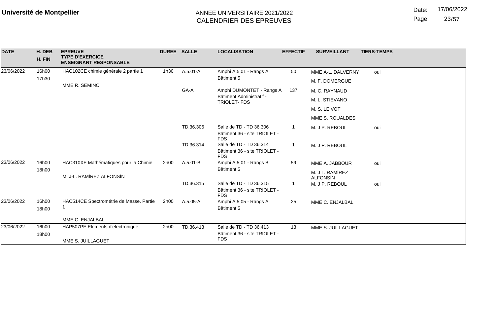Date: 17/06/2022

Page: 23/57

| <b>DATE</b> | H. DEB<br>H. FIN | <b>EPREUVE</b><br><b>TYPE D'EXERCICE</b><br><b>ENSEIGNANT RESPONSABLE</b> | DUREE SALLE |              | <b>LOCALISATION</b>                                                   | <b>EFFECTIF</b> | <b>SURVEILLANT</b>                 | <b>TIERS-TEMPS</b> |
|-------------|------------------|---------------------------------------------------------------------------|-------------|--------------|-----------------------------------------------------------------------|-----------------|------------------------------------|--------------------|
| 23/06/2022  | 16h00            | HAC102CE chimie générale 2 partie 1                                       | 1h30        | $A.5.01 - A$ | Amphi A.5.01 - Rangs A<br>Bâtiment 5                                  | 50              | MME A-L. DALVERNY                  | oui                |
|             | 17h30            | MME R. SEMINO                                                             |             |              |                                                                       |                 | M. F. DOMERGUE                     |                    |
|             |                  |                                                                           | GA-A        |              | Amphi DUMONTET - Rangs A                                              | 137             | M. C. RAYNAUD                      |                    |
|             |                  |                                                                           |             |              | Bâtiment Administratif -<br><b>TRIOLET-FDS</b>                        |                 | M. L. STIEVANO                     |                    |
|             |                  |                                                                           |             |              |                                                                       |                 | M. S. LE VOT                       |                    |
|             |                  |                                                                           |             |              |                                                                       |                 | MME S. ROUALDES                    |                    |
|             |                  |                                                                           |             | TD.36.306    | Salle de TD - TD 36.306<br>Bâtiment 36 - site TRIOLET -<br><b>FDS</b> | 1.              | M. J P. REBOUL                     | oui                |
|             |                  |                                                                           |             | TD.36.314    | Salle de TD - TD 36.314<br>Bâtiment 36 - site TRIOLET -<br><b>FDS</b> |                 | M. J P. REBOUL                     |                    |
| 23/06/2022  | 16h00            | HAC310XE Mathématiques pour la Chimie                                     | 2h00        | $A.5.01 - B$ | Amphi A.5.01 - Rangs B                                                | 59              | MME A. JABBOUR                     | oui                |
|             | 18h00            | M. J-L. RAMÍREZ ALFONSÍN                                                  |             |              | Bâtiment 5                                                            |                 | M. J L. RAMÍREZ<br><b>ALFONSIN</b> |                    |
|             |                  |                                                                           |             | TD.36.315    | Salle de TD - TD 36.315<br>Bâtiment 36 - site TRIOLET -<br><b>FDS</b> |                 | M. J P. REBOUL                     | oui                |
| 23/06/2022  | 16h00<br>18h00   | HAC514CE Spectrométrie de Masse. Partie                                   | 2h00        | A.5.05-A     | Amphi A.5.05 - Rangs A<br>Bâtiment 5                                  | 25              | MME C. ENJALBAL                    |                    |
|             |                  | MME C. ENJALBAL                                                           |             |              |                                                                       |                 |                                    |                    |
| 23/06/2022  | 16h00            | HAP507PE Elements d'electronique                                          | 2h00        | TD.36.413    | Salle de TD - TD 36.413                                               | 13              | MME S. JUILLAGUET                  |                    |
|             | 18h00            | MME S. JUILLAGUET                                                         |             |              | Bâtiment 36 - site TRIOLET -<br><b>FDS</b>                            |                 |                                    |                    |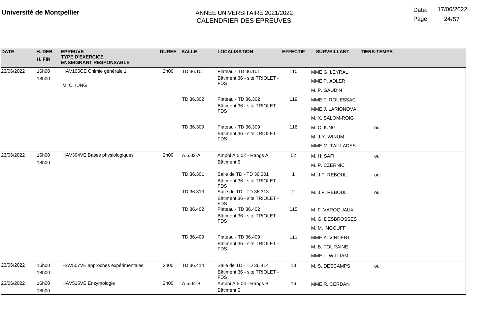Date: 17/06/2022

Page: 24/57

| <b>DATE</b> | H. DEB<br>H. FIN | <b>EPREUVE</b><br><b>TYPE D'EXERCICE</b><br><b>ENSEIGNANT RESPONSABLE</b> | DUREE SALLE            |                                                                                                                                                | <b>LOCALISATION</b>                                                   | <b>EFFECTIF</b> | <b>SURVEILLANT</b> | <b>TIERS-TEMPS</b> |
|-------------|------------------|---------------------------------------------------------------------------|------------------------|------------------------------------------------------------------------------------------------------------------------------------------------|-----------------------------------------------------------------------|-----------------|--------------------|--------------------|
| 23/06/2022  | 16h00            | HAV105CE Chimie générale 1                                                | 2h00                   | TD.36.101                                                                                                                                      | Plateau - TD 36.101                                                   | 110             | MME G. LEYRAL      |                    |
|             | 18h00            | M. C. IUNG                                                                |                        |                                                                                                                                                | Bâtiment 36 - site TRIOLET -<br><b>FDS</b>                            |                 | MME P. ADLER       |                    |
|             |                  |                                                                           |                        |                                                                                                                                                |                                                                       |                 | M. P. GAUDIN       |                    |
|             |                  |                                                                           |                        | TD.36.302                                                                                                                                      | Plateau - TD 36.302                                                   | 119             | MME F. ROUESSAC    |                    |
|             |                  |                                                                           |                        |                                                                                                                                                | Bâtiment 36 - site TRIOLET -<br><b>FDS</b>                            |                 | MME J. LARIONOVA   |                    |
|             |                  |                                                                           |                        |                                                                                                                                                |                                                                       |                 | M. X. SALOM-ROIG   |                    |
|             |                  |                                                                           |                        | TD.36.309                                                                                                                                      | Plateau - TD 36.309                                                   | 116             | M. C. IUNG         | oui                |
|             |                  |                                                                           |                        |                                                                                                                                                | Bâtiment 36 - site TRIOLET -<br><b>FDS</b>                            |                 | M. J-Y. WINUM      |                    |
|             |                  |                                                                           |                        |                                                                                                                                                |                                                                       |                 | MME M. TAILLADES   |                    |
| 23/06/2022  | 16h00            | HAV304VE Bases physiologiques                                             | 2h00                   | A.5.02-A                                                                                                                                       | Amphi A.5.02 - Rangs A                                                | 52              | M. H. SAFI         | oui                |
|             | 18h00            |                                                                           |                        |                                                                                                                                                | Bâtiment 5                                                            |                 | M. P. CZERNIC      |                    |
|             |                  |                                                                           | TD.36.301<br>TD.36.313 | Salle de TD - TD 36.301<br>Bâtiment 36 - site TRIOLET -<br><b>FDS</b><br>Salle de TD - TD 36.313<br>Bâtiment 36 - site TRIOLET -<br><b>FDS</b> | -1                                                                    | M. J P. REBOUL  | oui                |                    |
|             |                  |                                                                           |                        |                                                                                                                                                | $\overline{2}$                                                        | M. J P. REBOUL  | oui                |                    |
|             |                  |                                                                           |                        | TD.36.402                                                                                                                                      | Plateau - TD 36.402                                                   | 115             | M. F. VAROQUAUX    |                    |
|             |                  |                                                                           |                        |                                                                                                                                                | Bâtiment 36 - site TRIOLET -<br><b>FDS</b>                            |                 | M. G. DESBROSSES   |                    |
|             |                  |                                                                           |                        |                                                                                                                                                |                                                                       |                 | M. M. INGOUFF      |                    |
|             |                  |                                                                           |                        | TD.36.409                                                                                                                                      | Plateau - TD 36.409                                                   | 111             | MME A. VINCENT     |                    |
|             |                  |                                                                           |                        |                                                                                                                                                | Bâtiment 36 - site TRIOLET -<br><b>FDS</b>                            |                 | M. B. TOURAINE     |                    |
|             |                  |                                                                           |                        |                                                                                                                                                |                                                                       |                 | MME L. WILLIAM     |                    |
| 23/06/2022  | 16h00<br>18h00   | HAV507VE approches expérimentales                                         | 2h00                   | TD.36.414                                                                                                                                      | Salle de TD - TD 36.414<br>Bâtiment 36 - site TRIOLET -<br><b>FDS</b> | 13              | M. S. DESCAMPS     | oui                |
| 23/06/2022  | 16h00<br>18h00   | HAV515VE Enzymologie                                                      | 2h00                   | A.5.04-B                                                                                                                                       | Amphi A.5.04 - Rangs B<br>Bâtiment 5                                  | 16              | MME R. CERDAN      |                    |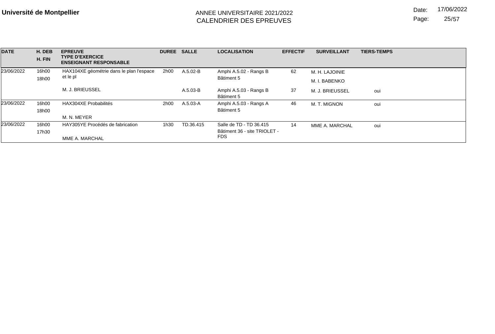Page: 25/57

| <b>DATE</b> | H. DEB<br>H. FIN | <b>EPREUVE</b><br><b>TYPE D'EXERCICE</b><br><b>ENSEIGNANT RESPONSABLE</b> |      | <b>DUREE SALLE</b> | <b>LOCALISATION</b>                                                   | <b>EFFECTIF</b> | <b>SURVEILLANT</b>              | <b>TIERS-TEMPS</b> |
|-------------|------------------|---------------------------------------------------------------------------|------|--------------------|-----------------------------------------------------------------------|-----------------|---------------------------------|--------------------|
| 23/06/2022  | 16h00<br>18h00   | HAX104XE géométrie dans le plan l'espace<br>et le pl                      | 2h00 | A.5.02-B           | Amphi A.5.02 - Rangs B<br>Bâtiment 5                                  | 62              | M. H. LAJOINIE<br>M. I. BABENKO |                    |
|             |                  | M. J. BRIEUSSEL                                                           |      | $A.5.03-B$         | Amphi A.5.03 - Rangs B<br>Bâtiment 5                                  | 37              | M. J. BRIEUSSEL                 | oui                |
| 23/06/2022  | 16h00<br>18h00   | HAX304XE Probabilités<br>M. N. MEYER                                      | 2h00 | A.5.03-A           | Amphi A.5.03 - Rangs A<br>Bâtiment 5                                  | 46              | M. T. MIGNON                    | oui                |
| 23/06/2022  | 16h00<br>17h30   | HAY305YE Procédés de fabrication<br>MME A. MARCHAL                        | 1h30 | TD.36.415          | Salle de TD - TD 36.415<br>Bâtiment 36 - site TRIOLET -<br><b>FDS</b> | 14              | MME A. MARCHAL                  | oui                |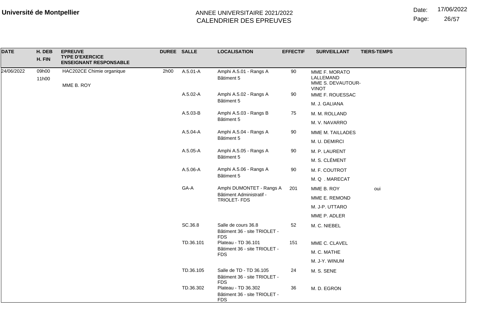Date: 17/06/2022

Page: 26/57

| <b>DATE</b> | H. DEB<br>H. FIN | <b>EPREUVE</b><br><b>TYPE D'EXERCICE</b><br><b>ENSEIGNANT RESPONSABLE</b> | DUREE SALLE  |                                                                       | <b>LOCALISATION</b>                                               | <b>EFFECTIF</b> | <b>SURVEILLANT</b>                                              | <b>TIERS-TEMPS</b> |
|-------------|------------------|---------------------------------------------------------------------------|--------------|-----------------------------------------------------------------------|-------------------------------------------------------------------|-----------------|-----------------------------------------------------------------|--------------------|
| 24/06/2022  | 09h00<br>11h00   | HAC202CE Chimie organique<br>MME B. ROY                                   | 2h00         | A.5.01-A                                                              | Amphi A.5.01 - Rangs A<br>Bâtiment 5                              | 90              | MME F. MORATO<br>LALLEMAND<br>MME S. DEVAUTOUR-<br><b>VINOT</b> |                    |
|             |                  |                                                                           |              | A.5.02-A                                                              | Amphi A.5.02 - Rangs A                                            | 90              | MME F. ROUESSAC                                                 |                    |
|             |                  |                                                                           |              |                                                                       | Bâtiment 5                                                        |                 | M. J. GALIANA                                                   |                    |
|             |                  |                                                                           |              | A.5.03-B                                                              | Amphi A.5.03 - Rangs B                                            | 75              | M. M. ROLLAND                                                   |                    |
|             |                  |                                                                           |              |                                                                       | Bâtiment 5                                                        |                 | M. V. NAVARRO                                                   |                    |
|             |                  |                                                                           |              | A.5.04-A                                                              | Amphi A.5.04 - Rangs A                                            | 90              | MME M. TAILLADES                                                |                    |
|             |                  |                                                                           |              |                                                                       | Bâtiment 5                                                        |                 | M. U. DEMIRCI                                                   |                    |
|             |                  |                                                                           |              | A.5.05-A                                                              | Amphi A.5.05 - Rangs A                                            | 90              | M. P. LAURENT                                                   |                    |
|             |                  |                                                                           |              |                                                                       | Bâtiment 5                                                        |                 | M. S. CLÉMENT                                                   |                    |
|             |                  |                                                                           |              | A.5.06-A                                                              | Amphi A.5.06 - Rangs A<br>Bâtiment 5                              | 90              | M. F. COUTROT                                                   |                    |
|             |                  |                                                                           |              |                                                                       |                                                                   |                 | M.Q. MARECAT                                                    |                    |
|             |                  | GA-A<br>Bâtiment Administratif -                                          |              | Amphi DUMONTET - Rangs A                                              | 201                                                               | MME B. ROY      | oui                                                             |                    |
|             |                  |                                                                           | TRIOLET- FDS |                                                                       | MME E. REMOND                                                     |                 |                                                                 |                    |
|             |                  |                                                                           |              |                                                                       |                                                                   |                 | M. J-P. UTTARO                                                  |                    |
|             |                  |                                                                           |              |                                                                       |                                                                   |                 | MME P. ADLER                                                    |                    |
|             |                  |                                                                           |              | SC.36.8                                                               | Salle de cours 36.8<br>Bâtiment 36 - site TRIOLET -<br><b>FDS</b> | 52              | M. C. NIEBEL                                                    |                    |
|             |                  |                                                                           |              | TD.36.101                                                             | Plateau - TD 36.101                                               | 151             | MME C. CLAVEL                                                   |                    |
|             |                  |                                                                           |              |                                                                       | Bâtiment 36 - site TRIOLET -<br><b>FDS</b>                        |                 | M. C. MATHE                                                     |                    |
|             |                  |                                                                           |              |                                                                       |                                                                   |                 | M. J-Y. WINUM                                                   |                    |
|             |                  |                                                                           | TD.36.105    | Salle de TD - TD 36.105<br>Bâtiment 36 - site TRIOLET -<br><b>FDS</b> | 24                                                                | M. S. SENE      |                                                                 |                    |
|             |                  |                                                                           | TD.36.302    | Plateau - TD 36.302<br>Bâtiment 36 - site TRIOLET -<br><b>FDS</b>     | 36                                                                | M. D. EGRON     |                                                                 |                    |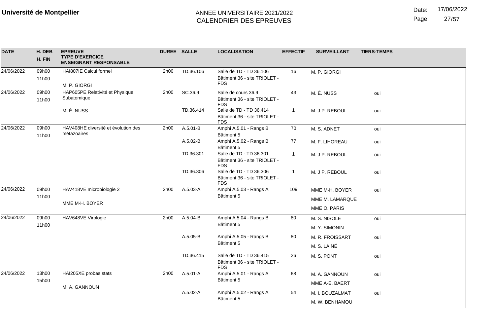Date: 17/06/2022

Page: 27/57

| <b>DATE</b> | H. DEB<br>H. FIN | <b>EPREUVE</b><br><b>TYPE D'EXERCICE</b><br><b>ENSEIGNANT RESPONSABLE</b> | DUREE SALLE |           | <b>LOCALISATION</b>                                                   | <b>EFFECTIF</b> | <b>SURVEILLANT</b> | <b>TIERS-TEMPS</b> |
|-------------|------------------|---------------------------------------------------------------------------|-------------|-----------|-----------------------------------------------------------------------|-----------------|--------------------|--------------------|
| 24/06/2022  | 09h00            | HAI807IE Calcul formel                                                    | 2h00        | TD.36.106 | Salle de TD - TD 36.106                                               | 16              | M. P. GIORGI       |                    |
|             | 11h00            | M. P. GIORGI                                                              |             |           | Bâtiment 36 - site TRIOLET -<br><b>FDS</b>                            |                 |                    |                    |
| 24/06/2022  | 09h00<br>11h00   | HAP605PE Relativité et Physique<br>Subatomique                            | 2h00        | SC.36.9   | Salle de cours 36.9<br>Bâtiment 36 - site TRIOLET -<br><b>FDS</b>     | 43              | M. É. NUSS         | oui                |
|             |                  | M. É. NUSS                                                                |             | TD.36.414 | Salle de TD - TD 36.414<br>Bâtiment 36 - site TRIOLET -<br><b>FDS</b> | $\mathbf{1}$    | M. J P. REBOUL     | oui                |
| 24/06/2022  | 09h00<br>11h00   | HAV408HE diversité et évolution des<br>métazoaires                        | 2h00        | A.5.01-B  | Amphi A.5.01 - Rangs B<br>Bâtiment 5                                  | 70              | M. S. ADNET        | oui                |
|             |                  |                                                                           |             | A.5.02-B  | Amphi A.5.02 - Rangs B<br>Bâtiment 5                                  | 77              | M. F. LIHOREAU     | oui                |
|             |                  |                                                                           |             | TD.36.301 | Salle de TD - TD 36.301<br>Bâtiment 36 - site TRIOLET -<br><b>FDS</b> | $\mathbf{1}$    | M. J P. REBOUL     | oui                |
|             |                  |                                                                           |             | TD.36.306 | Salle de TD - TD 36.306<br>Bâtiment 36 - site TRIOLET -<br><b>FDS</b> | -1              | M. J P. REBOUL     | oui                |
| 24/06/2022  | 09h00            | HAV418VE microbiologie 2                                                  | 2h00        | A.5.03-A  | Amphi A.5.03 - Rangs A                                                | 109             | MME M-H. BOYER     | oui                |
|             |                  | 11h00<br>MME M-H. BOYER                                                   |             |           | Bâtiment 5                                                            |                 | MME M. LAMARQUE    |                    |
|             |                  |                                                                           |             |           |                                                                       |                 | MME O. PARIS       |                    |
| 24/06/2022  | 09h00            | HAV648VE Virologie                                                        | 2h00        | A.5.04-B  | Amphi A.5.04 - Rangs B                                                | 80              | M. S. NISOLE       | oui                |
|             | 11h00            |                                                                           |             |           | Bâtiment 5                                                            |                 | M. Y. SIMONIN      |                    |
|             |                  |                                                                           |             | A.5.05-B  | Amphi A.5.05 - Rangs B                                                | 80              | M. R. FROISSART    | oui                |
|             |                  |                                                                           |             |           | Bâtiment 5                                                            |                 | M. S. LAINÉ        |                    |
|             |                  |                                                                           |             | TD.36.415 | Salle de TD - TD 36.415<br>Bâtiment 36 - site TRIOLET -<br><b>FDS</b> | 26              | M. S. PONT         | oui                |
| 24/06/2022  | 13h00            | HAI205XE probas stats                                                     | 2h00        | A.5.01-A  | Amphi A.5.01 - Rangs A                                                | 68              | M. A. GANNOUN      | oui                |
|             | 15h00            | M. A. GANNOUN                                                             |             |           | Bâtiment 5                                                            |                 | MME A-E. BAERT     |                    |
|             |                  |                                                                           |             | A.5.02-A  | Amphi A.5.02 - Rangs A<br>Bâtiment 5                                  | 54              | M. I. BOUZALMAT    | oui                |
|             |                  |                                                                           |             |           |                                                                       |                 | M. W. BENHAMOU     |                    |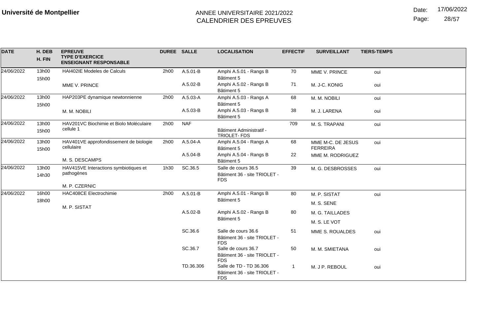Date: 17/06/2022

Page: 28/57

| <b>DATE</b> | H. DEB<br>H. FIN | <b>EPREUVE</b><br><b>TYPE D'EXERCICE</b>             | <b>DUREE SALLE</b> |              | <b>LOCALISATION</b>                                                   | <b>EFFECTIF</b> | <b>SURVEILLANT</b>                   | <b>TIERS-TEMPS</b> |
|-------------|------------------|------------------------------------------------------|--------------------|--------------|-----------------------------------------------------------------------|-----------------|--------------------------------------|--------------------|
|             |                  | <b>ENSEIGNANT RESPONSABLE</b>                        |                    |              |                                                                       |                 |                                      |                    |
| 24/06/2022  | 13h00<br>15h00   | HAI402IE Modeles de Calculs                          | 2h00               | A.5.01-B     | Amphi A.5.01 - Rangs B<br>Bâtiment 5                                  | 70              | MME V. PRINCE                        | oui                |
|             |                  | MME V. PRINCE                                        |                    | A.5.02-B     | Amphi A.5.02 - Rangs B<br>Bâtiment 5                                  | 71              | M. J-C. KONIG                        | oui                |
| 24/06/2022  | 13h00<br>15h00   | HAP203PE dynamique newtonnienne                      | 2h00               | A.5.03-A     | Amphi A.5.03 - Rangs A<br>Bâtiment 5                                  | 68              | M. M. NOBILI                         | oui                |
|             |                  | M. M. NOBILI                                         |                    | A.5.03-B     | Amphi A.5.03 - Rangs B<br>Bâtiment 5                                  | 38              | M. J. LARENA                         | oui                |
| 24/06/2022  | 13h00<br>15h00   | HAV201VC Biochimie et Biolo Moléculaire<br>cellule 1 | 2h00               | <b>NAF</b>   | Bâtiment Administratif -<br>TRIOLET- FDS                              | 709             | M. S. TRAPANI                        | oui                |
| 24/06/2022  | 13h00<br>15h00   | HAV401VE approfondissement de biologie<br>cellulaire | 2h00               | $A.5.04 - A$ | Amphi A.5.04 - Rangs A<br>Bâtiment 5                                  | 68              | MME M-C. DE JESUS<br><b>FERREIRA</b> | oui                |
|             |                  | M. S. DESCAMPS                                       |                    | A.5.04-B     | Amphi A.5.04 - Rangs B<br>Bâtiment 5                                  | 22              | MME M. RODRIGUEZ                     |                    |
| 24/06/2022  | 13h00<br>14h30   | HAV415VE Interactions symbiotiques et<br>pathogènes  | 1h30               | SC.36.5      | Salle de cours 36.5<br>Bâtiment 36 - site TRIOLET -<br><b>FDS</b>     | 39              | M. G. DESBROSSES                     | oui                |
|             |                  | M. P. CZERNIC                                        |                    |              |                                                                       |                 |                                      |                    |
| 24/06/2022  | 16h00<br>18h00   | HAC408CE Electrochimie                               | 2h00               | $A.5.01 - B$ | Amphi A.5.01 - Rangs B<br>Bâtiment 5                                  | 80              | M. P. SISTAT                         | oui                |
|             |                  | M. P. SISTAT                                         |                    |              |                                                                       |                 | M. S. SENE                           |                    |
|             |                  |                                                      |                    | A.5.02-B     | Amphi A.5.02 - Rangs B                                                | 80              | M. G. TAILLADES                      |                    |
|             |                  |                                                      |                    |              | Bâtiment 5                                                            |                 | M. S. LE VOT                         |                    |
|             |                  |                                                      |                    | SC.36.6      | Salle de cours 36.6<br>Bâtiment 36 - site TRIOLET -<br><b>FDS</b>     | 51              | MME S. ROUALDES                      | oui                |
|             |                  |                                                      |                    | SC.36.7      | Salle de cours 36.7<br>Bâtiment 36 - site TRIOLET -<br><b>FDS</b>     | 50              | M. M. SMIETANA                       | oui                |
|             |                  |                                                      |                    | TD.36.306    | Salle de TD - TD 36.306<br>Bâtiment 36 - site TRIOLET -<br><b>FDS</b> |                 | M. J P. REBOUL                       | oui                |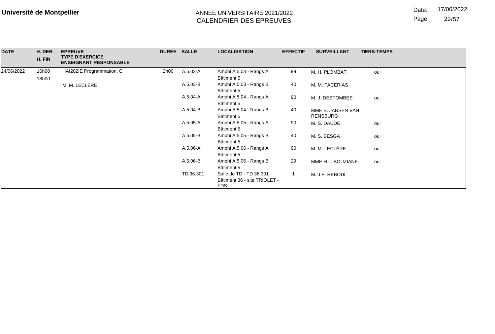Date: 17/06/2022

Page: 29/57

| <b>DATE</b> | H. DEB | <b>EPREUVE</b><br><b>TYPE D'EXERCICE</b> | DUREE SALLE |              | <b>LOCALISATION</b>          | <b>EFFECTIF</b> | <b>SURVEILLANT</b> | <b>TIERS-TEMPS</b> |
|-------------|--------|------------------------------------------|-------------|--------------|------------------------------|-----------------|--------------------|--------------------|
|             | H. FIN | <b>ENSEIGNANT RESPONSABLE</b>            |             |              |                              |                 |                    |                    |
|             |        |                                          |             |              |                              |                 |                    |                    |
| 24/06/2022  | 16h00  | HAI202IE Programmation. C                | 2h00        | A.5.03-A     | Amphi A.5.03 - Rangs A       | 99              | M. H. PLOMBAT      | oui                |
|             | 18h00  |                                          |             |              | Bâtiment 5                   |                 |                    |                    |
|             |        | M. M. LECLÈRE                            |             | A.5.03-B     | Amphi A.5.03 - Rangs B       | 40              | M. M. FACERIAS     |                    |
|             |        |                                          |             |              | Bâtiment 5                   |                 |                    |                    |
|             |        |                                          |             | A.5.04-A     | Amphi A.5.04 - Rangs A       | 90              | M. J. DESTOMBES    | oui                |
|             |        |                                          |             |              | Bâtiment 5                   |                 |                    |                    |
|             |        |                                          |             | A.5.04-B     | Amphi A.5.04 - Rangs B       | 40              | MME B. JANSEN VAN  |                    |
|             |        |                                          |             |              | Bâtiment 5                   |                 | <b>RENSBURG</b>    |                    |
|             |        |                                          |             | A.5.05-A     | Amphi A.5.05 - Rangs A       | 90              | M. S. DAUDE        | oui                |
|             |        |                                          |             |              | Bâtiment 5                   |                 |                    |                    |
|             |        |                                          |             | $A.5.05 - B$ | Amphi A.5.05 - Rangs B       | 40              | M. S. BESGA        | oui                |
|             |        |                                          |             |              | Bâtiment 5                   |                 |                    |                    |
|             |        |                                          |             | A.5.06-A     | Amphi A.5.06 - Rangs A       | 90              | M. M. LECLÈRE      | oui                |
|             |        |                                          |             |              | Bâtiment 5                   |                 |                    |                    |
|             |        |                                          |             | A.5.06-B     | Amphi A.5.06 - Rangs B       | 29              | MME H L. BOUZIANE  | oui                |
|             |        |                                          |             |              | Bâtiment 5                   |                 |                    |                    |
|             |        |                                          |             | TD.36.301    | Salle de TD - TD 36.301      |                 | M. J P. REBOUL     |                    |
|             |        |                                          |             |              | Bâtiment 36 - site TRIOLET - |                 |                    |                    |
|             |        |                                          |             |              | <b>FDS</b>                   |                 |                    |                    |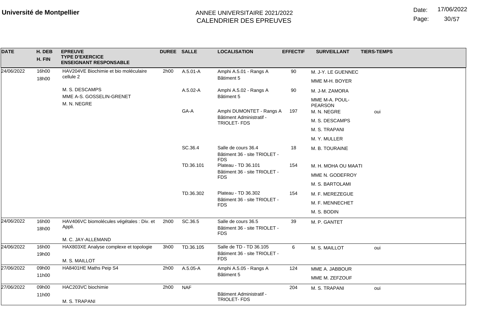Date: 17/06/2022

Page: 30/57

| <b>DATE</b> | H. DEB<br>H. FIN | <b>EPREUVE</b><br><b>TYPE D'EXERCICE</b><br><b>ENSEIGNANT RESPONSABLE</b> | DUREE SALLE |            | <b>LOCALISATION</b>                                               | <b>EFFECTIF</b> | <b>SURVEILLANT</b>                              | <b>TIERS-TEMPS</b> |
|-------------|------------------|---------------------------------------------------------------------------|-------------|------------|-------------------------------------------------------------------|-----------------|-------------------------------------------------|--------------------|
| 24/06/2022  | 16h00            | HAV204VE Biochimie et bio moléculaire                                     | 2h00        | A.5.01-A   | Amphi A.5.01 - Rangs A                                            | 90              | M. J-Y. LE GUENNEC                              |                    |
|             | 18h00            | cellule 2                                                                 |             |            | Bâtiment 5                                                        |                 | MME M-H. BOYER                                  |                    |
|             |                  | M. S. DESCAMPS                                                            |             | A.5.02-A   | Amphi A.5.02 - Rangs A                                            | 90              | M. J-M. ZAMORA                                  |                    |
|             |                  | MME A-S. GOSSELIN-GRENET<br>M. N. NEGRE                                   |             | GA-A       | Bâtiment 5<br>Amphi DUMONTET - Rangs A                            | 197             | MME M-A. POUL-<br><b>PEARSON</b><br>M. N. NEGRE | oui                |
|             |                  |                                                                           |             |            | Bâtiment Administratif -                                          |                 | M. S. DESCAMPS                                  |                    |
|             |                  |                                                                           |             |            | TRIOLET-FDS                                                       |                 | M. S. TRAPANI                                   |                    |
|             |                  |                                                                           |             |            |                                                                   |                 | M. Y. MULLER                                    |                    |
|             |                  |                                                                           |             | SC.36.4    | Salle de cours 36.4<br>Bâtiment 36 - site TRIOLET -               | 18              | M. B. TOURAINE                                  |                    |
|             |                  |                                                                           |             | TD.36.101  | <b>FDS</b><br>Plateau - TD 36.101<br>Bâtiment 36 - site TRIOLET - | 154             | M. H. MOHA OU MAATI                             |                    |
|             |                  |                                                                           |             |            | <b>FDS</b>                                                        |                 | MME N. GODEFROY                                 |                    |
|             |                  |                                                                           |             |            | Plateau - TD 36.302<br>Bâtiment 36 - site TRIOLET -<br><b>FDS</b> |                 | M. S. BARTOLAMI                                 |                    |
|             |                  |                                                                           |             | TD.36.302  |                                                                   | 154             | M. F. MEREZEGUE                                 |                    |
|             |                  |                                                                           |             |            |                                                                   |                 | M. F. MENNECHET                                 |                    |
|             |                  |                                                                           |             |            |                                                                   |                 | M. S. BODIN                                     |                    |
| 24/06/2022  | 16h00<br>18h00   | HAV406VC biomolécules végétales : Div. et<br>Appli.                       | 2h00        | SC.36.5    | Salle de cours 36.5<br>Bâtiment 36 - site TRIOLET -<br><b>FDS</b> | 39              | M. P. GANTET                                    |                    |
|             |                  | M. C. JAY-ALLEMAND                                                        |             |            |                                                                   |                 |                                                 |                    |
| 24/06/2022  | 16h00<br>19h00   | HAX803XE Analyse complexe et topologie                                    | 3h00        | TD.36.105  | Salle de TD - TD 36.105<br>Bâtiment 36 - site TRIOLET -           | 6               | M. S. MAILLOT                                   | oui                |
|             |                  | M. S. MAILLOT                                                             |             |            | <b>FDS</b>                                                        |                 |                                                 |                    |
| 27/06/2022  | 09h00            | HA8401HE Maths Peip S4                                                    | 2h00        | A.5.05-A   | Amphi A.5.05 - Rangs A                                            | 124             | MME A. JABBOUR                                  |                    |
|             | 11h00            |                                                                           |             |            | Bâtiment 5                                                        |                 | MME M. ZEFZOUF                                  |                    |
| 27/06/2022  | 09h00            | HAC203VC biochimie                                                        | 2h00        | <b>NAF</b> |                                                                   | 204             | M. S. TRAPANI                                   | oui                |
|             | 11h00            | M. S. TRAPANI                                                             |             |            | Bâtiment Administratif -<br>TRIOLET-FDS                           |                 |                                                 |                    |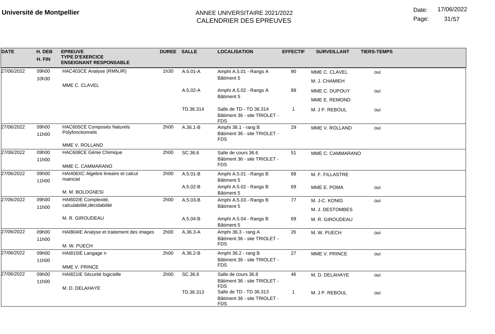| <b>DATE</b> | H. DEB<br>H. FIN | <b>EPREUVE</b><br><b>TYPE D'EXERCICE</b><br><b>ENSEIGNANT RESPONSABLE</b> | DUREE SALLE |              | <b>LOCALISATION</b>                                                   | <b>EFFECTIF</b> | <b>SURVEILLANT</b> | <b>TIERS-TEMPS</b> |
|-------------|------------------|---------------------------------------------------------------------------|-------------|--------------|-----------------------------------------------------------------------|-----------------|--------------------|--------------------|
| 27/06/2022  | 09h00            | HAC403CE Analyse (RMN, IR)                                                | 1h30        | A.5.01-A     | Amphi A.5.01 - Rangs A                                                | 90              | MME C. CLAVEL      | oui                |
|             | 10h30            | MME C. CLAVEL                                                             |             |              | Bâtiment 5                                                            |                 | M. J. CHAMIEH      |                    |
|             |                  |                                                                           |             | $A.5.02 - A$ | Amphi A.5.02 - Rangs A                                                | 89              | MME C. DUPOUY      | oui                |
|             |                  |                                                                           |             |              | Bâtiment 5                                                            |                 | MME E. REMOND      |                    |
|             |                  |                                                                           |             | TD.36.314    | Salle de TD - TD 36.314<br>Bâtiment 36 - site TRIOLET -<br><b>FDS</b> | -1              | M. J P. REBOUL     | oui                |
| 27/06/2022  | 09h00            | HAC605CE Composés Naturels                                                | 2h00        | $A.36.1 - B$ | Amphi 36.1 - rang B                                                   | 29              | MME V. ROLLAND     | oui                |
|             | 11h00            | Polyfonctionnels                                                          |             |              | Bâtiment 36 - site TRIOLET -<br><b>FDS</b>                            |                 |                    |                    |
|             |                  | MME V. ROLLAND                                                            |             |              |                                                                       |                 |                    |                    |
| 27/06/2022  | 09h00            | HAC608CE Génie Chimique                                                   | 2h00        | SC.36.6      | Salle de cours 36.6                                                   | 51              | MME C. CAMMARANO   |                    |
|             | 11h00            | MME C. CAMMARANO                                                          |             |              | Bâtiment 36 - site TRIOLET -<br><b>FDS</b>                            |                 |                    |                    |
| 27/06/2022  | 09h00            | HAI406XC Algebre lineaire et calcul                                       | 2h00        | A.5.01-B     | Amphi A.5.01 - Rangs B                                                | 68              | M. F. FILLASTRE    |                    |
|             | 11h00            | matriciel                                                                 |             | A.5.02-B     | Bâtiment 5<br>Amphi A.5.02 - Rangs B                                  | 69              |                    |                    |
|             |                  | M. M. BOLOGNESI                                                           |             |              | Bâtiment 5                                                            |                 | MME E. POMA        | oui                |
| 27/06/2022  | 09h00            | HAI602IE Complexité,                                                      | 2h00        | A.5.03-B     | Amphi A.5.03 - Rangs B                                                | 77              | M. J-C. KONIG      | oui                |
|             | 11h00            | calculabilité, décidabilité                                               |             |              | Bâtiment 5                                                            |                 | M. J. DESTOMBES    |                    |
|             |                  | M. R. GIROUDEAU                                                           |             | A.5.04-B     | Amphi A.5.04 - Rangs B<br>Bâtiment 5                                  | 69              | M. R. GIROUDEAU    |                    |
| 27/06/2022  | 09h00            | HAI804IE Analyse et traitement des images                                 | 2h00        | A.36.3-A     | Amphi 36.3 - rang A                                                   | 26              | M. W. PUECH        | oui                |
|             | 11h00            | M. W. PUECH                                                               |             |              | Bâtiment 36 - site TRIOLET -<br><b>FDS</b>                            |                 |                    |                    |
| 27/06/2022  | 09h00            | HAI815IE Langage n                                                        | 2h00        | A.36.2-B     | Amphi 36.2 - rang B                                                   | 27              | MME V. PRINCE      | oui                |
|             | 11h00            |                                                                           |             |              | Bâtiment 36 - site TRIOLET -                                          |                 |                    |                    |
|             |                  | MME V. PRINCE                                                             |             |              | <b>FDS</b>                                                            |                 |                    |                    |
| 27/06/2022  | 09h00            | HAI821IE Sécurité logicielle                                              | 2h00        | SC.36.8      | Salle de cours 36.8                                                   | 46              | M. D. DELAHAYE     | oui                |
|             | 11h00            |                                                                           |             |              | Bâtiment 36 - site TRIOLET -<br><b>FDS</b>                            |                 |                    |                    |
|             |                  | M. D. DELAHAYE                                                            |             | TD.36.313    | Salle de TD - TD 36.313<br>Bâtiment 36 - site TRIOLET -<br><b>FDS</b> | 1               | M. J P. REBOUL     | oui                |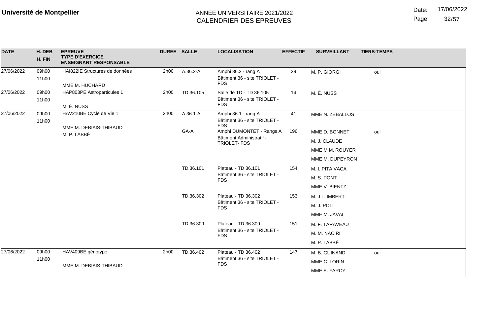Date: 17/06/2022

Page: 32/57

| <b>DATE</b> | H. DEB<br>H. FIN | <b>EPREUVE</b><br><b>TYPE D'EXERCICE</b><br><b>ENSEIGNANT RESPONSABLE</b> | <b>DUREE SALLE</b> |                     | <b>LOCALISATION</b>                                                   | <b>EFFECTIF</b> | <b>SURVEILLANT</b> | <b>TIERS-TEMPS</b> |
|-------------|------------------|---------------------------------------------------------------------------|--------------------|---------------------|-----------------------------------------------------------------------|-----------------|--------------------|--------------------|
| 27/06/2022  | 09h00<br>11h00   | HAI822IE Structures de données<br>MME M. HUCHARD                          | 2h00               | A.36.2-A            | Amphi 36.2 - rang A<br>Bâtiment 36 - site TRIOLET -<br><b>FDS</b>     | 29              | M. P. GIORGI       | oui                |
| 27/06/2022  | 09h00<br>11h00   | HAP803PE Astroparticules 1<br>M. É. NUSS                                  | 2h00               | TD.36.105           | Salle de TD - TD 36.105<br>Bâtiment 36 - site TRIOLET -<br><b>FDS</b> | 14              | M. É. NUSS         |                    |
| 27/06/2022  | 09h00<br>11h00   | HAV210BE Cycle de Vie 1<br>MME M. DEBIAIS-THIBAUD                         | 2h00               | $A.36.1 - A$        | Amphi 36.1 - rang A<br>Bâtiment 36 - site TRIOLET -<br><b>FDS</b>     | 41              | MME N. ZEBALLOS    |                    |
|             |                  | M. P. LABBÉ                                                               |                    | GA-A                | Amphi DUMONTET - Rangs A                                              | 196             | MME D. BONNET      | oui                |
|             |                  |                                                                           |                    |                     | Bâtiment Administratif -<br>TRIOLET-FDS                               |                 | M. J. CLAUDE       |                    |
|             |                  |                                                                           |                    |                     |                                                                       |                 | MME M M. ROUYER    |                    |
|             |                  |                                                                           |                    |                     |                                                                       |                 | MME M. DUPEYRON    |                    |
|             |                  |                                                                           | TD.36.101          | Plateau - TD 36.101 | 154                                                                   | M. I. PITA VACA |                    |                    |
|             |                  |                                                                           |                    |                     | Bâtiment 36 - site TRIOLET -<br><b>FDS</b>                            |                 | M. S. PONT         |                    |
|             |                  |                                                                           |                    |                     |                                                                       |                 | MME V. BIENTZ      |                    |
|             |                  |                                                                           |                    | TD.36.302           | Plateau - TD 36.302                                                   | 153             | M. J L. IMBERT     |                    |
|             |                  |                                                                           |                    |                     | Bâtiment 36 - site TRIOLET -<br><b>FDS</b>                            |                 | M. J. POLI         |                    |
|             |                  |                                                                           |                    |                     |                                                                       |                 | MME M. JAVAL       |                    |
|             |                  |                                                                           |                    | TD.36.309           | Plateau - TD 36.309                                                   | 151             | M. F. TARAVEAU     |                    |
|             |                  |                                                                           |                    |                     | Bâtiment 36 - site TRIOLET -<br><b>FDS</b>                            |                 | M. M. NACIRI       |                    |
|             |                  |                                                                           |                    |                     |                                                                       |                 | M. P. LABBÉ        |                    |
| 27/06/2022  | 09h00            | HAV409BE génotype                                                         | 2h00               | TD.36.402           | Plateau - TD 36.402                                                   | 147             | M. B. GUINAND      | oui                |
|             | 11h00            | MME M. DEBIAIS-THIBAUD                                                    |                    |                     | Bâtiment 36 - site TRIOLET -<br><b>FDS</b>                            |                 | MME C. LORIN       |                    |
|             |                  |                                                                           |                    |                     |                                                                       |                 | MME E. FARCY       |                    |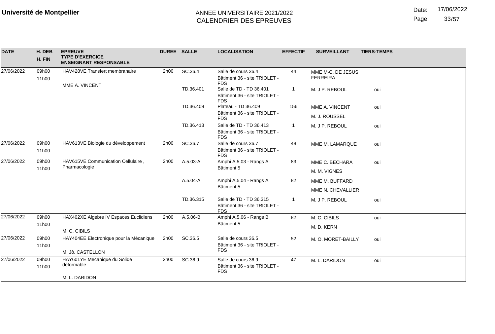Date: 17/06/2022

Page: 33/57

| <b>DATE</b> | H. DEB<br>H. FIN | <b>EPREUVE</b><br><b>TYPE D'EXERCICE</b><br><b>ENSEIGNANT RESPONSABLE</b> | <b>DUREE SALLE</b> |           | <b>LOCALISATION</b>                                                   | <b>EFFECTIF</b> | <b>SURVEILLANT</b>                   | <b>TIERS-TEMPS</b> |
|-------------|------------------|---------------------------------------------------------------------------|--------------------|-----------|-----------------------------------------------------------------------|-----------------|--------------------------------------|--------------------|
| 27/06/2022  | 09h00            | HAV428VE Transfert membranaire                                            | 2h00               | SC.36.4   | Salle de cours 36.4<br>Bâtiment 36 - site TRIOLET -                   | 44              | MME M-C. DE JESUS<br><b>FERREIRA</b> |                    |
|             | 11h00            | MME A. VINCENT                                                            |                    |           | <b>FDS</b>                                                            |                 |                                      |                    |
|             |                  |                                                                           |                    | TD.36.401 | Salle de TD - TD 36.401<br>Bâtiment 36 - site TRIOLET -<br><b>FDS</b> |                 | M. J P. REBOUL                       | oui                |
|             |                  |                                                                           |                    | TD.36.409 | Plateau - TD 36.409                                                   | 156             | MME A. VINCENT                       | oui                |
|             |                  |                                                                           |                    |           | Bâtiment 36 - site TRIOLET -<br><b>FDS</b>                            |                 | M. J. ROUSSEL                        |                    |
|             |                  |                                                                           |                    | TD.36.413 | Salle de TD - TD 36.413<br>Bâtiment 36 - site TRIOLET -<br><b>FDS</b> |                 | M. J P. REBOUL                       | oui                |
| 27/06/2022  | 09h00            | HAV613VE Biologie du développement                                        | 2h00               | SC.36.7   | Salle de cours 36.7                                                   | 48              | MME M. LAMARQUE                      | oui                |
|             | 11h00            |                                                                           |                    |           | Bâtiment 36 - site TRIOLET -<br><b>FDS</b>                            |                 |                                      |                    |
| 27/06/2022  | 09h00            | HAV615VE Communication Cellulaire,<br>Pharmacologie                       | 2h00               | A.5.03-A  | Amphi A.5.03 - Rangs A                                                | 83              | MME C. BECHARA                       | oui                |
|             | 11h00            |                                                                           |                    |           | Bâtiment 5                                                            |                 | M. M. VIGNES                         |                    |
|             |                  |                                                                           |                    | A.5.04-A  | Amphi A.5.04 - Rangs A                                                | 82              | MME M. BUFFARD                       |                    |
|             |                  |                                                                           |                    |           | Bâtiment 5                                                            |                 | MME N. CHEVALLIER                    |                    |
|             |                  |                                                                           |                    | TD.36.315 | Salle de TD - TD 36.315<br>Bâtiment 36 - site TRIOLET -<br><b>FDS</b> |                 | M. J P. REBOUL                       | oui                |
| 27/06/2022  | 09h00            | HAX402XE Algebre IV Espaces Euclidiens                                    | 2h00               | A.5.06-B  | Amphi A.5.06 - Rangs B                                                | 82              | M. C. CIBILS                         | oui                |
|             | 11h00            |                                                                           |                    |           | Bâtiment 5                                                            |                 | M. D. KERN                           |                    |
|             |                  | M. C. CIBILS                                                              |                    |           |                                                                       |                 |                                      |                    |
| 27/06/2022  | 09h00            | HAY404EE Electronique pour la Mécanique                                   | 2h00               | SC.36.5   | Salle de cours 36.5                                                   | 52              | M. O. MORET-BAILLY                   | oui                |
|             | 11h00            |                                                                           |                    |           | Bâtiment 36 - site TRIOLET -<br><b>FDS</b>                            |                 |                                      |                    |
|             |                  | M. Jô. CASTELLON                                                          |                    |           |                                                                       |                 |                                      |                    |
| 27/06/2022  | 09h00<br>11h00   | HAY601YE Mecanique du Solide<br>déformable                                | 2h00               | SC.36.9   | Salle de cours 36.9<br>Bâtiment 36 - site TRIOLET -<br><b>FDS</b>     | 47              | M. L. DARIDON                        | oui                |
|             |                  | M. L. DARIDON                                                             |                    |           |                                                                       |                 |                                      |                    |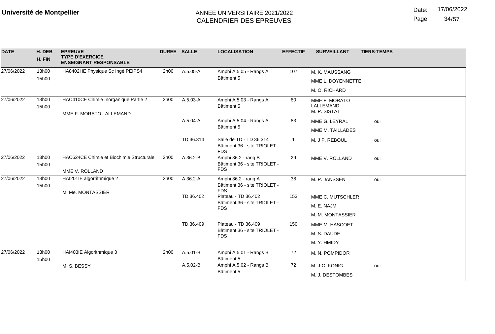Page: 34/57

| <b>DATE</b> | H. DEB<br>H. FIN | <b>EPREUVE</b><br><b>TYPE D'EXERCICE</b><br><b>ENSEIGNANT RESPONSABLE</b> | <b>DUREE SALLE</b> |           | <b>LOCALISATION</b>                                                   | <b>EFFECTIF</b> | <b>SURVEILLANT</b>        | <b>TIERS-TEMPS</b> |
|-------------|------------------|---------------------------------------------------------------------------|--------------------|-----------|-----------------------------------------------------------------------|-----------------|---------------------------|--------------------|
| 27/06/2022  | 13h00            | HA8402HE Physique Sc Ingé PEIPS4                                          | 2h00               | A.5.05-A  | Amphi A.5.05 - Rangs A                                                | 107             | M. K. MAUSSANG            |                    |
|             | 15h00            |                                                                           |                    |           | Bâtiment 5                                                            |                 | MME L. DOYENNETTE         |                    |
|             |                  |                                                                           |                    |           |                                                                       |                 | M. O. RICHARD             |                    |
| 27/06/2022  | 13h00            | HAC410CE Chimie Inorganique Partie 2                                      | 2h00               | A.5.03-A  | Amphi A.5.03 - Rangs A                                                | 80              | MME F. MORATO             |                    |
|             | 15h00            |                                                                           |                    |           | Bâtiment 5                                                            |                 | LALLEMAND<br>M. P. SISTAT |                    |
|             |                  | MME F. MORATO LALLEMAND                                                   |                    | A.5.04-A  | Amphi A.5.04 - Rangs A                                                | 83              | MME G. LEYRAL             | oui                |
|             |                  |                                                                           |                    |           | Bâtiment 5                                                            |                 | MME M. TAILLADES          |                    |
|             |                  |                                                                           |                    | TD.36.314 | Salle de TD - TD 36.314<br>Bâtiment 36 - site TRIOLET -<br><b>FDS</b> | 1               | M. J P. REBOUL            | oui                |
| 27/06/2022  | 13h00            | HAC624CE Chimie et Biochimie Structurale                                  | 2h00               | A.36.2-B  | Amphi 36.2 - rang B                                                   | 29              | MME V. ROLLAND            | oui                |
|             | 15h00            | MME V. ROLLAND                                                            |                    |           | Bâtiment 36 - site TRIOLET -<br><b>FDS</b>                            |                 |                           |                    |
| 27/06/2022  | 13h00<br>15h00   | HAI201IE algorrithmique 2                                                 | 2h00               | A.36.2-A  | Amphi 36.2 - rang A<br>Bâtiment 36 - site TRIOLET -<br><b>FDS</b>     | 38              | M. P. JANSSEN             | oui                |
|             |                  | M. Më. MONTASSIER                                                         |                    | TD.36.402 | Plateau - TD 36.402                                                   | 153             | MME C. MUTSCHLER          |                    |
|             |                  |                                                                           |                    |           | Bâtiment 36 - site TRIOLET -<br><b>FDS</b>                            |                 | M. E. NAJM                |                    |
|             |                  |                                                                           |                    |           |                                                                       |                 | M. M. MONTASSIER          |                    |
|             |                  |                                                                           |                    | TD.36.409 | Plateau - TD 36.409                                                   | 150             | MME M. HASCOET            |                    |
|             |                  |                                                                           |                    |           | Bâtiment 36 - site TRIOLET -<br><b>FDS</b>                            |                 | M. S. DAUDE               |                    |
|             |                  |                                                                           |                    |           |                                                                       |                 | M. Y. HMIDY               |                    |
| 27/06/2022  | 13h00<br>15h00   | HAI403IE Algorithmique 3                                                  | 2h00               | A.5.01-B  | Amphi A.5.01 - Rangs B<br>Bâtiment 5                                  | 72              | M. N. POMPIDOR            |                    |
|             |                  | M. S. BESSY                                                               |                    | A.5.02-B  | Amphi A.5.02 - Rangs B                                                | 72              | M. J-C. KONIG             | oui                |
|             |                  |                                                                           |                    |           | Bâtiment 5                                                            |                 | M. J. DESTOMBES           |                    |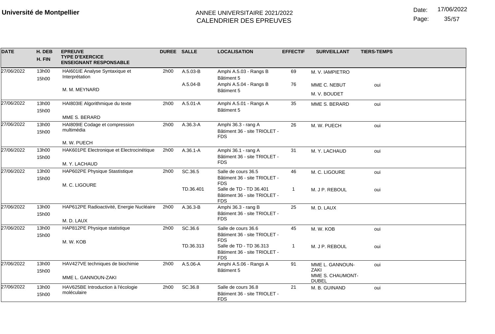Date: 17/06/2022

Page: 35/57

| <b>DATE</b> | H. DEB<br>H. FIN | <b>EPREUVE</b><br><b>TYPE D'EXERCICE</b><br><b>ENSEIGNANT RESPONSABLE</b> | DUREE SALLE |              | <b>LOCALISATION</b>                                               | <b>EFFECTIF</b> | <b>SURVEILLANT</b>       | <b>TIERS-TEMPS</b> |
|-------------|------------------|---------------------------------------------------------------------------|-------------|--------------|-------------------------------------------------------------------|-----------------|--------------------------|--------------------|
| 27/06/2022  | 13h00<br>15h00   | HAI601IE Analyse Syntaxique et<br>Interprétation                          | 2h00        | A.5.03-B     | Amphi A.5.03 - Rangs B<br>Bâtiment 5                              | 69              | M. V. IAMPIETRO          |                    |
|             |                  | M. M. MEYNARD                                                             |             | A.5.04-B     | Amphi A.5.04 - Rangs B                                            | 76              | MME C. NEBUT             | oui                |
|             |                  |                                                                           |             |              | Bâtiment 5                                                        |                 | M. V. BOUDET             |                    |
| 27/06/2022  | 13h00            | HAI803IE Algorithmique du texte                                           | 2h00        | $A.5.01 - A$ | Amphi A.5.01 - Rangs A                                            | 35              | MME S. BERARD            | oui                |
|             | 15h00            |                                                                           |             |              | Bâtiment 5                                                        |                 |                          |                    |
|             |                  | MME S. BERARD                                                             |             |              |                                                                   |                 |                          |                    |
| 27/06/2022  | 13h00<br>15h00   | HAI809IE Codage et compression<br>multimédia                              | 2h00        | A.36.3-A     | Amphi 36.3 - rang A<br>Bâtiment 36 - site TRIOLET -<br><b>FDS</b> | 26              | M. W. PUECH              | oui                |
|             |                  | M. W. PUECH                                                               |             |              |                                                                   |                 |                          |                    |
| 27/06/2022  | 13h00            | HAK601PE Electronique et Electrocinétique                                 | 2h00        | $A.36.1 - A$ | Amphi 36.1 - rang A                                               | 31              | M. Y. LACHAUD            | oui                |
|             | 15h00            | M. Y. LACHAUD                                                             |             |              | Bâtiment 36 - site TRIOLET -<br><b>FDS</b>                        |                 |                          |                    |
| 27/06/2022  | 13h00            | HAP602PE Physique Stastistique                                            | 2h00        | SC.36.5      | Salle de cours 36.5                                               | 46              | M. C. LIGOURE            | oui                |
|             | 15h00            | M. C. LIGOURE                                                             |             |              | Bâtiment 36 - site TRIOLET -<br><b>FDS</b>                        |                 |                          |                    |
|             |                  |                                                                           |             | TD.36.401    | Salle de TD - TD 36.401                                           | $\mathbf{1}$    | M. J P. REBOUL           | oui                |
|             |                  |                                                                           |             |              | Bâtiment 36 - site TRIOLET -<br><b>FDS</b>                        |                 |                          |                    |
| 27/06/2022  | 13h00            | HAP612PE Radioactivité, Energie Nucléaire                                 | 2h00        | A.36.3-B     | Amphi 36.3 - rang B                                               | 25              | M. D. LAUX               |                    |
|             | 15h00            |                                                                           |             |              | Bâtiment 36 - site TRIOLET -<br><b>FDS</b>                        |                 |                          |                    |
|             |                  | M. D. LAUX                                                                |             |              |                                                                   |                 |                          |                    |
| 27/06/2022  | 13h00            | HAP812PE Physique statistique                                             | 2h00        | SC.36.6      | Salle de cours 36.6                                               | 45              | M. W. KOB                | oui                |
|             | 15h00            | M. W. KOB                                                                 |             |              | Bâtiment 36 - site TRIOLET -<br><b>FDS</b>                        |                 |                          |                    |
|             |                  |                                                                           |             | TD.36.313    | Salle de TD - TD 36.313                                           | -1              | M. J P. REBOUL           | oui                |
|             |                  |                                                                           |             |              | Bâtiment 36 - site TRIOLET -<br><b>FDS</b>                        |                 |                          |                    |
| 27/06/2022  | 13h00            | HAV427VE techniques de biochimie                                          | 2h00        | $A.5.06 - A$ | Amphi A.5.06 - Rangs A                                            | 91              | MME L. GANNOUN-          | oui                |
|             | 15h00            |                                                                           |             |              | Bâtiment 5                                                        |                 | ZAKI<br>MME S. CHAUMONT- |                    |
|             |                  | MME L. GANNOUN-ZAKI                                                       |             |              |                                                                   |                 | <b>DUBEL</b>             |                    |
| 27/06/2022  | 13h00            | HAV625BE Introduction à l'écologie                                        | 2h00        | SC.36.8      | Salle de cours 36.8                                               | 21              | M. B. GUINAND            | oui                |
|             | 15h00            | moléculaire                                                               |             |              | Bâtiment 36 - site TRIOLET -<br><b>FDS</b>                        |                 |                          |                    |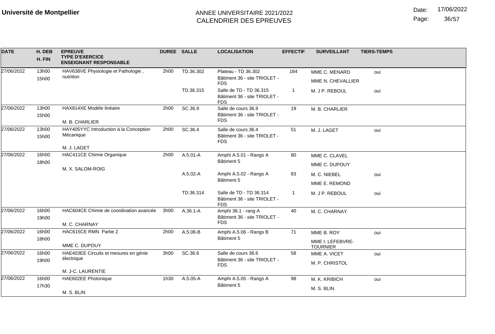Date: 17/06/2022

Page: 36/57

| <b>DATE</b> | H. DEB<br>H. FIN | <b>EPREUVE</b><br><b>TYPE D'EXERCICE</b><br><b>ENSEIGNANT RESPONSABLE</b> | DUREE SALLE  |                                      | <b>LOCALISATION</b>                                                   | <b>EFFECTIF</b>               | <b>SURVEILLANT</b>                                | <b>TIERS-TEMPS</b> |
|-------------|------------------|---------------------------------------------------------------------------|--------------|--------------------------------------|-----------------------------------------------------------------------|-------------------------------|---------------------------------------------------|--------------------|
| 27/06/2022  | 13h00<br>15h00   | HAV638VE Physiologie et Pathologie,<br>nutrition                          | 2h00         | TD.36.302                            | Plateau - TD 36.302<br>Bâtiment 36 - site TRIOLET -<br><b>FDS</b>     | 164                           | MME C. MENARD<br>MME N. CHEVALLIER                | oui                |
|             |                  |                                                                           |              | TD.36.315                            | Salle de TD - TD 36.315<br>Bâtiment 36 - site TRIOLET -<br><b>FDS</b> | $\mathbf 1$                   | M. J P. REBOUL                                    | oui                |
| 27/06/2022  | 13h00<br>15h00   | HAX814XE Modèle linéaire<br>M. B. CHARLIER                                | 2h00         | SC.36.9                              | Salle de cours 36.9<br>Bâtiment 36 - site TRIOLET -<br><b>FDS</b>     | 19                            | M. B. CHARLIER                                    |                    |
| 27/06/2022  | 13h00<br>15h00   | HAY405YYC Introduction à la Conception<br>Mécanique<br>M. J. LAGET        | 2h00         | SC.36.4                              | Salle de cours 36.4<br>Bâtiment 36 - site TRIOLET -<br><b>FDS</b>     | 51                            | M. J. LAGET                                       | oui                |
| 27/06/2022  | 16h00<br>18h00   | HAC411CE Chimie Organique<br>M. X. SALOM-ROIG                             | 2h00         | $A.5.01 - A$                         | Amphi A.5.01 - Rangs A<br>Bâtiment 5                                  | 80                            | MME C. CLAVEL<br>MME C. DUPOUY                    |                    |
|             |                  |                                                                           | $A.5.02 - A$ | Amphi A.5.02 - Rangs A<br>Bâtiment 5 | 83                                                                    | M. C. NIEBEL<br>MME E. REMOND | oui                                               |                    |
|             |                  |                                                                           |              | TD.36.314                            | Salle de TD - TD 36.314<br>Bâtiment 36 - site TRIOLET -<br><b>FDS</b> | 1                             | M. J P. REBOUL                                    | oui                |
| 27/06/2022  | 16h00<br>19h00   | HAC604CE Chimie de coordination avancée<br>M. C. CHARNAY                  | 3h00         | $A.36.1 - A$                         | Amphi 36.1 - rang A<br>Bâtiment 36 - site TRIOLET -<br><b>FDS</b>     | 40                            | M. C. CHARNAY                                     |                    |
| 27/06/2022  | 16h00<br>18h00   | HAC615CE RMN Partie 2<br>MME C. DUPOUY                                    | 2h00         | A.5.06-B                             | Amphi A.5.06 - Rangs B<br>Bâtiment 5                                  | 71                            | MME B. ROY<br>MME I. LEFEBVRE-<br><b>TOURNIER</b> | oui                |
| 27/06/2022  | 16h00<br>19h00   | HAE403EE Circuits et mesures en génie<br>électrique<br>M. J-C. LAURENTIE  | 3h00         | SC.36.6                              | Salle de cours 36.6<br>Bâtiment 36 - site TRIOLET -<br><b>FDS</b>     | 58                            | MME A. VICET<br>M. P. CHRISTOL                    | oui                |
| 27/06/2022  | 16h00<br>17h30   | HAE602EE Photonique<br>M. S. BLIN                                         | 1h30         | A.5.05-A                             | Amphi A.5.05 - Rangs A<br>Bâtiment 5                                  | 98                            | M. K. KRIBICH<br>M. S. BLIN                       | oui                |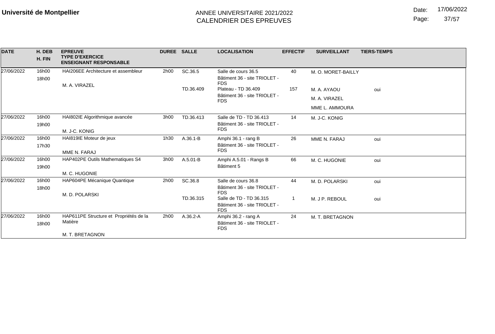Date: 17/06/2022

Page: 37/57

| <b>DATE</b> | H. DEB<br>H. FIN | <b>EPREUVE</b><br><b>TYPE D'EXERCICE</b><br><b>ENSEIGNANT RESPONSABLE</b> | <b>DUREE SALLE</b> |              | <b>LOCALISATION</b>                                                   | <b>EFFECTIF</b> | <b>SURVEILLANT</b> | <b>TIERS-TEMPS</b> |
|-------------|------------------|---------------------------------------------------------------------------|--------------------|--------------|-----------------------------------------------------------------------|-----------------|--------------------|--------------------|
| 27/06/2022  | 16h00<br>18h00   | HAI206EE Architecture et assembleur                                       | 2h00               | SC.36.5      | Salle de cours 36.5<br>Bâtiment 36 - site TRIOLET -<br><b>FDS</b>     | 40              | M. O. MORET-BAILLY |                    |
|             |                  | M. A. VIRAZEL                                                             |                    | TD.36.409    | Plateau - TD 36.409                                                   | 157             | M. A. AYAOU        | oui                |
|             |                  |                                                                           |                    |              | Bâtiment 36 - site TRIOLET -<br><b>FDS</b>                            |                 | M. A. VIRAZEL      |                    |
|             |                  |                                                                           |                    |              |                                                                       |                 | MME L. AMMOURA     |                    |
| 27/06/2022  | 16h00            | HAI802IE Algorithmique avancée                                            | 3h00               | TD.36.413    | Salle de TD - TD 36.413                                               | 14              | M. J-C. KONIG      |                    |
|             | 19h00            | M. J-C. KONIG                                                             |                    |              | Bâtiment 36 - site TRIOLET -<br><b>FDS</b>                            |                 |                    |                    |
| 27/06/2022  | 16h00            | HAI819IE Moteur de jeux                                                   | 1h30               | $A.36.1 - B$ | Amphi 36.1 - rang B                                                   | 26              | MME N. FARAJ       | oui                |
|             | 17h30            | MME N. FARAJ                                                              |                    |              | Bâtiment 36 - site TRIOLET -<br><b>FDS</b>                            |                 |                    |                    |
| 27/06/2022  | 16h00            | HAP402PE Outils Mathematiques S4                                          | 3h00               | $A.5.01 - B$ | Amphi A.5.01 - Rangs B                                                | 66              | M. C. HUGONIE      | oui                |
|             | 19h00            |                                                                           |                    |              | Bâtiment 5                                                            |                 |                    |                    |
|             |                  | M. C. HUGONIE                                                             |                    |              |                                                                       |                 |                    |                    |
| 27/06/2022  | 16h00            | HAP604PE Mécanique Quantique                                              | 2h00               | SC.36.8      | Salle de cours 36.8                                                   | 44              | M. D. POLARSKI     | oui                |
|             | 18h00            | M. D. POLARSKI                                                            |                    |              | Bâtiment 36 - site TRIOLET -<br><b>FDS</b>                            |                 |                    |                    |
|             |                  |                                                                           |                    | TD.36.315    | Salle de TD - TD 36.315<br>Bâtiment 36 - site TRIOLET -<br><b>FDS</b> |                 | M. J P. REBOUL     | oui                |
| 27/06/2022  | 16h00            | HAP611PE Structure et Propriétés de la                                    | 2h00               | A.36.2-A     | Amphi 36.2 - rang A                                                   | 24              | M. T. BRETAGNON    |                    |
|             | 18h00            | Matière                                                                   |                    |              | Bâtiment 36 - site TRIOLET -<br><b>FDS</b>                            |                 |                    |                    |
|             |                  | M. T. BRETAGNON                                                           |                    |              |                                                                       |                 |                    |                    |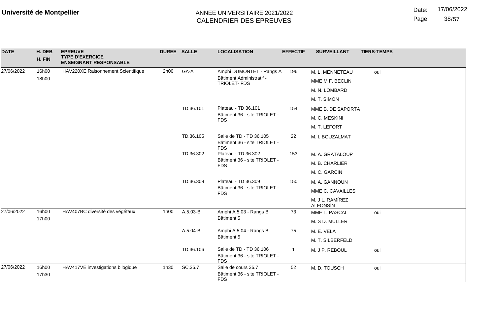Date: 17/06/2022

Page: 38/57

| <b>DATE</b> | H. DEB         | <b>EPREUVE</b><br><b>TYPE D'EXERCICE</b> | DUREE SALLE |           | <b>LOCALISATION</b>                                                   | <b>EFFECTIF</b> | <b>SURVEILLANT</b>                 | <b>TIERS-TEMPS</b> |
|-------------|----------------|------------------------------------------|-------------|-----------|-----------------------------------------------------------------------|-----------------|------------------------------------|--------------------|
|             | H. FIN         | <b>ENSEIGNANT RESPONSABLE</b>            |             |           |                                                                       |                 |                                    |                    |
| 27/06/2022  | 16h00          | HAV220XE Raisonnement Scientifique       | 2h00        | GA-A      | Amphi DUMONTET - Rangs A                                              | 196             | M. L. MENNETEAU                    | oui                |
|             | 18h00          |                                          |             |           | Bâtiment Administratif -<br>TRIOLET-FDS                               |                 | MME M F. BECLIN                    |                    |
|             |                |                                          |             |           |                                                                       |                 | M. N. LOMBARD                      |                    |
|             |                |                                          |             |           |                                                                       |                 | M. T. SIMON                        |                    |
|             |                |                                          |             | TD.36.101 | Plateau - TD 36.101                                                   | 154             | MME B. DE SAPORTA                  |                    |
|             |                |                                          |             |           | Bâtiment 36 - site TRIOLET -<br><b>FDS</b>                            |                 | M. C. MESKINI                      |                    |
|             |                |                                          |             |           |                                                                       |                 | M. T. LEFORT                       |                    |
|             |                |                                          |             | TD.36.105 | Salle de TD - TD 36.105<br>Bâtiment 36 - site TRIOLET -<br><b>FDS</b> | 22              | M. I. BOUZALMAT                    |                    |
|             |                |                                          |             | TD.36.302 | Plateau - TD 36.302                                                   | 153             | M. A. GRATALOUP                    |                    |
|             |                |                                          |             |           | Bâtiment 36 - site TRIOLET -<br><b>FDS</b>                            |                 | M. B. CHARLIER                     |                    |
|             |                |                                          |             |           |                                                                       |                 | M. C. GARCIN                       |                    |
|             |                |                                          |             | TD.36.309 | Plateau - TD 36.309<br>Bâtiment 36 - site TRIOLET -<br><b>FDS</b>     | 150             | M. A. GANNOUN                      |                    |
|             |                |                                          |             |           |                                                                       |                 | MME C. CAVAILLES                   |                    |
|             |                |                                          |             |           |                                                                       |                 | M. J L. RAMÍREZ<br><b>ALFONSÍN</b> |                    |
| 27/06/2022  | 16h00          | HAV407BC diversité des végétaux          | 1h00        | A.5.03-B  | Amphi A.5.03 - Rangs B                                                | 73              | MME L. PASCAL                      | oui                |
|             | 17h00          |                                          |             |           | Bâtiment 5                                                            |                 | M. S D. MULLER                     |                    |
|             |                |                                          |             | A.5.04-B  | Amphi A.5.04 - Rangs B                                                | 75              | M. E. VELA                         |                    |
|             |                |                                          |             |           | Bâtiment 5                                                            |                 | M. T. SILBERFELD                   |                    |
|             |                |                                          |             | TD.36.106 | Salle de TD - TD 36.106<br>Bâtiment 36 - site TRIOLET -<br><b>FDS</b> | -1              | M. J P. REBOUL                     | oui                |
| 27/06/2022  | 16h00<br>17h30 | HAV417VE investigations bilogique        | 1h30        | SC.36.7   | Salle de cours 36.7<br>Bâtiment 36 - site TRIOLET -<br><b>FDS</b>     | 52              | M. D. TOUSCH                       | oui                |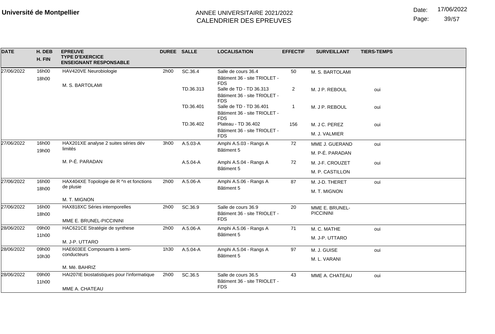Date: 17/06/2022

Page: 39/57

| <b>DATE</b> | H. DEB<br>H. FIN | <b>EPREUVE</b><br><b>TYPE D'EXERCICE</b><br><b>ENSEIGNANT RESPONSABLE</b> | DUREE SALLE |           | <b>LOCALISATION</b>                                                   | <b>EFFECTIF</b> | <b>SURVEILLANT</b>                 | <b>TIERS-TEMPS</b> |
|-------------|------------------|---------------------------------------------------------------------------|-------------|-----------|-----------------------------------------------------------------------|-----------------|------------------------------------|--------------------|
| 27/06/2022  | 16h00<br>18h00   | HAV420VE Neurobiologie                                                    | 2h00        | SC.36.4   | Salle de cours 36.4<br>Bâtiment 36 - site TRIOLET -<br><b>FDS</b>     | 50              | M. S. BARTOLAMI                    |                    |
|             |                  | M. S. BARTOLAMI                                                           |             | TD.36.313 | Salle de TD - TD 36.313<br>Bâtiment 36 - site TRIOLET -<br><b>FDS</b> | $\overline{2}$  | M. J P. REBOUL                     | oui                |
|             |                  |                                                                           |             | TD.36.401 | Salle de TD - TD 36.401<br>Bâtiment 36 - site TRIOLET -<br><b>FDS</b> | -1              | M. J P. REBOUL                     | oui                |
|             |                  |                                                                           |             | TD.36.402 | Plateau - TD 36.402                                                   | 156             | M. J C. PEREZ                      | oui                |
|             |                  |                                                                           |             |           | Bâtiment 36 - site TRIOLET -<br><b>FDS</b>                            |                 | M. J. VALMIER                      |                    |
| 27/06/2022  | 16h00            | HAX201XE analyse 2 suites séries dév                                      | 3h00        | A.5.03-A  | Amphi A.5.03 - Rangs A                                                | 72              | MME J. GUERAND                     | oui                |
|             | 19h00            | limités                                                                   |             |           | Bâtiment 5                                                            |                 | M. P-É. PARADAN                    |                    |
|             |                  | M. P-É. PARADAN                                                           |             | A.5.04-A  | Amphi A.5.04 - Rangs A                                                | 72              | M. J-F. CROUZET                    | oui                |
|             |                  |                                                                           |             |           | Bâtiment 5                                                            |                 | M. P. CASTILLON                    |                    |
| 27/06/2022  | 16h00            | HAX404XE Topologie de R ^n et fonctions                                   | 2h00        | A.5.06-A  | Amphi A.5.06 - Rangs A                                                | 87              | M. J-D. THERET                     | oui                |
|             | 18h00            | de plusie                                                                 |             |           | Bâtiment 5                                                            |                 | M. T. MIGNON                       |                    |
|             |                  | M. T. MIGNON                                                              |             |           |                                                                       |                 |                                    |                    |
| 27/06/2022  | 16h00<br>18h00   | HAX818XC Séries intemporelles                                             | 2h00        | SC.36.9   | Salle de cours 36.9<br>Bâtiment 36 - site TRIOLET -                   | 20              | MME E. BRUNEL-<br><b>PICCININI</b> |                    |
|             |                  | MME E. BRUNEL-PICCININI                                                   |             |           | <b>FDS</b>                                                            |                 |                                    |                    |
| 28/06/2022  | 09h00            | HAC621CE Stratégie de synthese                                            | 2h00        | A.5.06-A  | Amphi A.5.06 - Rangs A                                                | 71              | M. C. MATHE                        | oui                |
|             | 11h00            | M. J-P. UTTARO                                                            |             |           | Bâtiment 5                                                            |                 | M. J-P. UTTARO                     |                    |
| 28/06/2022  | 09h00            | HAE603EE Composants à semi-                                               | 1h30        | A.5.04-A  | Amphi A.5.04 - Rangs A                                                | 97              | M. J. GUISE                        | oui                |
|             | 10h30            | conducteurs                                                               |             |           | Bâtiment 5                                                            |                 | M. L. VARANI                       |                    |
|             |                  | M. Më. BAHRIZ                                                             |             |           |                                                                       |                 |                                    |                    |
| 28/06/2022  | 09h00            | HAI207IE biostatistiques pour l'informatique                              | 2h00        | SC.36.5   | Salle de cours 36.5                                                   | 43              | MME A. CHATEAU                     | oui                |
|             | 11h00            | MME A. CHATEAU                                                            |             |           | Bâtiment 36 - site TRIOLET -<br><b>FDS</b>                            |                 |                                    |                    |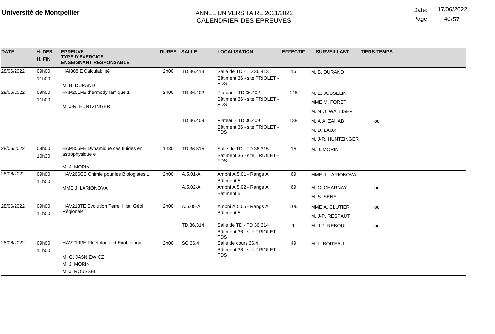Date: 17/06/2022

Page: 40/57

| <b>DATE</b> | H. DEB<br>H. FIN | <b>EPREUVE</b><br><b>TYPE D'EXERCICE</b><br><b>ENSEIGNANT RESPONSABLE</b> | <b>DUREE SALLE</b> |              | <b>LOCALISATION</b>                                                   | <b>EFFECTIF</b> | <b>SURVEILLANT</b> | <b>TIERS-TEMPS</b>       |
|-------------|------------------|---------------------------------------------------------------------------|--------------------|--------------|-----------------------------------------------------------------------|-----------------|--------------------|--------------------------|
| 28/06/2022  | 09h00<br>11h00   | HAI808IE Calculabilité<br>M. B. DURAND                                    | 2h00               | TD.36.413    | Salle de TD - TD 36.413<br>Bâtiment 36 - site TRIOLET -<br><b>FDS</b> | 16              | M. B. DURAND       |                          |
| 28/06/2022  | 09h00            | HAP201PE thermodynamique 1                                                | 2h00               | TD.36.402    | Plateau - TD 36.402                                                   | 148             | M. E. JOSSELIN     | oui<br>oui<br>oui<br>oui |
|             | 11h00            | M. J-R. HUNTZINGER                                                        |                    |              | Bâtiment 36 - site TRIOLET -<br><b>FDS</b>                            |                 | MME M. FORET       |                          |
|             |                  |                                                                           |                    |              |                                                                       |                 | M. N O. WALLISER   |                          |
|             |                  |                                                                           |                    | TD.36.409    | Plateau - TD 36.409                                                   | 138             | M. A A. ZAHAB      |                          |
|             |                  |                                                                           |                    |              | Bâtiment 36 - site TRIOLET -<br><b>FDS</b>                            |                 | M. D. LAUX         |                          |
|             |                  |                                                                           |                    |              |                                                                       |                 | M. J-R. HUNTZINGER |                          |
| 28/06/2022  | 09h00<br>10h30   | HAP806PE Dynamique des fluides en<br>astrophysique e                      | 1h30               | TD.36.315    | Salle de TD - TD 36.315<br>Bâtiment 36 - site TRIOLET -<br><b>FDS</b> | 15              | M. J. MORIN        |                          |
|             |                  | M. J. MORIN                                                               |                    |              |                                                                       |                 |                    |                          |
| 28/06/2022  | 09h00<br>11h00   | HAV206CE Chimie pour les Biologistes 1                                    | 2h00               | $A.5.01 - A$ | Amphi A.5.01 - Rangs A<br>Bâtiment 5                                  | 69              | MME J. LARIONOVA   |                          |
|             |                  | MME J. LARIONOVA                                                          |                    | $A.5.02 - A$ | Amphi A.5.02 - Rangs A                                                | 69              | M. C. CHARNAY      |                          |
|             |                  |                                                                           |                    |              | Bâtiment 5                                                            |                 | M. S. SENE         |                          |
| 28/06/2022  | 09h00            | HAV213TE Evolution Terre Hist. Géol.                                      | 2h00               | A.5.05-A     | Amphi A.5.05 - Rangs A                                                | 106             | MME A. CLUTIER     |                          |
|             | 11h00            | Régionale                                                                 |                    |              | Bâtiment 5                                                            |                 | M. J-P. RESPAUT    |                          |
|             |                  |                                                                           |                    | TD.36.314    | Salle de TD - TD 36.314<br>Bâtiment 36 - site TRIOLET -<br><b>FDS</b> | -1              | M. J P. REBOUL     |                          |
| 28/06/2022  | 09h00            | HAV219PE Plnétologie et Exobiologie                                       | 2h00               | SC.36.4      | Salle de cours 36.4                                                   | 49              | M. L. BOITEAU      |                          |
|             |                  | 11h00<br>M. G. JASNIEWICZ<br>M. J. MORIN                                  |                    |              | Bâtiment 36 - site TRIOLET -<br><b>FDS</b>                            |                 |                    |                          |
|             |                  |                                                                           |                    |              |                                                                       |                 |                    |                          |
|             |                  | M. J. ROUSSEL                                                             |                    |              |                                                                       |                 |                    |                          |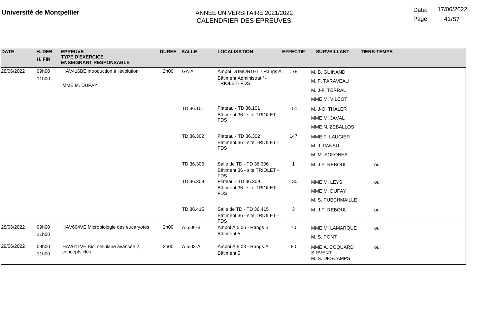Date: 17/06/2022

Page: 41/57

| <b>DATE</b> | H. DEB<br>H. FIN | <b>EPREUVE</b><br><b>TYPE D'EXERCICE</b><br><b>ENSEIGNANT RESPONSABLE</b> | DUREE SALLE                                |           | <b>LOCALISATION</b>                                                   | <b>EFFECTIF</b> | <b>SURVEILLANT</b>                                 | <b>TIERS-TEMPS</b> |
|-------------|------------------|---------------------------------------------------------------------------|--------------------------------------------|-----------|-----------------------------------------------------------------------|-----------------|----------------------------------------------------|--------------------|
| 28/06/2022  | 09h00            | HAV416BE introduction à l'évolution                                       | 2h00                                       | GA-A      | Amphi DUMONTET - Rangs A                                              | 178             | M. B. GUINAND                                      |                    |
|             | 11h00            | MME M. DUFAY                                                              |                                            |           | Bâtiment Administratif -<br><b>TRIOLET-FDS</b>                        |                 | M. F. TARAVEAU                                     |                    |
|             |                  |                                                                           |                                            |           |                                                                       |                 | M. J-F. TERRAL                                     |                    |
|             |                  |                                                                           |                                            |           |                                                                       |                 | MME M. VILCOT                                      |                    |
|             |                  |                                                                           |                                            | TD.36.101 | Plateau - TD 36.101                                                   | 151             | M. J-O. THALER                                     |                    |
|             |                  |                                                                           |                                            |           | Bâtiment 36 - site TRIOLET -<br><b>FDS</b>                            |                 | MME M. JAVAL                                       |                    |
|             |                  |                                                                           |                                            |           |                                                                       |                 | MME N. ZEBALLOS                                    |                    |
|             |                  |                                                                           |                                            | TD.36.302 | Plateau - TD 36.302                                                   | 147             | MME F. LAUGIER                                     |                    |
|             |                  |                                                                           | Bâtiment 36 - site TRIOLET -<br><b>FDS</b> |           |                                                                       | M. J. PANSU     |                                                    |                    |
|             |                  |                                                                           |                                            |           |                                                                       |                 | M. M. SOFONEA                                      |                    |
|             |                  |                                                                           |                                            | TD.36.306 | Salle de TD - TD 36.306<br>Bâtiment 36 - site TRIOLET -<br><b>FDS</b> |                 | M. J P. REBOUL                                     | oui                |
|             |                  |                                                                           |                                            | TD.36.309 | Plateau - TD 36.309                                                   | 130             | MME M. LEYS                                        | oui                |
|             |                  |                                                                           |                                            |           | Bâtiment 36 - site TRIOLET -<br><b>FDS</b>                            |                 | MME M. DUFAY                                       |                    |
|             |                  |                                                                           |                                            |           |                                                                       |                 | M. S. PUECHMAILLE                                  |                    |
|             |                  |                                                                           |                                            | TD.36.415 | Salle de TD - TD 36.415<br>Bâtiment 36 - site TRIOLET -<br><b>FDS</b> | 3               | M. J P. REBOUL                                     | oui                |
| 28/06/2022  | 09h00            | HAV604VE Microbiologie des eucaryotes                                     | 2h00                                       | A.5.06-B  | Amphi A.5.06 - Rangs B                                                | 70              | MME M. LAMARQUE                                    | oui                |
|             | 11h00            |                                                                           |                                            |           | Bâtiment 5                                                            |                 | M. S. PONT                                         |                    |
| 28/06/2022  | 09h00<br>11h00   | HAV611VE Bio. cellulaire avancée 2,<br>concepts clés                      | 2h00                                       | A.5.03-A  | Amphi A.5.03 - Rangs A<br>Bâtiment 5                                  | 80              | MME A. COQUARD<br><b>SIRVENT</b><br>M. S. DESCAMPS | oui                |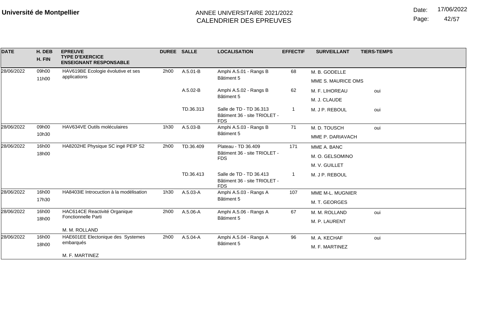Page: 42/57

| <b>DATE</b> | H. DEB<br>H. FIN | <b>EPREUVE</b><br><b>TYPE D'EXERCICE</b><br><b>ENSEIGNANT RESPONSABLE</b> | <b>DUREE SALLE</b> |                                            | <b>LOCALISATION</b>                                                   | <b>EFFECTIF</b> | <b>SURVEILLANT</b>                  | <b>TIERS-TEMPS</b> |
|-------------|------------------|---------------------------------------------------------------------------|--------------------|--------------------------------------------|-----------------------------------------------------------------------|-----------------|-------------------------------------|--------------------|
| 28/06/2022  | 09h00<br>11h00   | HAV619BE Ecologie évolutive et ses<br>applications                        | 2h00               | A.5.01-B                                   | Amphi A.5.01 - Rangs B<br>Bâtiment 5                                  | 68              | M. B. GODELLE<br>MME S. MAURICE OMS |                    |
|             |                  |                                                                           |                    | A.5.02-B                                   | Amphi A.5.02 - Rangs B<br>Bâtiment 5                                  | 62              | M. F. LIHOREAU<br>M. J. CLAUDE      | oui                |
|             |                  |                                                                           |                    | TD.36.313                                  | Salle de TD - TD 36.313<br>Bâtiment 36 - site TRIOLET -<br><b>FDS</b> |                 | M. J P. REBOUL                      | oui                |
| 28/06/2022  | 09h00            | HAV634VE Outils moléculaires                                              | 1h30               | A.5.03-B                                   | Amphi A.5.03 - Rangs B                                                | 71              | M. D. TOUSCH                        | oui                |
| 10h30       |                  |                                                                           |                    |                                            | Bâtiment 5                                                            |                 | MME P. DARIAVACH                    |                    |
| 28/06/2022  | 16h00            | HA8202HE Physique SC ingé PEIP S2                                         | 2h00               | TD.36.409                                  | Plateau - TD 36.409                                                   | 171             | MME A. BANC                         |                    |
|             | 18h00            |                                                                           |                    | Bâtiment 36 - site TRIOLET -<br><b>FDS</b> |                                                                       | M. O. GELSOMINO |                                     |                    |
|             |                  |                                                                           |                    |                                            |                                                                       | M. V. GUILLET   |                                     |                    |
|             |                  |                                                                           |                    | TD.36.413                                  | Salle de TD - TD 36.413<br>Bâtiment 36 - site TRIOLET -<br><b>FDS</b> | 1               | M. J P. REBOUL                      |                    |
| 28/06/2022  | 16h00            | HA8403IE Introcuction à la modélisation                                   | 1h30               | A.5.03-A                                   | Amphi A.5.03 - Rangs A                                                | 107             | MME M-L. MUGNIER                    |                    |
|             | 17h30            |                                                                           |                    |                                            | Bâtiment 5                                                            |                 | M. T. GEORGES                       |                    |
| 28/06/2022  | 16h00            | HAC614CE Reactivité Organique                                             | 2h00               | $A.5.06 - A$                               | Amphi A.5.06 - Rangs A                                                | 67              | M. M. ROLLAND                       | oui                |
|             | 18h00            | Fonctionnelle Parti                                                       |                    |                                            | Bâtiment 5                                                            |                 | M. P. LAURENT                       |                    |
|             |                  | M. M. ROLLAND                                                             |                    |                                            |                                                                       |                 |                                     |                    |
| 28/06/2022  | 16h00            | HAE601EE Electonique des Systemes                                         | 2h00               | $A.5.04 - A$                               | Amphi A.5.04 - Rangs A                                                | 96              | M. A. KECHAF                        | oui                |
|             | 18h00            | embarqués                                                                 |                    |                                            | Bâtiment 5                                                            |                 | M. F. MARTINEZ                      |                    |
|             |                  | M. F. MARTINEZ                                                            |                    |                                            |                                                                       |                 |                                     |                    |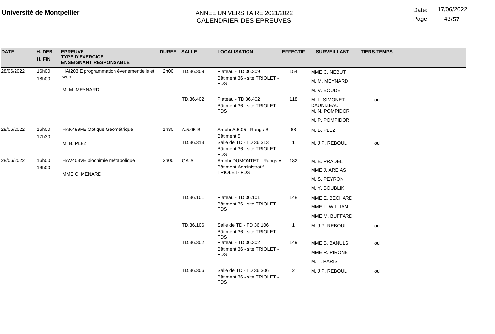Date: 17/06/2022

Page: 43/57

| <b>DATE</b> | H. DEB<br>H. FIN | <b>EPREUVE</b><br><b>TYPE D'EXERCICE</b><br><b>ENSEIGNANT RESPONSABLE</b> | DUREE SALLE |           | <b>LOCALISATION</b>                                                   | <b>EFFECTIF</b> | <b>SURVEILLANT</b>                           | <b>TIERS-TEMPS</b> |
|-------------|------------------|---------------------------------------------------------------------------|-------------|-----------|-----------------------------------------------------------------------|-----------------|----------------------------------------------|--------------------|
| 28/06/2022  | 16h00            | HAI203IE programmation évenementielle et<br>web                           | 2h00        | TD.36.309 | Plateau - TD 36.309                                                   | 154             | MME C. NEBUT                                 |                    |
|             | 18h00            |                                                                           |             |           | Bâtiment 36 - site TRIOLET -<br><b>FDS</b>                            |                 | M. M. MEYNARD                                |                    |
|             |                  | M. M. MEYNARD                                                             |             |           |                                                                       |                 | M. V. BOUDET                                 |                    |
|             |                  |                                                                           |             | TD.36.402 | Plateau - TD 36.402<br>Bâtiment 36 - site TRIOLET -<br><b>FDS</b>     | 118             | M. L. SIMONET<br>DAUNIZEAU<br>M. N. POMPIDOR | oui                |
|             |                  |                                                                           |             |           |                                                                       |                 | M. P. POMPIDOR                               |                    |
| 28/06/2022  | 16h00<br>17h30   | HAK499PE Optique Geométrique                                              | 1h30        | A.5.05-B  | Amphi A.5.05 - Rangs B<br>Bâtiment 5                                  | 68              | M. B. PLEZ                                   |                    |
|             |                  | M. B. PLEZ                                                                |             | TD.36.313 | Salle de TD - TD 36.313<br>Bâtiment 36 - site TRIOLET -<br><b>FDS</b> | 1               | M. J P. REBOUL                               | oui                |
| 28/06/2022  | 16h00            | HAV403VE biochimie métabolique                                            | 2h00        | GA-A      | Amphi DUMONTET - Rangs A                                              | 182             | M. B. PRADEL                                 |                    |
|             | 18h00            | MME C. MENARD                                                             |             |           | Bâtiment Administratif -<br>TRIOLET- FDS                              |                 | MME J. AREIAS                                |                    |
|             |                  |                                                                           |             |           |                                                                       |                 | M. S. PEYRON                                 |                    |
|             |                  |                                                                           |             |           |                                                                       |                 | M. Y. BOUBLIK                                |                    |
|             |                  |                                                                           |             | TD.36.101 | Plateau - TD 36.101                                                   | 148             | MME E. BECHARD                               |                    |
|             |                  |                                                                           |             |           | Bâtiment 36 - site TRIOLET -<br><b>FDS</b>                            |                 | MME L. WILLIAM                               |                    |
|             |                  |                                                                           |             |           |                                                                       |                 | MME M. BUFFARD                               |                    |
|             |                  |                                                                           |             | TD.36.106 | Salle de TD - TD 36.106<br>Bâtiment 36 - site TRIOLET -<br><b>FDS</b> | -1              | M. J P. REBOUL                               | oui                |
|             |                  |                                                                           |             | TD.36.302 | Plateau - TD 36.302                                                   | 149             | MME B. BANULS                                | oui                |
|             |                  |                                                                           |             |           | Bâtiment 36 - site TRIOLET -<br><b>FDS</b>                            |                 | MME R. PIRONE                                |                    |
|             |                  |                                                                           |             |           |                                                                       |                 | M. T. PARIS                                  |                    |
|             |                  |                                                                           |             | TD.36.306 | Salle de TD - TD 36.306<br>Bâtiment 36 - site TRIOLET -<br><b>FDS</b> | $\overline{2}$  | M. J P. REBOUL                               | oui                |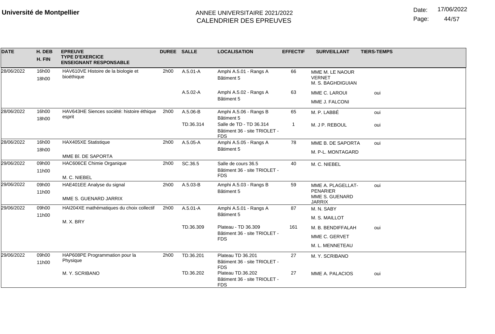Date: 17/06/2022

Page: 44/57

| <b>DATE</b> | H. DEB<br>H. FIN | <b>EPREUVE</b><br><b>TYPE D'EXERCICE</b><br><b>ENSEIGNANT RESPONSABLE</b> | <b>DUREE SALLE</b> |           | <b>LOCALISATION</b>                                                   | <b>EFFECTIF</b> | <b>SURVEILLANT</b>                                    | <b>TIERS-TEMPS</b> |
|-------------|------------------|---------------------------------------------------------------------------|--------------------|-----------|-----------------------------------------------------------------------|-----------------|-------------------------------------------------------|--------------------|
| 28/06/2022  | 16h00<br>18h00   | HAV610VE Histoire de la biologie et<br>bioéthique                         | 2h00               | A.5.01-A  | Amphi A.5.01 - Rangs A<br>Bâtiment 5                                  | 66              | MME M. LE NAOUR<br><b>VERNET</b><br>M. S. BAGHDIGUIAN |                    |
|             |                  |                                                                           |                    | A.5.02-A  | Amphi A.5.02 - Rangs A                                                | 63              | MME C. LAROUI                                         | oui                |
|             |                  |                                                                           |                    |           | Bâtiment 5                                                            |                 | MME J. FALCONI                                        |                    |
| 28/06/2022  | 16h00            | HAV643HE Siences société: histoire éthique                                | 2h00               | A.5.06-B  | Amphi A.5.06 - Rangs B                                                | 65              | M. P. LABBÉ                                           | oui                |
|             | 18h00            | esprit                                                                    |                    |           | Bâtiment 5                                                            |                 |                                                       |                    |
|             |                  |                                                                           |                    | TD.36.314 | Salle de TD - TD 36.314<br>Bâtiment 36 - site TRIOLET -<br><b>FDS</b> | 1               | M. J P. REBOUL                                        | oui                |
| 28/06/2022  | 16h00            | HAX405XE Statistique                                                      | 2h00               | A.5.05-A  | Amphi A.5.05 - Rangs A                                                | 78              | MME B. DE SAPORTA                                     | oui                |
|             | 18h00            | MME Bî. DE SAPORTA                                                        |                    |           | Bâtiment 5                                                            |                 | M. P-L. MONTAGARD                                     |                    |
| 29/06/2022  | 09h00            | HAC606CE Chimie Organique                                                 | 2h00               | SC.36.5   | Salle de cours 36.5                                                   | 40              | M. C. NIEBEL                                          |                    |
|             | 11h00            |                                                                           |                    |           | Bâtiment 36 - site TRIOLET -                                          |                 |                                                       |                    |
|             |                  | M. C. NIEBEL                                                              |                    |           | <b>FDS</b>                                                            |                 |                                                       |                    |
| 29/06/2022  | 09h00            | HAE401EE Analyse du signal                                                | 2h00               | A.5.03-B  | Amphi A.5.03 - Rangs B                                                | 59              | MME A. PLAGELLAT-                                     | oui                |
|             | 11h00            | MME S. GUENARD JARRIX                                                     |                    |           | Bâtiment 5                                                            |                 | <b>PENARIER</b><br>MME S. GUENARD<br><b>JARRIX</b>    |                    |
| 29/06/2022  | 09h00            | HAI204XE mathématiques du choix collectif                                 | 2h00               | A.5.01-A  | Amphi A.5.01 - Rangs A                                                | 87              | M. N. SABY                                            |                    |
|             | 11h00            | M. X. BRY                                                                 |                    |           | Bâtiment 5                                                            |                 | M. S. MAILLOT                                         |                    |
|             |                  |                                                                           |                    | TD.36.309 | Plateau - TD 36.309                                                   | 161             | M. B. BENDIFFALAH                                     | oui                |
|             |                  |                                                                           |                    |           | Bâtiment 36 - site TRIOLET -<br><b>FDS</b>                            |                 | MME C. GERVET                                         |                    |
|             |                  |                                                                           |                    |           |                                                                       |                 | M. L. MENNETEAU                                       |                    |
| 29/06/2022  | 09h00            | HAP608PE Programmation pour la                                            | 2h00               | TD.36.201 | Plateau TD 36.201                                                     | 27              | M. Y. SCRIBANO                                        |                    |
|             | 11h00            | Physique                                                                  |                    |           | Bâtiment 36 - site TRIOLET -<br><b>FDS</b>                            |                 |                                                       |                    |
|             |                  | M. Y. SCRIBANO                                                            |                    | TD.36.202 | Plateau TD.36.202                                                     | 27              | MME A. PALACIOS                                       | oui                |
|             |                  |                                                                           |                    |           | Bâtiment 36 - site TRIOLET -<br><b>FDS</b>                            |                 |                                                       |                    |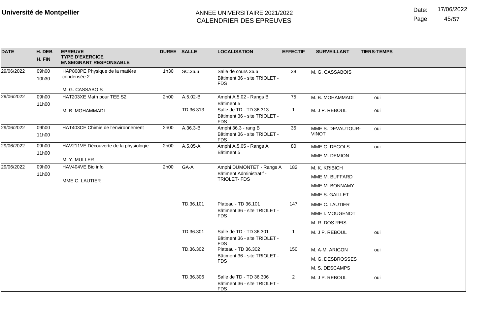Date: 17/06/2022

Page: 45/57

| <b>DATE</b> | H. DEB<br>H. FIN | <b>EPREUVE</b><br><b>TYPE D'EXERCICE</b><br><b>ENSEIGNANT RESPONSABLE</b> | DUREE SALLE |           | <b>LOCALISATION</b>                                                   | <b>EFFECTIF</b> | <b>SURVEILLANT</b>                | <b>TIERS-TEMPS</b> |
|-------------|------------------|---------------------------------------------------------------------------|-------------|-----------|-----------------------------------------------------------------------|-----------------|-----------------------------------|--------------------|
| 29/06/2022  | 09h00<br>10h30   | HAP808PE Physique de la matière<br>condensée 2                            | 1h30        | SC.36.6   | Salle de cours 36.6<br>Bâtiment 36 - site TRIOLET -<br><b>FDS</b>     | 38              | M. G. CASSABOIS                   |                    |
|             |                  | M. G. CASSABOIS                                                           |             |           |                                                                       |                 |                                   |                    |
| 29/06/2022  | 09h00            | HAT203XE Math pour TEE S2                                                 | 2h00        | A.5.02-B  | Amphi A.5.02 - Rangs B<br>Bâtiment 5                                  | 75              | M. B. MOHAMMADI                   | oui                |
|             | 11h00            | M. B. MOHAMMADI                                                           |             | TD.36.313 | Salle de TD - TD 36.313<br>Bâtiment 36 - site TRIOLET -<br><b>FDS</b> | 1               | M. J P. REBOUL                    | oui                |
| 29/06/2022  | 09h00<br>11h00   | HAT403CE Chimie de l'environnement                                        | 2h00        | A.36.3-B  | Amphi 36.3 - rang B<br>Bâtiment 36 - site TRIOLET -<br><b>FDS</b>     | 35              | MME S. DEVAUTOUR-<br><b>VINOT</b> | oui                |
| 29/06/2022  | 09h00            | HAV211VE Découverte de la physiologie                                     | 2h00        | A.5.05-A  | Amphi A.5.05 - Rangs A                                                | 80              | MME G. DEGOLS                     | oui                |
|             | 11h00            | M. Y. MULLER                                                              |             |           | Bâtiment 5                                                            |                 | MME M. DEMION                     |                    |
| 29/06/2022  | 09h00            | HAV404VE Bio info                                                         | 2h00        | GA-A      | Amphi DUMONTET - Rangs A                                              | 182             | M. K. KRIBICH                     |                    |
|             | 11h00            | MME C. LAUTIER                                                            |             |           | Bâtiment Administratif -<br><b>TRIOLET-FDS</b>                        |                 | MME M. BUFFARD                    |                    |
|             |                  |                                                                           |             |           |                                                                       |                 | MME M. BONNAMY                    |                    |
|             |                  |                                                                           |             |           |                                                                       |                 | MME S. GAILLET                    |                    |
|             |                  |                                                                           |             | TD.36.101 | Plateau - TD 36.101                                                   | 147             | MME C. LAUTIER                    |                    |
|             |                  |                                                                           |             |           | Bâtiment 36 - site TRIOLET -<br><b>FDS</b>                            |                 | MME I. MOUGENOT                   |                    |
|             |                  |                                                                           |             |           |                                                                       |                 | M. R. DOS REIS                    |                    |
|             |                  |                                                                           |             | TD.36.301 | Salle de TD - TD 36.301<br>Bâtiment 36 - site TRIOLET -<br><b>FDS</b> | $\mathbf{1}$    | M. J P. REBOUL                    | oui                |
|             |                  |                                                                           |             | TD.36.302 | Plateau - TD 36.302                                                   | 150             | M. A-M. ARIGON                    | oui                |
|             |                  |                                                                           |             |           | Bâtiment 36 - site TRIOLET -<br><b>FDS</b>                            |                 | M. G. DESBROSSES                  |                    |
|             |                  |                                                                           |             |           |                                                                       |                 | M. S. DESCAMPS                    |                    |
|             |                  |                                                                           |             | TD.36.306 | Salle de TD - TD 36.306<br>Bâtiment 36 - site TRIOLET -<br><b>FDS</b> | $\overline{2}$  | M. J P. REBOUL                    | oui                |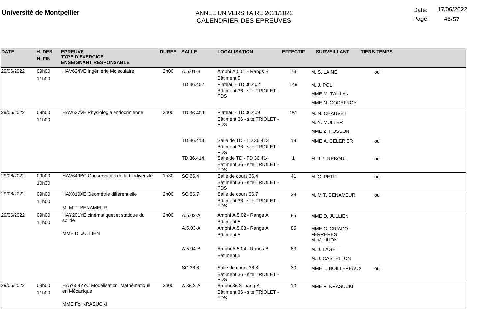Date: 17/06/2022

Page: 46/57

| <b>DATE</b> | H. DEB<br>H. FIN | <b>EPREUVE</b><br><b>TYPE D'EXERCICE</b><br><b>ENSEIGNANT RESPONSABLE</b> |      | DUREE SALLE  | <b>LOCALISATION</b>                                                   | <b>EFFECTIF</b> | <b>SURVEILLANT</b>                              | <b>TIERS-TEMPS</b> |
|-------------|------------------|---------------------------------------------------------------------------|------|--------------|-----------------------------------------------------------------------|-----------------|-------------------------------------------------|--------------------|
| 29/06/2022  | 09h00<br>11h00   | HAV624VE Ingénierie Moléculaire                                           | 2h00 | A.5.01-B     | Amphi A.5.01 - Rangs B<br>Bâtiment 5                                  | 73              | M. S. LAINÉ                                     | oui                |
|             |                  |                                                                           |      | TD.36.402    | Plateau - TD 36.402                                                   | 149             | M. J. POLI                                      |                    |
|             |                  |                                                                           |      |              | Bâtiment 36 - site TRIOLET -<br><b>FDS</b>                            |                 | MME M. TAULAN                                   |                    |
|             |                  |                                                                           |      |              |                                                                       |                 | MME N. GODEFROY                                 |                    |
| 29/06/2022  | 09h00            | HAV637VE Physiologie endocrinienne                                        | 2h00 | TD.36.409    | Plateau - TD 36.409                                                   | 151             | M. N. CHAUVET                                   |                    |
|             | 11h00            |                                                                           |      |              | Bâtiment 36 - site TRIOLET -<br><b>FDS</b>                            |                 | M. Y. MULLER                                    |                    |
|             |                  |                                                                           |      |              |                                                                       |                 | MME Z. HUSSON                                   |                    |
|             |                  |                                                                           |      | TD.36.413    | Salle de TD - TD 36.413<br>Bâtiment 36 - site TRIOLET -<br><b>FDS</b> | 18              | MME A. CELERIER                                 | oui                |
|             |                  |                                                                           |      | TD.36.414    | Salle de TD - TD 36.414<br>Bâtiment 36 - site TRIOLET -<br><b>FDS</b> | $\mathbf{1}$    | M. J P. REBOUL                                  | oui                |
| 29/06/2022  | 09h00            | HAV649BC Conservation de la biodiversité                                  | 1h30 | SC.36.4      | Salle de cours 36.4                                                   | 41              | M. C. PETIT                                     | oui                |
|             | 10h30            |                                                                           |      |              | Bâtiment 36 - site TRIOLET -<br><b>FDS</b>                            |                 |                                                 |                    |
| 29/06/2022  | 09h00            | HAX810XE Géométrie différentielle                                         | 2h00 | SC.36.7      | Salle de cours 36.7                                                   | 38              | M. M T. BENAMEUR                                | oui                |
|             | 11h00            | M. M-T. BENAMEUR                                                          |      |              | Bâtiment 36 - site TRIOLET -<br><b>FDS</b>                            |                 |                                                 |                    |
| 29/06/2022  | 09h00<br>11h00   | HAY201YE cinématiquet et statique du<br>solide                            | 2h00 | $A.5.02 - A$ | Amphi A.5.02 - Rangs A<br>Bâtiment 5                                  | 85              | MME D. JULLIEN                                  |                    |
|             |                  | MME D. JULLIEN                                                            |      | A.5.03-A     | Amphi A.5.03 - Rangs A<br>Bâtiment 5                                  | 85              | MME C. CRIADO-<br><b>FERRERES</b><br>M. V. HUON |                    |
|             |                  |                                                                           |      | A.5.04-B     | Amphi A.5.04 - Rangs B                                                | 83              | M. J. LAGET                                     |                    |
|             |                  |                                                                           |      |              | Bâtiment 5                                                            |                 | M. J. CASTELLON                                 |                    |
|             |                  |                                                                           |      | SC.36.8      | Salle de cours 36.8<br>Bâtiment 36 - site TRIOLET -<br><b>FDS</b>     | 30              | MME L. BOILLEREAUX                              | oui                |
| 29/06/2022  | 09h00<br>11h00   | HAY609YYC Modelisation Mathématique<br>en Mécanique                       | 2h00 | A.36.3-A     | Amphi 36.3 - rang A<br>Bâtiment 36 - site TRIOLET -<br><b>FDS</b>     | 10              | MME F. KRASUCKI                                 |                    |
|             |                  | MME Fç. KRASUCKI                                                          |      |              |                                                                       |                 |                                                 |                    |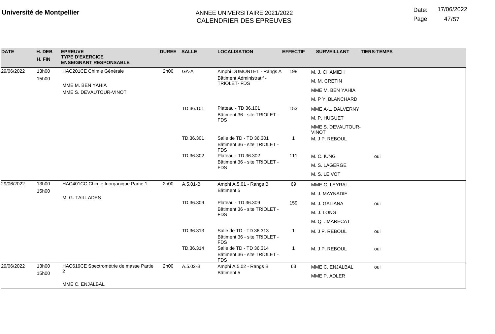Date: 17/06/2022

Page: 47/57

| <b>DATE</b> | H. DEB<br>H. FIN | <b>EPREUVE</b><br><b>TYPE D'EXERCICE</b><br><b>ENSEIGNANT RESPONSABLE</b> | DUREE SALLE |                                                                       | <b>LOCALISATION</b>                                                   | <b>EFFECTIF</b> | <b>SURVEILLANT</b>                | <b>TIERS-TEMPS</b> |
|-------------|------------------|---------------------------------------------------------------------------|-------------|-----------------------------------------------------------------------|-----------------------------------------------------------------------|-----------------|-----------------------------------|--------------------|
| 29/06/2022  | 13h00            | HAC201CE Chimie Générale                                                  | 2h00        | GA-A                                                                  | Amphi DUMONTET - Rangs A                                              | 198             | M. J. CHAMIEH                     |                    |
|             | 15h00            |                                                                           |             |                                                                       | Bâtiment Administratif -<br>TRIOLET-FDS                               |                 | M. M. CRETIN                      |                    |
|             |                  | MME M. BEN YAHIA<br>MME S. DEVAUTOUR-VINOT                                |             |                                                                       |                                                                       |                 | MME M. BEN YAHIA                  |                    |
|             |                  |                                                                           |             |                                                                       |                                                                       |                 | M. P Y. BLANCHARD                 |                    |
|             |                  |                                                                           |             | TD.36.101                                                             | Plateau - TD 36.101                                                   | 153             | MME A-L. DALVERNY                 |                    |
|             |                  |                                                                           |             |                                                                       | Bâtiment 36 - site TRIOLET -<br><b>FDS</b>                            |                 | M. P. HUGUET                      |                    |
|             |                  |                                                                           |             |                                                                       |                                                                       |                 | MME S. DEVAUTOUR-<br><b>VINOT</b> |                    |
|             |                  |                                                                           | TD.36.301   | Salle de TD - TD 36.301<br>Bâtiment 36 - site TRIOLET -<br><b>FDS</b> | $\overline{1}$                                                        | M. J P. REBOUL  |                                   |                    |
|             |                  |                                                                           |             | TD.36.302                                                             | Plateau - TD 36.302                                                   | 111             | M. C. IUNG                        | oui                |
|             |                  |                                                                           |             | Bâtiment 36 - site TRIOLET -<br><b>FDS</b>                            |                                                                       | M. S. LAGERGE   |                                   |                    |
|             |                  |                                                                           |             |                                                                       |                                                                       |                 | M. S. LE VOT                      |                    |
| 29/06/2022  | 13h00            | HAC401CC Chimie Inorganique Partie 1                                      | 2h00        | A.5.01-B                                                              | Amphi A.5.01 - Rangs B                                                | 69              | MME G. LEYRAL                     |                    |
|             | 15h00            | M. G. TAILLADES                                                           |             |                                                                       | Bâtiment 5                                                            |                 | M. J. MAYNADIE                    |                    |
|             |                  |                                                                           |             | TD.36.309                                                             | Plateau - TD 36.309                                                   | 159             | M. J. GALIANA                     | oui                |
|             |                  |                                                                           |             |                                                                       | Bâtiment 36 - site TRIOLET -<br><b>FDS</b>                            |                 | M. J. LONG                        |                    |
|             |                  |                                                                           |             |                                                                       |                                                                       |                 | M.Q.MARECAT                       |                    |
|             |                  |                                                                           |             | TD.36.313                                                             | Salle de TD - TD 36.313<br>Bâtiment 36 - site TRIOLET -<br><b>FDS</b> | -1              | M. J P. REBOUL                    | oui                |
|             |                  |                                                                           |             | TD.36.314                                                             | Salle de TD - TD 36.314<br>Bâtiment 36 - site TRIOLET -<br><b>FDS</b> | -1              | M. J P. REBOUL                    | oui                |
| 29/06/2022  | 13h00            | HAC619CE Spectrométrie de masse Partie                                    | 2h00        | A.5.02-B                                                              | Amphi A.5.02 - Rangs B                                                | 63              | MME C. ENJALBAL                   | oui                |
|             | 15h00            | $\overline{2}$                                                            |             | Bâtiment 5                                                            |                                                                       | MME P. ADLER    |                                   |                    |
|             |                  | MME C. ENJALBAL                                                           |             |                                                                       |                                                                       |                 |                                   |                    |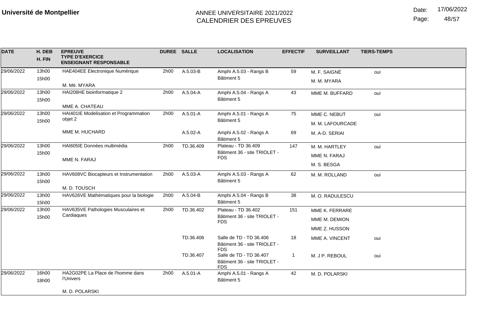Date: 17/06/2022

Page: 48/57

| <b>DATE</b> | H. DEB<br>H. FIN | <b>EPREUVE</b><br><b>TYPE D'EXERCICE</b><br><b>ENSEIGNANT RESPONSABLE</b> | <b>DUREE SALLE</b> |              | <b>LOCALISATION</b>                                                   | <b>EFFECTIF</b> | <b>SURVEILLANT</b> | <b>TIERS-TEMPS</b> |
|-------------|------------------|---------------------------------------------------------------------------|--------------------|--------------|-----------------------------------------------------------------------|-----------------|--------------------|--------------------|
| 29/06/2022  | 13h00            | <b>HAE404EE Electronique Numérique</b>                                    | 2h00               | A.5.03-B     | Amphi A.5.03 - Rangs B                                                | 59              | M. F. SAIGNÉ       | oui                |
|             | 15h00            |                                                                           |                    |              | Bâtiment 5                                                            |                 | M. M. MYARA        |                    |
|             |                  | M. Më. MYARA                                                              |                    |              |                                                                       |                 |                    |                    |
| 29/06/2022  | 13h00            | HAI208HE bioinformatique 2                                                | 2h00               | A.5.04-A     | Amphi A.5.04 - Rangs A                                                | 43              | MME M. BUFFARD     | oui                |
|             | 15h00            | MME A. CHATEAU                                                            |                    |              | Bâtiment 5                                                            |                 |                    |                    |
| 29/06/2022  | 13h00            | HAI401IE Modelisation et Programmation                                    | 2h00               | A.5.01-A     | Amphi A.5.01 - Rangs A                                                | 75              | MME C. NEBUT       | oui                |
|             | 15h00            | objet 2                                                                   |                    |              | Bâtiment 5                                                            |                 |                    |                    |
|             |                  |                                                                           |                    |              |                                                                       |                 | M. M. LAFOURCADE   |                    |
|             |                  | MME M. HUCHARD                                                            |                    | $A.5.02 - A$ | Amphi A.5.02 - Rangs A<br>Bâtiment 5                                  | 69              | M. A-D. SERIAI     |                    |
| 29/06/2022  | 13h00            | HAI605IE Données multimédia                                               | 2h00               | TD.36.409    | Plateau - TD 36.409                                                   | 147             | M. M. HARTLEY      | oui                |
|             | 15h00            | MME N. FARAJ                                                              |                    |              | Bâtiment 36 - site TRIOLET -<br><b>FDS</b>                            |                 | MME N. FARAJ       |                    |
|             |                  |                                                                           |                    |              |                                                                       |                 | M. S. BESGA        |                    |
| 29/06/2022  | 13h00            | HAV608VC Biocapteurs et Instrumentation                                   | 2h00               | A.5.03-A     | Amphi A.5.03 - Rangs A                                                | 62              | M. M. ROLLAND      | oui                |
|             | 15h00            |                                                                           |                    |              | Bâtiment 5                                                            |                 |                    |                    |
|             |                  | M. D. TOUSCH                                                              |                    |              |                                                                       |                 |                    |                    |
| 29/06/2022  | 13h00<br>15h00   | HAV626VE Mathématiques pour la biologie                                   | 2h00               | A.5.04-B     | Amphi A.5.04 - Rangs B<br>Bâtiment 5                                  | 38              | M. O. RADULESCU    |                    |
| 29/06/2022  | 13h00            | HAV635VE Pathologies Musculaires et                                       | 2h00               | TD.36.402    | Plateau - TD 36.402                                                   | 151             | MME K. FERRARE     |                    |
|             | 15h00            | Cardiagues                                                                |                    |              | Bâtiment 36 - site TRIOLET -<br><b>FDS</b>                            |                 | MME M. DEMION      |                    |
|             |                  |                                                                           |                    |              |                                                                       |                 | MME Z. HUSSON      |                    |
|             |                  |                                                                           |                    | TD.36.406    | Salle de TD - TD 36.406<br>Bâtiment 36 - site TRIOLET -<br><b>FDS</b> | 18              | MME A. VINCENT     | oui                |
|             |                  |                                                                           |                    | TD.36.407    | Salle de TD - TD 36.407<br>Bâtiment 36 - site TRIOLET -<br><b>FDS</b> | 1               | M. J P. REBOUL     | oui                |
| 29/06/2022  | 16h00<br>18h00   | HA2G02PE La Place de l'homme dans<br><b>l'Univers</b>                     | 2h00               | A.5.01-A     | Amphi A.5.01 - Rangs A<br>Bâtiment 5                                  | 42              | M. D. POLARSKI     |                    |
|             |                  | M. D. POLARSKI                                                            |                    |              |                                                                       |                 |                    |                    |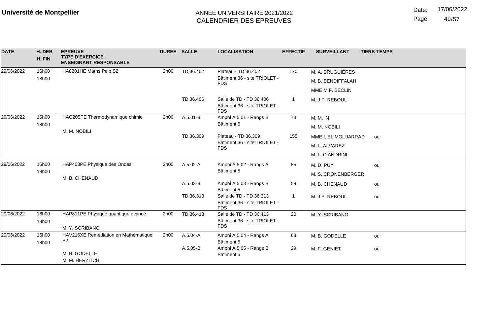Date: 17/06/2022

Page: 49/57

| <b>DATE</b> | H. DEB<br>H. FIN | <b>EPREUVE</b><br><b>TYPE D'EXERCICE</b><br><b>ENSEIGNANT RESPONSABLE</b> | DUREE SALLE      |              | <b>LOCALISATION</b>                                                   | <b>EFFECTIF</b>    | <b>SURVEILLANT</b>  | <b>TIERS-TEMPS</b> |
|-------------|------------------|---------------------------------------------------------------------------|------------------|--------------|-----------------------------------------------------------------------|--------------------|---------------------|--------------------|
| 29/06/2022  | 16h00            | HA8201HE Maths Peip S2                                                    | 2h00             | TD.36.402    | Plateau - TD 36.402                                                   | 170                | M. A. BRUGUIÈRES    |                    |
|             | 18h00            |                                                                           |                  |              | Bâtiment 36 - site TRIOLET -<br><b>FDS</b>                            |                    | M. B. BENDIFFALAH   |                    |
|             |                  |                                                                           |                  |              |                                                                       |                    | MME M F. BECLIN     |                    |
|             |                  |                                                                           |                  | TD.36.406    | Salle de TD - TD 36.406<br>Bâtiment 36 - site TRIOLET -<br><b>FDS</b> |                    | M. J P. REBOUL      |                    |
| 29/06/2022  | 16h00            | HAC205PE Thermodynamique chimie                                           | 2h00             | A.5.01-B     | Amphi A.5.01 - Rangs B                                                | 73                 | <b>M. M. IN</b>     |                    |
|             | 18h00            | M. M. NOBILI                                                              | Bâtiment 5       |              |                                                                       | M. M. NOBILI       |                     |                    |
|             |                  |                                                                           |                  | TD.36.309    | Plateau - TD 36.309                                                   | 155                | MME I. EL MOUJARRAD | oui                |
|             |                  |                                                                           |                  |              | Bâtiment 36 - site TRIOLET -<br><b>FDS</b>                            |                    | M. L. ALVAREZ       |                    |
|             |                  |                                                                           |                  |              |                                                                       |                    | M. L. CIANDRINI     |                    |
| 29/06/2022  | 16h00            | HAP403PE Physique des Ondes<br>M. B. CHENAUD                              | 2h00<br>A.5.02-A |              | Amphi A.5.02 - Rangs A                                                | 85                 | M.D.PUY             | oui                |
|             | 18h00            |                                                                           |                  | Bâtiment 5   |                                                                       | M. S. CRONENBERGER |                     |                    |
|             |                  |                                                                           |                  | A.5.03-B     | Amphi A.5.03 - Rangs B<br>Bâtiment 5                                  | 58                 | M. B. CHENAUD       | oui                |
|             |                  |                                                                           |                  | TD.36.313    | Salle de TD - TD 36.313<br>Bâtiment 36 - site TRIOLET -<br><b>FDS</b> | -1                 | M. J P. REBOUL      | oui                |
| 29/06/2022  | 16h00<br>18h00   | HAP811PE Physique quantique avancé                                        | 2h00             | TD.36.413    | Salle de TD - TD 36.413<br>Bâtiment 36 - site TRIOLET -               | 20                 | M. Y. SCRIBANO      |                    |
|             |                  | M. Y. SCRIBANO                                                            |                  |              | <b>FDS</b>                                                            |                    |                     |                    |
| 29/06/2022  | 16h00<br>18h00   | HAV216XE Remédiation en Mathématique<br>S <sub>2</sub>                    | 2h00             | $A.5.04 - A$ | Amphi A.5.04 - Rangs A<br>Bâtiment 5                                  | 68                 | M. B. GODELLE       | oui                |
|             |                  | M. B. GODELLE<br>M. M. HERZLICH                                           |                  | A.5.05-B     | Amphi A.5.05 - Rangs B<br>Bâtiment 5                                  | 29                 | M. F. GENIET        | oui                |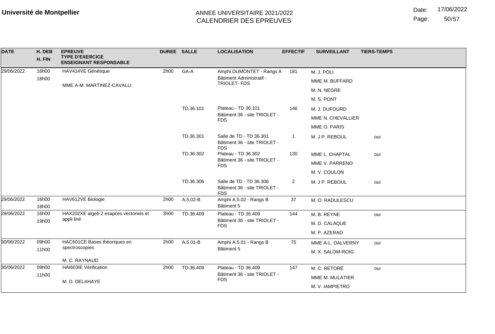Page: 50/57

| <b>DATE</b> | H. DEB<br>H. FIN | <b>EPREUVE</b><br><b>TYPE D'EXERCICE</b><br><b>ENSEIGNANT RESPONSABLE</b> | <b>DUREE SALLE</b> |           | <b>LOCALISATION</b>                                                   | <b>EFFECTIF</b> | <b>SURVEILLANT</b> | <b>TIERS-TEMPS</b> |
|-------------|------------------|---------------------------------------------------------------------------|--------------------|-----------|-----------------------------------------------------------------------|-----------------|--------------------|--------------------|
| 29/06/2022  | 16h00            | HAV414VE Génétique                                                        | 2h00               | GA-A      | Amphi DUMONTET - Rangs A                                              | 181             | M. J. POLI         |                    |
|             | 18h00            | MME A-M. MARTINEZ-CAVALLI                                                 |                    |           | Bâtiment Administratif -<br>TRIOLET-FDS                               |                 | MME M. BUFFARD     |                    |
|             |                  |                                                                           |                    |           |                                                                       |                 | M. N. NEGRE        |                    |
|             |                  |                                                                           |                    |           |                                                                       |                 | M. S. PONT         |                    |
|             |                  |                                                                           |                    | TD.36.101 | Plateau - TD 36.101                                                   | 146             | M. J. DUFOURD      |                    |
|             |                  |                                                                           |                    |           | Bâtiment 36 - site TRIOLET -<br><b>FDS</b>                            |                 | MME N. CHEVALLIER  |                    |
|             |                  |                                                                           |                    |           |                                                                       |                 | MME O. PARIS       |                    |
|             |                  |                                                                           |                    | TD.36.301 | Salle de TD - TD 36.301<br>Bâtiment 36 - site TRIOLET -<br><b>FDS</b> | $\overline{1}$  | M. J P. REBOUL     | oui                |
|             |                  |                                                                           |                    | TD.36.302 | Plateau - TD 36.302                                                   | 130             | MME L. CHAPTAL     | oui                |
|             |                  |                                                                           |                    |           | Bâtiment 36 - site TRIOLET -<br><b>FDS</b>                            |                 | MME V. PARRENO     |                    |
|             |                  |                                                                           |                    |           |                                                                       |                 | M. V. COULON       |                    |
|             |                  |                                                                           |                    | TD.36.306 | Salle de TD - TD 36.306<br>Bâtiment 36 - site TRIOLET -<br><b>FDS</b> | $\overline{2}$  | M. J P. REBOUL     | oui                |
| 29/06/2022  | 16h00<br>18h00   | HAV612VE Biologie                                                         | 2h00               | A.5.02-B  | Amphi A.5.02 - Rangs B<br>Bâtiment 5                                  | 37              | M. O. RADULESCU    |                    |
| 29/06/2022  | 16h00            | HAX202XE algeb 2 esapces vectoriels et                                    | 3h00               | TD.36.409 | Plateau - TD 36.409                                                   | 144             | M. B. REYNE        | oui                |
|             | 19h00            | appli liné                                                                |                    |           | Bâtiment 36 - site TRIOLET -<br><b>FDS</b>                            |                 | M. D. CALAQUE      |                    |
|             |                  |                                                                           |                    |           |                                                                       |                 | M. P. AZERAD       |                    |
| 30/06/2022  | 09h00            | HAC601CE Bases théoriques en                                              | 2h00               | A.5.01-B  | Amphi A.5.01 - Rangs B                                                | 75              | MME A-L. DALVERNY  | oui                |
|             | 11h00            | spectroscopies                                                            |                    |           | Bâtiment 5                                                            |                 | M. X. SALOM-ROIG   |                    |
|             |                  | M. C. RAYNAUD                                                             |                    |           |                                                                       |                 |                    |                    |
| 30/06/2022  | 09h00            | HAI603IE Vérification                                                     | 2h00               | TD.36.409 | Plateau - TD 36.409                                                   | 147             | M. C. RETORÉ       | oui                |
|             | 11h00            | M. D. DELAHAYE                                                            |                    |           | Bâtiment 36 - site TRIOLET -<br><b>FDS</b>                            |                 | MME M. MULATIER    |                    |
|             |                  |                                                                           |                    |           |                                                                       |                 | M. V. IAMPIETRO    |                    |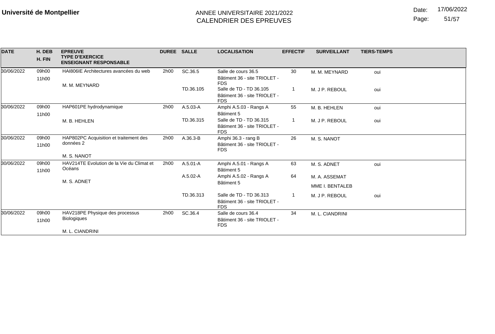Date: 17/06/2022

Page: 51/57

| <b>DATE</b> | H. DEB<br>H. FIN | <b>EPREUVE</b><br><b>TYPE D'EXERCICE</b><br><b>ENSEIGNANT RESPONSABLE</b> | <b>DUREE SALLE</b> |              | <b>LOCALISATION</b>                                                   | <b>EFFECTIF</b> | <b>SURVEILLANT</b> | <b>TIERS-TEMPS</b> |
|-------------|------------------|---------------------------------------------------------------------------|--------------------|--------------|-----------------------------------------------------------------------|-----------------|--------------------|--------------------|
| 30/06/2022  | 09h00<br>11h00   | HAI806IE Architectures avancées du web                                    | 2h00               | SC.36.5      | Salle de cours 36.5<br>Bâtiment 36 - site TRIOLET -<br><b>FDS</b>     | 30              | M. M. MEYNARD      | oui                |
|             |                  | M. M. MEYNARD                                                             |                    | TD.36.105    | Salle de TD - TD 36.105<br>Bâtiment 36 - site TRIOLET -<br><b>FDS</b> |                 | M. J P. REBOUL     | oui                |
| 30/06/2022  | 09h00<br>11h00   | HAP601PE hydrodynamique                                                   | 2h00               | A.5.03-A     | Amphi A.5.03 - Rangs A<br>Bâtiment 5                                  | 55              | M. B. HEHLEN       | oui                |
|             |                  | M. B. HEHLEN                                                              |                    | TD.36.315    | Salle de TD - TD 36.315<br>Bâtiment 36 - site TRIOLET -<br><b>FDS</b> |                 | M. J P. REBOUL     | oui                |
| 30/06/2022  | 09h00<br>11h00   | HAP802PC Acquisition et traitement des<br>données 2<br>M. S. NANOT        | 2h00               | $A.36.3 - B$ | Amphi 36.3 - rang B<br>Bâtiment 36 - site TRIOLET -<br><b>FDS</b>     | 26              | M. S. NANOT        |                    |
| 30/06/2022  | 09h00<br>11h00   | HAV214TE Evolution de la Vie du Climat et<br>Océans                       | 2h00               | $A.5.01 - A$ | Amphi A.5.01 - Rangs A<br>Bâtiment 5                                  | 63              | M. S. ADNET        | oui                |
|             |                  |                                                                           |                    | A.5.02-A     | Amphi A.5.02 - Rangs A                                                | 64              | M. A. ASSEMAT      |                    |
|             |                  | M. S. ADNET                                                               |                    |              | Bâtiment 5                                                            |                 | MME I. BENTALEB    |                    |
|             |                  |                                                                           |                    | TD.36.313    | Salle de TD - TD 36.313<br>Bâtiment 36 - site TRIOLET -<br><b>FDS</b> |                 | M. J P. REBOUL     | oui                |
| 30/06/2022  | 09h00<br>11h00   | HAV218PE Physique des processus<br><b>Biologiques</b><br>M. L. CIANDRINI  | 2h00               | SC.36.4      | Salle de cours 36.4<br>Bâtiment 36 - site TRIOLET -<br><b>FDS</b>     | 34              | M. L. CIANDRINI    |                    |
|             |                  |                                                                           |                    |              |                                                                       |                 |                    |                    |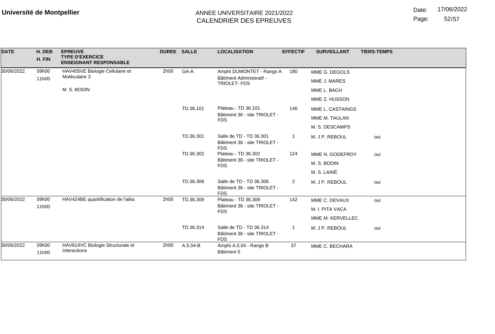Date: 17/06/2022

Page: 52/57

| <b>DATE</b> | H. DEB<br>H. FIN | <b>EPREUVE</b><br><b>TYPE D'EXERCICE</b><br><b>ENSEIGNANT RESPONSABLE</b> | <b>DUREE SALLE</b> |           | <b>LOCALISATION</b>                                                   | <b>EFFECTIF</b> | <b>SURVEILLANT</b> | <b>TIERS-TEMPS</b> |
|-------------|------------------|---------------------------------------------------------------------------|--------------------|-----------|-----------------------------------------------------------------------|-----------------|--------------------|--------------------|
| 30/06/2022  | 09h00            | HAV405VE Biologie Cellulaire et                                           | 2h00               | GA-A      | Amphi DUMONTET - Rangs A                                              | 180             | MME G. DEGOLS      |                    |
|             | 11h00            | Moléculaire 3                                                             |                    |           | Bâtiment Administratif -<br>TRIOLET-FDS                               |                 | MME J. MARES       |                    |
|             |                  | M. S. BODIN                                                               |                    |           |                                                                       |                 | MME L. BACH        |                    |
|             |                  |                                                                           |                    |           |                                                                       |                 | MME Z. HUSSON      |                    |
|             |                  |                                                                           |                    | TD.36.101 | Plateau - TD 36.101<br>Bâtiment 36 - site TRIOLET -<br><b>FDS</b>     | 146             | MME L. CASTAINGS   |                    |
|             |                  |                                                                           |                    |           |                                                                       |                 | MME M. TAULAN      |                    |
|             |                  |                                                                           |                    |           |                                                                       |                 | M. S. DESCAMPS     |                    |
|             |                  |                                                                           |                    | TD.36.301 | Salle de TD - TD 36.301<br>Bâtiment 36 - site TRIOLET -<br><b>FDS</b> | $\mathbf{1}$    | M. J P. REBOUL     | oui                |
|             |                  |                                                                           |                    | TD.36.302 | Plateau - TD 36.302<br>Bâtiment 36 - site TRIOLET -<br><b>FDS</b>     | 124             | MME N. GODEFROY    | oui                |
|             |                  |                                                                           |                    |           |                                                                       |                 | M. S. BODIN        |                    |
|             |                  |                                                                           |                    |           |                                                                       |                 | M. S. LAINÉ        |                    |
|             |                  |                                                                           |                    | TD.36.306 | Salle de TD - TD 36.306<br>Bâtiment 36 - site TRIOLET -<br><b>FDS</b> | $\mathbf{2}$    | M. J P. REBOUL     | oui                |
| 30/06/2022  | 09h00            | HAV424BE quantification de l'aléa                                         | 2h00               | TD.36.309 | Plateau - TD 36.309                                                   | 142             | MME C. DEVAUX      | oui                |
|             | 11h00            |                                                                           |                    |           | Bâtiment 36 - site TRIOLET -<br><b>FDS</b>                            |                 | M. I. PITA VACA    |                    |
|             |                  |                                                                           |                    |           |                                                                       |                 | MME M. KERVELLEC   |                    |
|             |                  |                                                                           |                    | TD.36.314 | Salle de TD - TD 36.314<br>Bâtiment 36 - site TRIOLET -<br><b>FDS</b> | $\overline{1}$  | M. J P. REBOUL     | oui                |
| 30/06/2022  | 09h00<br>11h00   | HAV614VC Biologie Structurale et<br>Interactions                          | 2h00               | A.5.04-B  | Amphi A.5.04 - Rangs B<br>Bâtiment 5                                  | 37              | MME C. BECHARA     |                    |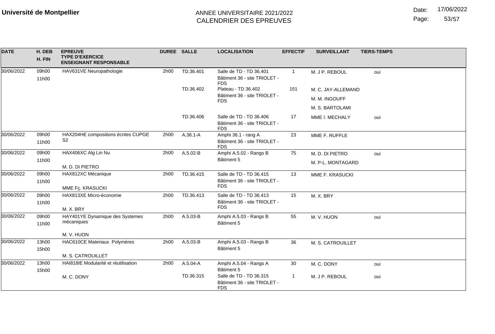Date: 17/06/2022

Page: 53/57

| <b>DATE</b> | H. DEB<br>H. FIN | <b>EPREUVE</b><br><b>TYPE D'EXERCICE</b><br><b>ENSEIGNANT RESPONSABLE</b> | DUREE SALLE |              | <b>LOCALISATION</b>                                                   | <b>EFFECTIF</b> | <b>SURVEILLANT</b> | <b>TIERS-TEMPS</b> |
|-------------|------------------|---------------------------------------------------------------------------|-------------|--------------|-----------------------------------------------------------------------|-----------------|--------------------|--------------------|
| 30/06/2022  | 09h00<br>11h00   | HAV631VE Neuropathologie                                                  | 2h00        | TD.36.401    | Salle de TD - TD 36.401<br>Bâtiment 36 - site TRIOLET -<br><b>FDS</b> | $\mathbf{1}$    | M. J P. REBOUL     | oui                |
|             |                  |                                                                           |             | TD.36.402    | Plateau - TD 36.402                                                   | 151             | M. C. JAY-ALLEMAND |                    |
|             |                  |                                                                           |             |              | Bâtiment 36 - site TRIOLET -<br><b>FDS</b>                            |                 | M. M. INGOUFF      |                    |
|             |                  |                                                                           |             |              |                                                                       |                 | M. S. BARTOLAMI    |                    |
|             |                  |                                                                           |             | TD.36.406    | Salle de TD - TD 36.406<br>Bâtiment 36 - site TRIOLET -<br><b>FDS</b> | 17              | MME I. MECHALY     | oui                |
| 30/06/2022  | 09h00<br>11h00   | HAX204HE compositions écrites CUPGE<br>S <sub>2</sub>                     | 2h00        | $A.36.1 - A$ | Amphi 36.1 - rang A<br>Bâtiment 36 - site TRIOLET -<br><b>FDS</b>     | 23              | MME F. RUFFLE      |                    |
| 30/06/2022  | 09h00            | HAX406XC Alg Lin Nu                                                       | 2h00        | A.5.02-B     | Amphi A.5.02 - Rangs B                                                | 75              | M. D. DI PIETRO    | oui                |
|             | 11h00            |                                                                           |             |              | Bâtiment 5                                                            |                 | M. P-L. MONTAGARD  |                    |
| 30/06/2022  | 09h00            | M. D. DI PIETRO                                                           |             |              |                                                                       |                 |                    |                    |
|             | 11h00            | HAX812XC Mécanique                                                        | 2h00        | TD.36.415    | Salle de TD - TD 36.415<br>Bâtiment 36 - site TRIOLET -               | 13              | MME F. KRASUCKI    |                    |
|             |                  | MME Fç. KRASUCKI                                                          |             |              | <b>FDS</b>                                                            |                 |                    |                    |
| 30/06/2022  | 09h00<br>11h00   | HAX813XE Micro-économie<br>M. X. BRY                                      | 2h00        | TD.36.413    | Salle de TD - TD 36.413<br>Bâtiment 36 - site TRIOLET -<br><b>FDS</b> | 15              | M. X. BRY          |                    |
| 30/06/2022  | 09h00            | HAY401YE Dynamique des Systemes                                           | 2h00        | A.5.03-B     | Amphi A.5.03 - Rangs B                                                | 55              | M. V. HUON         | oui                |
|             | 11h00            | mécaniques                                                                |             |              | Bâtiment 5                                                            |                 |                    |                    |
|             |                  | M. V. HUON                                                                |             |              |                                                                       |                 |                    |                    |
| 30/06/2022  | 13h00            | HAC610CE Materiaux Polymères                                              | 2h00        | A.5.03-B     | Amphi A.5.03 - Rangs B                                                | 36              | M. S. CATROUILLET  |                    |
|             | 15h00            |                                                                           |             |              | Bâtiment 5                                                            |                 |                    |                    |
|             |                  | M. S. CATROUILLET                                                         |             |              |                                                                       |                 |                    |                    |
| 30/06/2022  | 13h00<br>15h00   | HAI818IE Modularité et réutilisation                                      | 2h00        | A.5.04-A     | Amphi A.5.04 - Rangs A<br>Bâtiment 5                                  | 30              | M. C. DONY         | oui                |
|             |                  | M. C. DONY                                                                |             | TD.36.315    | Salle de TD - TD 36.315<br>Bâtiment 36 - site TRIOLET -<br><b>FDS</b> | $\mathbf{1}$    | M. J P. REBOUL     | oui                |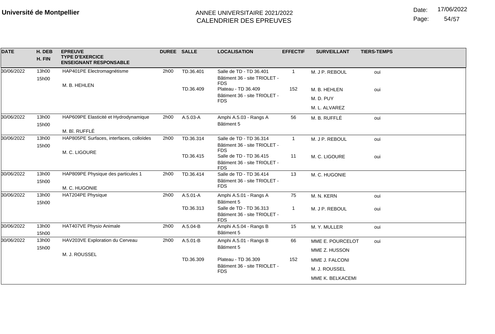Date: 17/06/2022

Page: 54/57

| <b>DATE</b> | H. DEB<br>H. FIN | <b>EPREUVE</b><br><b>TYPE D'EXERCICE</b><br><b>ENSEIGNANT RESPONSABLE</b> | DUREE SALLE |              | <b>LOCALISATION</b>                                                                 | <b>EFFECTIF</b> | <b>SURVEILLANT</b> | <b>TIERS-TEMPS</b> |
|-------------|------------------|---------------------------------------------------------------------------|-------------|--------------|-------------------------------------------------------------------------------------|-----------------|--------------------|--------------------|
| 30/06/2022  | 13h00<br>15h00   | HAP401PE Electromagnétisme                                                | 2h00        | TD.36.401    | Salle de TD - TD 36.401<br>Bâtiment 36 - site TRIOLET -<br><b>FDS</b>               | $\mathbf{1}$    | M. J P. REBOUL     | oui                |
|             |                  | M. B. HEHLEN                                                              |             | TD.36.409    | Plateau - TD 36.409<br>Bâtiment 36 - site TRIOLET -<br><b>FDS</b>                   | 152             | M. B. HEHLEN       | oui                |
|             |                  |                                                                           |             |              |                                                                                     |                 | M. D. PUY          |                    |
|             |                  |                                                                           |             |              |                                                                                     |                 | M. L. ALVAREZ      |                    |
| 30/06/2022  | 13h00<br>15h00   | HAP609PE Elasticité et Hydrodynamique                                     | 2h00        | A.5.03-A     | Amphi A.5.03 - Rangs A<br>Bâtiment 5                                                | 56              | M. B. RUFFLÉ       | oui                |
|             |                  | M. Bî. RUFFLÉ                                                             |             |              |                                                                                     |                 |                    |                    |
| 30/06/2022  | 13h00<br>15h00   | HAP805PE Surfaces, interfaces, colloïdes                                  | 2h00        | TD.36.314    | Salle de TD - TD 36.314<br>Bâtiment 36 - site TRIOLET -                             | $\mathbf{1}$    | M. J P. REBOUL     | oui                |
|             |                  | M. C. LIGOURE                                                             |             | TD.36.415    | <b>FDS</b><br>Salle de TD - TD 36.415<br>Bâtiment 36 - site TRIOLET -<br><b>FDS</b> | 11              | M. C. LIGOURE      | oui                |
| 30/06/2022  | 13h00            | HAP809PE Physique des particules 1                                        | 2h00        | TD.36.414    | Salle de TD - TD 36.414                                                             | 13              | M. C. HUGONIE      |                    |
|             | 15h00            | M. C. HUGONIE                                                             |             |              | Bâtiment 36 - site TRIOLET -<br><b>FDS</b>                                          |                 |                    |                    |
| 30/06/2022  | 13h00<br>15h00   | HAT204PE Physique                                                         | 2h00        | $A.5.01 - A$ | Amphi A.5.01 - Rangs A<br>Bâtiment 5                                                | 75              | M. N. KERN         | oui                |
|             |                  |                                                                           |             | TD.36.313    | Salle de TD - TD 36.313<br>Bâtiment 36 - site TRIOLET -<br><b>FDS</b>               | 1               | M. J P. REBOUL     | oui                |
| 30/06/2022  | 13h00            | HAT407VE Physio Animale                                                   | 2h00        | A.5.04-B     | Amphi A.5.04 - Rangs B                                                              | 15              | M. Y. MULLER       | oui                |
|             | 15h00            |                                                                           |             |              | Bâtiment 5                                                                          |                 |                    |                    |
| 30/06/2022  | 13h00            | HAV203VE Exploration du Cerveau                                           | 2h00        | A.5.01-B     | Amphi A.5.01 - Rangs B                                                              | 66              | MME E. POURCELOT   | oui                |
|             | 15h00            | M. J. ROUSSEL                                                             |             |              | Bâtiment 5                                                                          |                 | MME Z. HUSSON      |                    |
|             |                  |                                                                           |             | TD.36.309    | Plateau - TD 36.309                                                                 | 152             | MME J. FALCONI     |                    |
|             |                  |                                                                           |             |              | Bâtiment 36 - site TRIOLET -<br><b>FDS</b>                                          |                 | M. J. ROUSSEL      |                    |
|             |                  |                                                                           |             |              |                                                                                     |                 | MME K. BELKACEMI   |                    |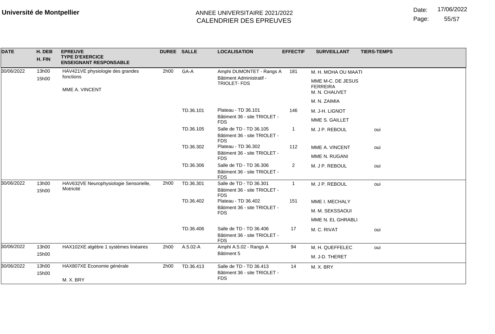Date: 17/06/2022

Page: 55/57

| <b>DATE</b> | H. DEB<br>H. FIN            | <b>EPREUVE</b><br><b>TYPE D'EXERCICE</b><br><b>ENSEIGNANT RESPONSABLE</b> | DUREE SALLE |           | <b>LOCALISATION</b>                                                   | <b>EFFECTIF</b> | <b>SURVEILLANT</b>                                    | <b>TIERS-TEMPS</b> |
|-------------|-----------------------------|---------------------------------------------------------------------------|-------------|-----------|-----------------------------------------------------------------------|-----------------|-------------------------------------------------------|--------------------|
| 30/06/2022  | 13h00                       | HAV421VE physiologie des grandes                                          | 2h00        | GA-A      | Amphi DUMONTET - Rangs A                                              | 181             | M. H. MOHA OU MAATI                                   |                    |
|             | 15h00                       | fonctions<br>MME A. VINCENT                                               |             |           | Bâtiment Administratif -<br>TRIOLET-FDS                               |                 | MME M-C. DE JESUS<br><b>FERREIRA</b><br>M. N. CHAUVET |                    |
|             |                             |                                                                           |             |           |                                                                       |                 | M. N. ZAIMIA                                          |                    |
|             |                             |                                                                           |             | TD.36.101 | Plateau - TD 36.101                                                   | 146             | M. J-H. LIGNOT                                        |                    |
|             |                             |                                                                           |             |           | Bâtiment 36 - site TRIOLET -<br><b>FDS</b>                            |                 | MME S. GAILLET                                        |                    |
|             |                             |                                                                           |             | TD.36.105 | Salle de TD - TD 36.105<br>Bâtiment 36 - site TRIOLET -<br><b>FDS</b> |                 | M. J P. REBOUL                                        | oui                |
|             |                             |                                                                           |             | TD.36.302 | Plateau - TD 36.302                                                   | 112             | MME A. VINCENT                                        | oui                |
|             |                             |                                                                           |             |           | Bâtiment 36 - site TRIOLET -<br><b>FDS</b>                            |                 | MME N. RUGANI                                         |                    |
|             |                             |                                                                           |             | TD.36.306 | Salle de TD - TD 36.306<br>Bâtiment 36 - site TRIOLET -<br><b>FDS</b> | 2               | M. J P. REBOUL                                        | oui                |
| 30/06/2022  | 13h00<br>Motricité<br>15h00 | HAV632VE Neurophysiologie Sensorielle,                                    | 2h00        | TD.36.301 | Salle de TD - TD 36.301<br>Bâtiment 36 - site TRIOLET -<br><b>FDS</b> | $\mathbf{1}$    | M. J P. REBOUL                                        | oui                |
|             |                             |                                                                           |             | TD.36.402 | Plateau - TD 36.402                                                   | 151             | MME I. MECHALY                                        |                    |
|             |                             |                                                                           |             |           | Bâtiment 36 - site TRIOLET -<br><b>FDS</b>                            |                 | M. M. SEKSSAOUI                                       |                    |
|             |                             |                                                                           |             |           |                                                                       |                 | MME N. EL GHRABLI                                     |                    |
|             |                             |                                                                           |             | TD.36.406 | Salle de TD - TD 36.406<br>Bâtiment 36 - site TRIOLET -<br><b>FDS</b> | 17              | M. C. RIVAT                                           | oui                |
| 30/06/2022  | 13h00                       | HAX102XE algèbre 1 systèmes linéaires                                     | 2h00        | A.5.02-A  | Amphi A.5.02 - Rangs A                                                | 94              | M. H. QUEFFELEC                                       | oui                |
|             | 15h00                       |                                                                           |             |           | Bâtiment 5                                                            |                 | M. J-D. THERET                                        |                    |
| 30/06/2022  | 13h00<br>15h00              | HAX807XE Economie générale<br>M. X. BRY                                   | 2h00        | TD.36.413 | Salle de TD - TD 36.413<br>Bâtiment 36 - site TRIOLET -<br><b>FDS</b> | 14              | M. X. BRY                                             |                    |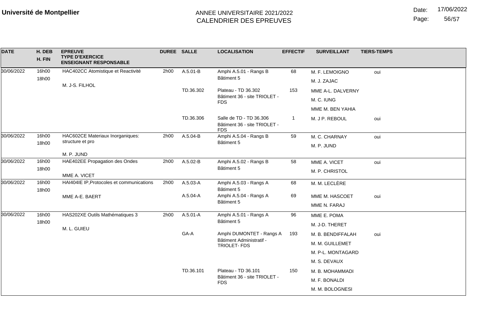Date: 17/06/2022

Page: 56/57

| <b>DATE</b> | H. DEB<br>H. FIN | <b>EPREUVE</b><br><b>TYPE D'EXERCICE</b><br><b>ENSEIGNANT RESPONSABLE</b> | <b>DUREE SALLE</b> |           | <b>LOCALISATION</b>                                                   | <b>EFFECTIF</b> | <b>SURVEILLANT</b> | <b>TIERS-TEMPS</b> |
|-------------|------------------|---------------------------------------------------------------------------|--------------------|-----------|-----------------------------------------------------------------------|-----------------|--------------------|--------------------|
| 30/06/2022  | 16h00            | HAC402CC Atomistique et Reactivité                                        | 2h00               | A.5.01-B  | Amphi A.5.01 - Rangs B                                                | 68              | M. F. LEMOIGNO     | oui                |
|             | 18h00            | M. J-S. FILHOL                                                            |                    |           | Bâtiment 5                                                            |                 | M. J. ZAJAC        |                    |
|             |                  |                                                                           |                    | TD.36.302 | Plateau - TD 36.302<br>Bâtiment 36 - site TRIOLET -<br><b>FDS</b>     | 153             | MME A-L. DALVERNY  |                    |
|             |                  |                                                                           |                    |           |                                                                       |                 | M. C. IUNG         |                    |
|             |                  |                                                                           |                    |           |                                                                       |                 | MME M. BEN YAHIA   |                    |
|             |                  |                                                                           |                    | TD.36.306 | Salle de TD - TD 36.306<br>Bâtiment 36 - site TRIOLET -<br><b>FDS</b> |                 | M. J P. REBOUL     | oui                |
| 30/06/2022  | 16h00            | HAC602CE Materiaux Inorganiques:                                          | 2h00               | A.5.04-B  | Amphi A.5.04 - Rangs B<br>Bâtiment 5                                  | 59              | M. C. CHARNAY      | oui                |
|             | 18h00            | structure et pro                                                          |                    |           |                                                                       |                 | M. P. JUND         |                    |
|             |                  | M. P. JUND                                                                |                    |           |                                                                       |                 |                    |                    |
| 30/06/2022  | 16h00            | HAE402EE Propagation des Ondes                                            | 2h00               | A.5.02-B  | Amphi A.5.02 - Rangs B<br>Bâtiment 5                                  | 58              | MME A. VICET       | oui                |
|             | 18h00            | MME A. VICET                                                              |                    |           |                                                                       |                 | M. P. CHRISTOL     |                    |
| 30/06/2022  | 16h00<br>18h00   | HAI404IE IP, Protocoles et communications                                 | 2h00               | A.5.03-A  | Amphi A.5.03 - Rangs A<br>Bâtiment 5                                  | 68              | M. M. LECLÈRE      |                    |
|             |                  | MME A-E. BAERT                                                            |                    | A.5.04-A  | Amphi A.5.04 - Rangs A<br>Bâtiment 5                                  | 69              | MME M. HASCOET     | oui                |
|             |                  |                                                                           |                    |           |                                                                       |                 | MME N. FARAJ       |                    |
| 30/06/2022  | 16h00            | HAS202XE Outils Mathématiques 3                                           | 2h00               | A.5.01-A  | Amphi A.5.01 - Rangs A                                                | 96              | MME E. POMA        |                    |
|             | 18h00            | M. L. GUIEU                                                               |                    |           | Bâtiment 5                                                            |                 | M. J-D. THERET     |                    |
|             |                  |                                                                           |                    | GA-A      | Amphi DUMONTET - Rangs A                                              | 193             | M. B. BENDIFFALAH  | oui                |
|             |                  |                                                                           |                    |           | Bâtiment Administratif -<br>TRIOLET-FDS                               |                 | M. M. GUILLEMET    |                    |
|             |                  |                                                                           |                    |           |                                                                       |                 | M. P-L. MONTAGARD  |                    |
|             |                  |                                                                           |                    |           |                                                                       |                 | M. S. DEVAUX       |                    |
|             |                  |                                                                           |                    | TD.36.101 | Plateau - TD 36.101                                                   | 150             | M. B. MOHAMMADI    |                    |
|             |                  |                                                                           |                    |           | Bâtiment 36 - site TRIOLET -<br><b>FDS</b>                            |                 | M. F. BONALDI      |                    |
|             |                  |                                                                           |                    |           |                                                                       |                 | M. M. BOLOGNESI    |                    |